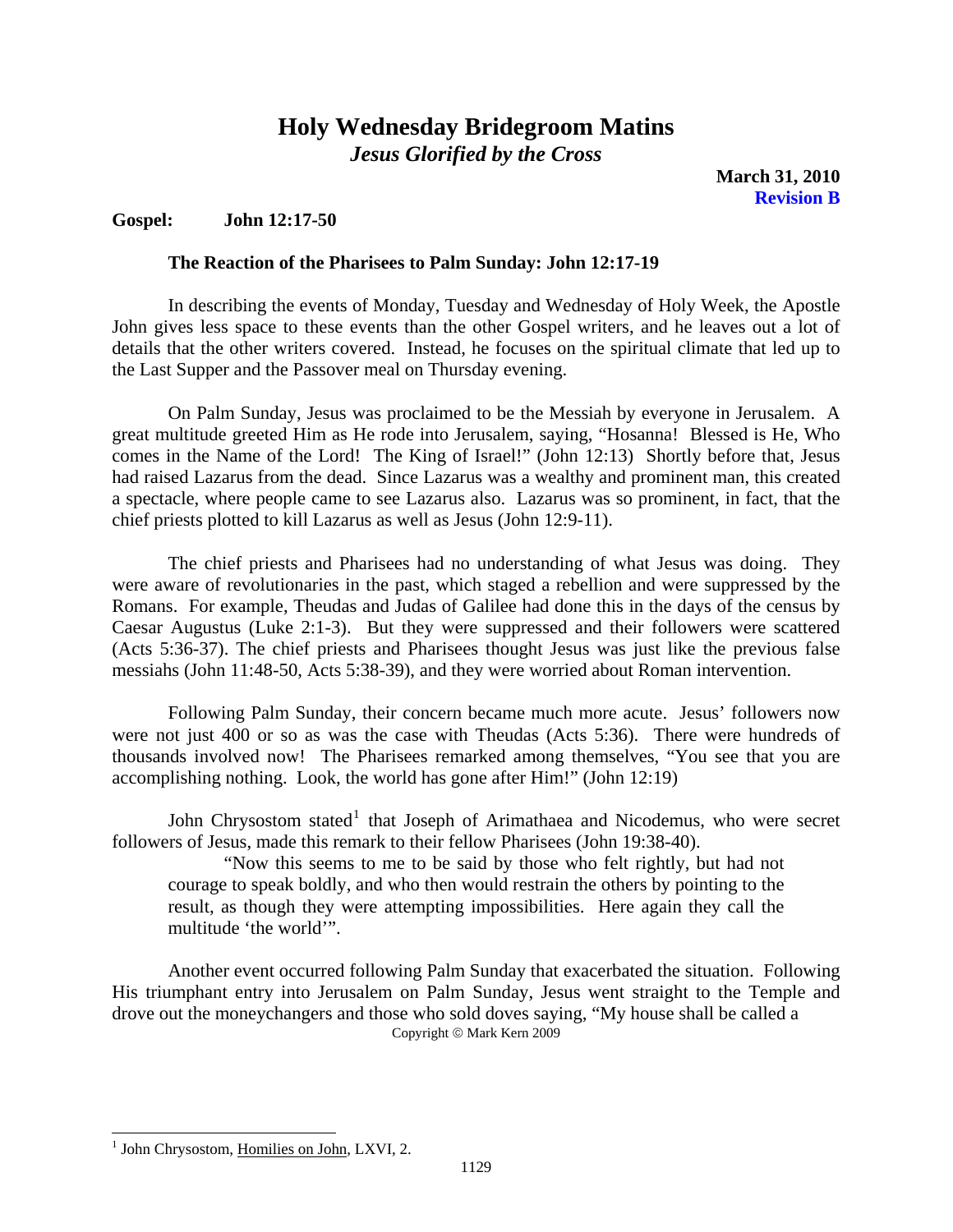**March 31, 2010 Revision B** 

## <span id="page-0-1"></span>**Gospel: John 12:17-50**

### **The Reaction of the Pharisees to Palm Sunday: John 12:17-19**

In describing the events of Monday, Tuesday and Wednesday of Holy Week, the Apostle John gives less space to these events than the other Gospel writers, and he leaves out a lot of details that the other writers covered. Instead, he focuses on the spiritual climate that led up to the Last Supper and the Passover meal on Thursday evening.

On Palm Sunday, Jesus was proclaimed to be the Messiah by everyone in Jerusalem. A great multitude greeted Him as He rode into Jerusalem, saying, "Hosanna! Blessed is He, Who comes in the Name of the Lord! The King of Israel!" (John 12:13) Shortly before that, Jesus had raised Lazarus from the dead. Since Lazarus was a wealthy and prominent man, this created a spectacle, where people came to see Lazarus also. Lazarus was so prominent, in fact, that the chief priests plotted to kill Lazarus as well as Jesus (John 12:9-11).

The chief priests and Pharisees had no understanding of what Jesus was doing. They were aware of revolutionaries in the past, which staged a rebellion and were suppressed by the Romans. For example, Theudas and Judas of Galilee had done this in the days of the census by Caesar Augustus (Luke 2:1-3). But they were suppressed and their followers were scattered (Acts 5:36-37). The chief priests and Pharisees thought Jesus was just like the previous false messiahs (John 11:48-50, Acts 5:38-39), and they were worried about Roman intervention.

Following Palm Sunday, their concern became much more acute. Jesus' followers now were not just 400 or so as was the case with Theudas (Acts 5:36). There were hundreds of thousands involved now! The Pharisees remarked among themselves, "You see that you are accomplishing nothing. Look, the world has gone after Him!" (John 12:19)

John Chrysostom stated<sup>[1](#page-0-0)</sup> that Joseph of Arimathaea and Nicodemus, who were secret followers of Jesus, made this remark to their fellow Pharisees (John 19:38-40).

"Now this seems to me to be said by those who felt rightly, but had not courage to speak boldly, and who then would restrain the others by pointing to the result, as though they were attempting impossibilities. Here again they call the multitude 'the world'".

Another event occurred following Palm Sunday that exacerbated the situation. Following His triumphant entry into Jerusalem on Palm Sunday, Jesus went straight to the Temple and drove out the moneychangers and those who sold doves saying, "My house shall be called a Copyright © Mark Kern 2009

<span id="page-0-0"></span><sup>&</sup>lt;sup>1</sup> John Chrysostom, Homilies on John, LXVI, 2.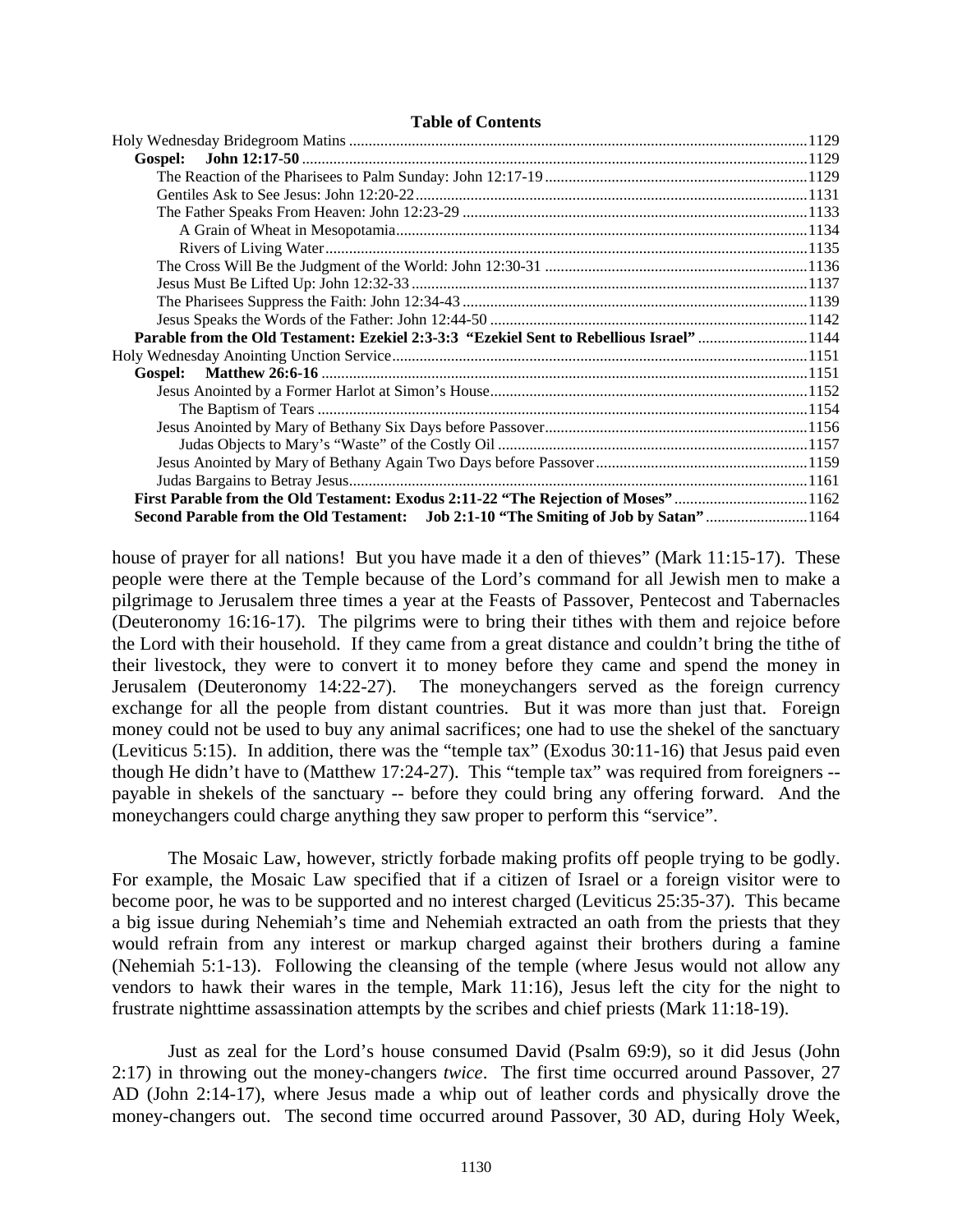#### **Table of Contents**

| Parable from the Old Testament: Ezekiel 2:3-3:3 "Ezekiel Sent to Rebellious Israel" 1144 |  |
|------------------------------------------------------------------------------------------|--|
|                                                                                          |  |
|                                                                                          |  |
|                                                                                          |  |
|                                                                                          |  |
|                                                                                          |  |
|                                                                                          |  |
|                                                                                          |  |
|                                                                                          |  |
| First Parable from the Old Testament: Exodus 2:11-22 "The Rejection of Moses"1162        |  |
| Second Parable from the Old Testament: Job 2:1-10 "The Smiting of Job by Satan"1164      |  |

house of prayer for all nations! But you have made it a den of thieves" (Mark 11:15-17). These people were there at the Temple because of the Lord's command for all Jewish men to make a pilgrimage to Jerusalem three times a year at the Feasts of Passover, Pentecost and Tabernacles (Deuteronomy 16:16-17). The pilgrims were to bring their tithes with them and rejoice before the Lord with their household. If they came from a great distance and couldn't bring the tithe of their livestock, they were to convert it to money before they came and spend the money in Jerusalem (Deuteronomy 14:22-27). The moneychangers served as the foreign currency exchange for all the people from distant countries. But it was more than just that. Foreign money could not be used to buy any animal sacrifices; one had to use the shekel of the sanctuary (Leviticus 5:15). In addition, there was the "temple tax" (Exodus 30:11-16) that Jesus paid even though He didn't have to (Matthew 17:24-27). This "temple tax" was required from foreigners - payable in shekels of the sanctuary -- before they could bring any offering forward. And the moneychangers could charge anything they saw proper to perform this "service".

The Mosaic Law, however, strictly forbade making profits off people trying to be godly. For example, the Mosaic Law specified that if a citizen of Israel or a foreign visitor were to become poor, he was to be supported and no interest charged (Leviticus 25:35-37). This became a big issue during Nehemiah's time and Nehemiah extracted an oath from the priests that they would refrain from any interest or markup charged against their brothers during a famine (Nehemiah 5:1-13). Following the cleansing of the temple (where Jesus would not allow any vendors to hawk their wares in the temple, Mark 11:16), Jesus left the city for the night to frustrate nighttime assassination attempts by the scribes and chief priests (Mark 11:18-19).

Just as zeal for the Lord's house consumed David (Psalm 69:9), so it did Jesus (John 2:17) in throwing out the money-changers *twice*. The first time occurred around Passover, 27 AD (John 2:14-17), where Jesus made a whip out of leather cords and physically drove the money-changers out. The second time occurred around Passover, 30 AD, during Holy Week,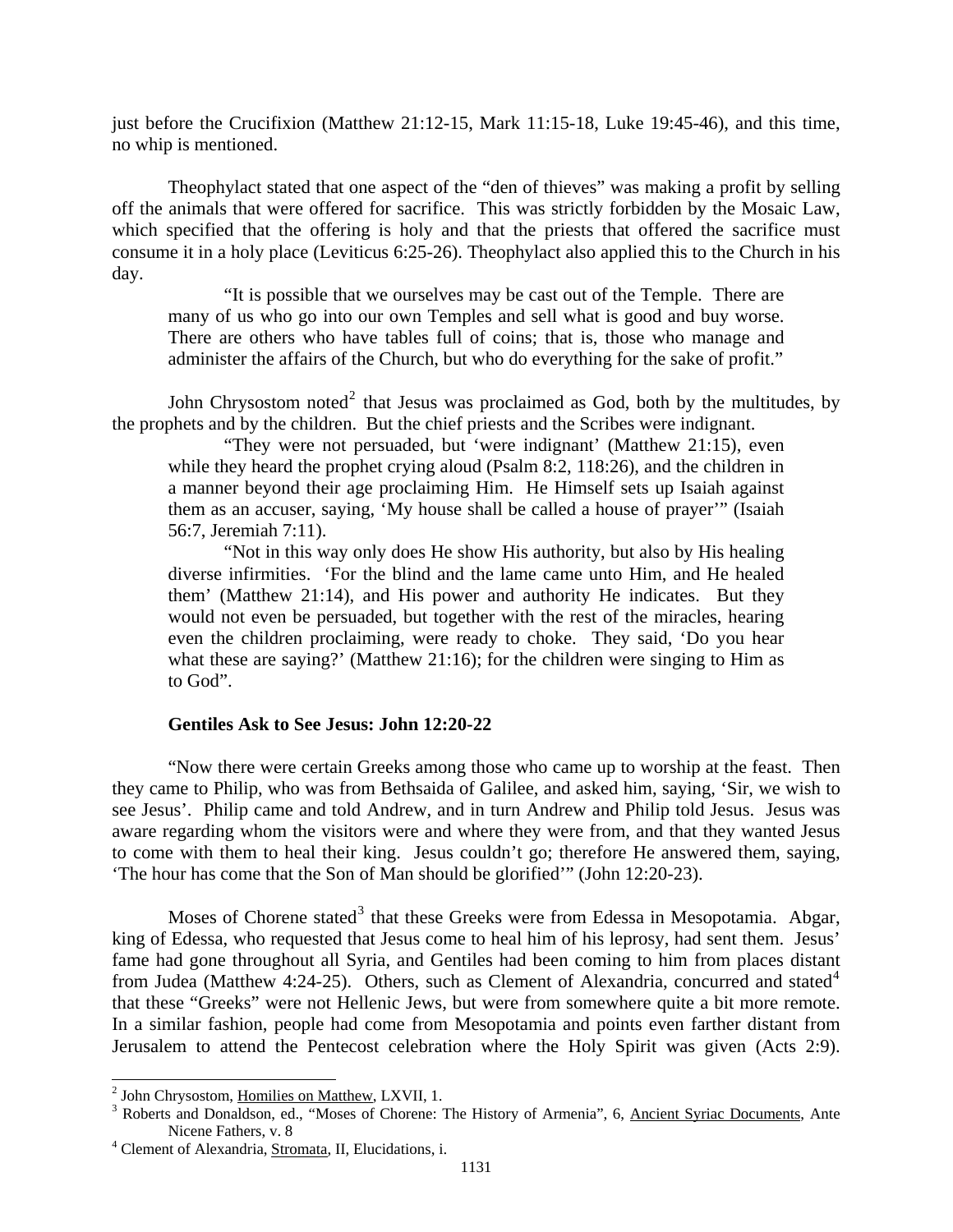<span id="page-2-0"></span>just before the Crucifixion (Matthew 21:12-15, Mark 11:15-18, Luke 19:45-46), and this time, no whip is mentioned.

Theophylact stated that one aspect of the "den of thieves" was making a profit by selling off the animals that were offered for sacrifice. This was strictly forbidden by the Mosaic Law, which specified that the offering is holy and that the priests that offered the sacrifice must consume it in a holy place (Leviticus 6:25-26). Theophylact also applied this to the Church in his day.

"It is possible that we ourselves may be cast out of the Temple. There are many of us who go into our own Temples and sell what is good and buy worse. There are others who have tables full of coins; that is, those who manage and administer the affairs of the Church, but who do everything for the sake of profit."

the prophets and by the children. But the chief priests and the Scribes were indignant. John Chrysostom noted<sup>[2](#page-2-1)</sup> that Jesus was proclaimed as God, both by the multitudes, by

"They were not persuaded, but 'were indignant' (Matthew 21:15), even while they heard the prophet crying aloud (Psalm 8:2, 118:26), and the children in a manner beyond their age proclaiming Him. He Himself sets up Isaiah against them as an accuser, saying, 'My house shall be called a house of prayer'" (Isaiah 56:7, Jeremiah 7:11).

"Not in this way only does He show His authority, but also by His healing diverse infirmities. 'For the blind and the lame came unto Him, and He healed them' (Matthew 21:14), and His power and authority He indicates. But they would not even be persuaded, but together with the rest of the miracles, hearing even the children proclaiming, were ready to choke. They said, 'Do you hear what these are saying?' (Matthew 21:16); for the children were singing to Him as to God".

### **Gentiles Ask to See Jesus: John 12:20-22**

"Now there were certain Greeks among those who came up to worship at the feast. Then they came to Philip, who was from Bethsaida of Galilee, and asked him, saying, 'Sir, we wish to see Jesus'. Philip came and told Andrew, and in turn Andrew and Philip told Jesus. Jesus was aware regarding whom the visitors were and where they were from, and that they wanted Jesus to come with them to heal their king. Jesus couldn't go; therefore He answered them, saying, 'The hour has come that the Son of Man should be glorified'" (John 12:20-23).

Moses of Chorene stated<sup>[3](#page-2-2)</sup> that these Greeks were from Edessa in Mesopotamia. Abgar, king of Edessa, who requested that Jesus come to heal him of his leprosy, had sent them. Jesus' fame had gone throughout all Syria, and Gentiles had been coming to him from places distant from Judea (Matthew [4](#page-2-3):24-25). Others, such as Clement of Alexandria, concurred and stated<sup>4</sup> that these "Greeks" were not Hellenic Jews, but were from somewhere quite a bit more remote. In a similar fashion, people had come from Mesopotamia and points even farther distant from Jerusalem to attend the Pentecost celebration where the Holy Spirit was given (Acts 2:9).

<span id="page-2-1"></span><sup>&</sup>lt;sup>2</sup> John Chrysostom, <u>Homilies on Matthew</u>, LXVII, 1.<br><sup>3</sup> Beberts and Donaldson, ed. "Messa of Charana: 2

<span id="page-2-2"></span><sup>&</sup>lt;sup>3</sup> Roberts and Donaldson, ed., "Moses of Chorene: The History of Armenia", 6, Ancient Syriac Documents, Ante Nicene Fathers, v. 8<br>
<sup>4</sup> Clement of Alexandria, <u>Stromata</u>, II, Elucidations, i.

<span id="page-2-3"></span>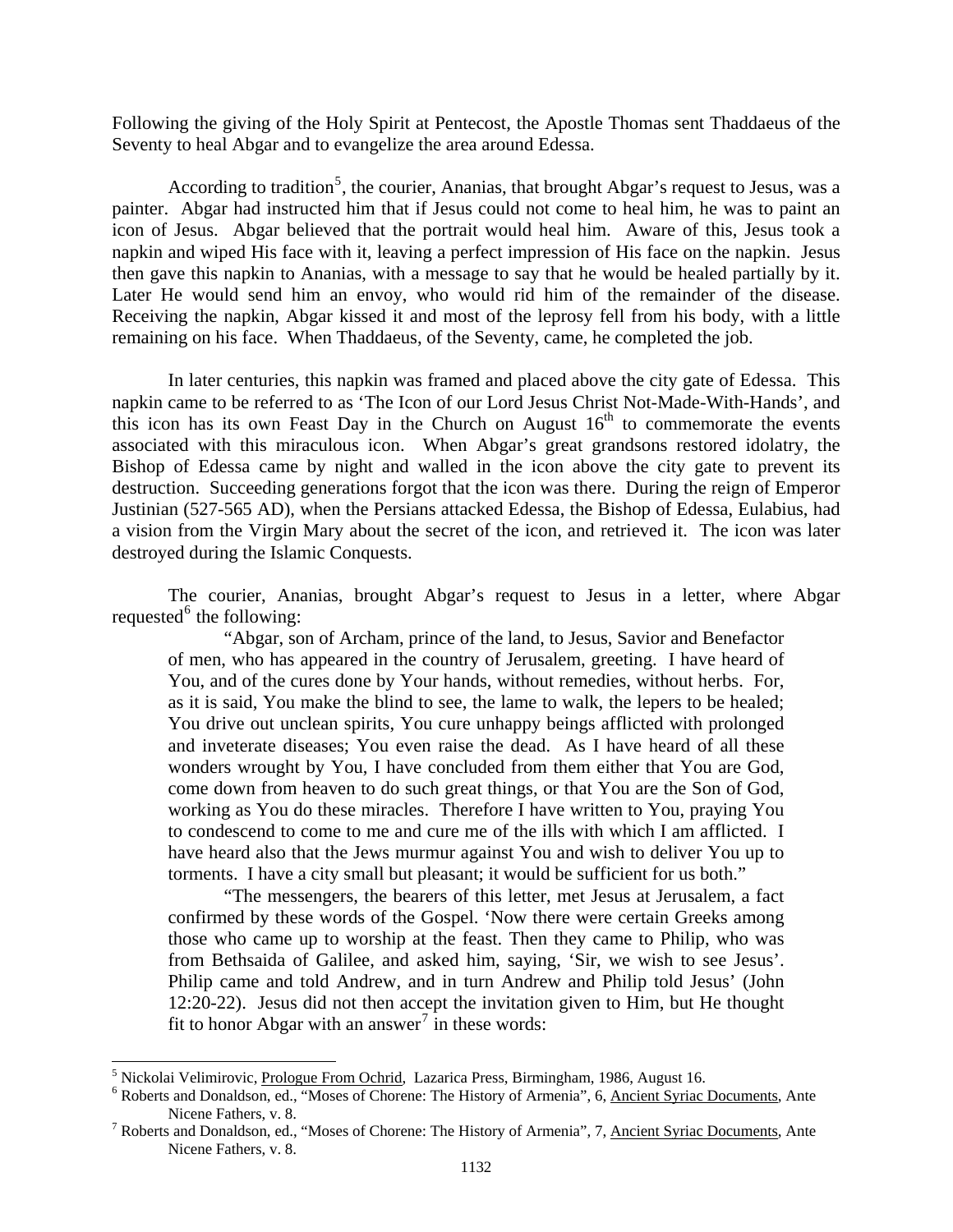Following the giving of the Holy Spirit at Pentecost, the Apostle Thomas sent Thaddaeus of the Seventy to heal Abgar and to evangelize the area around Edessa.

According to tradition<sup>[5](#page-3-0)</sup>, the courier, Ananias, that brought Abgar's request to Jesus, was a painter. Abgar had instructed him that if Jesus could not come to heal him, he was to paint an icon of Jesus. Abgar believed that the portrait would heal him. Aware of this, Jesus took a napkin and wiped His face with it, leaving a perfect impression of His face on the napkin. Jesus then gave this napkin to Ananias, with a message to say that he would be healed partially by it. Later He would send him an envoy, who would rid him of the remainder of the disease. Receiving the napkin, Abgar kissed it and most of the leprosy fell from his body, with a little remaining on his face. When Thaddaeus, of the Seventy, came, he completed the job.

In later centuries, this napkin was framed and placed above the city gate of Edessa. This napkin came to be referred to as 'The Icon of our Lord Jesus Christ Not-Made-With-Hands', and this icon has its own Feast Day in the Church on August  $16<sup>th</sup>$  to commemorate the events associated with this miraculous icon. When Abgar's great grandsons restored idolatry, the Bishop of Edessa came by night and walled in the icon above the city gate to prevent its destruction. Succeeding generations forgot that the icon was there. During the reign of Emperor Justinian (527-565 AD), when the Persians attacked Edessa, the Bishop of Edessa, Eulabius, had a vision from the Virgin Mary about the secret of the icon, and retrieved it. The icon was later destroyed during the Islamic Conquests.

The courier, Ananias, brought Abgar's request to Jesus in a letter, where Abgar requested $<sup>6</sup>$  $<sup>6</sup>$  $<sup>6</sup>$  the following:</sup>

"Abgar, son of Archam, prince of the land, to Jesus, Savior and Benefactor of men, who has appeared in the country of Jerusalem, greeting. I have heard of You, and of the cures done by Your hands, without remedies, without herbs. For, as it is said, You make the blind to see, the lame to walk, the lepers to be healed; You drive out unclean spirits, You cure unhappy beings afflicted with prolonged and inveterate diseases; You even raise the dead. As I have heard of all these wonders wrought by You, I have concluded from them either that You are God, come down from heaven to do such great things, or that You are the Son of God, working as You do these miracles. Therefore I have written to You, praying You to condescend to come to me and cure me of the ills with which I am afflicted. I have heard also that the Jews murmur against You and wish to deliver You up to torments. I have a city small but pleasant; it would be sufficient for us both."

"The messengers, the bearers of this letter, met Jesus at Jerusalem, a fact confirmed by these words of the Gospel. 'Now there were certain Greeks among those who came up to worship at the feast. Then they came to Philip, who was from Bethsaida of Galilee, and asked him, saying, 'Sir, we wish to see Jesus'. Philip came and told Andrew, and in turn Andrew and Philip told Jesus' (John 12:20-22). Jesus did not then accept the invitation given to Him, but He thought fit to honor Abgar with an answer<sup>[7](#page-3-2)</sup> in these words:

<span id="page-3-0"></span><sup>&</sup>lt;sup>5</sup> Nickolai Velimirovic, <u>Prologue From Ochrid</u>, Lazarica Press, Birmingham, 1986, August 16.

<span id="page-3-1"></span><sup>&</sup>lt;sup>6</sup> Roberts and Donaldson, ed., "Moses of Chorene: The History of Armenia", 6, Ancient Syriac Documents, Ante Nicene Fathers, v. 8.<br><sup>7</sup> Roberts and Donaldson, ed., "Moses of Chorene: The History of Armenia", 7, <u>Ancient Syriac Documents</u>, Ante

<span id="page-3-2"></span>Nicene Fathers, v. 8.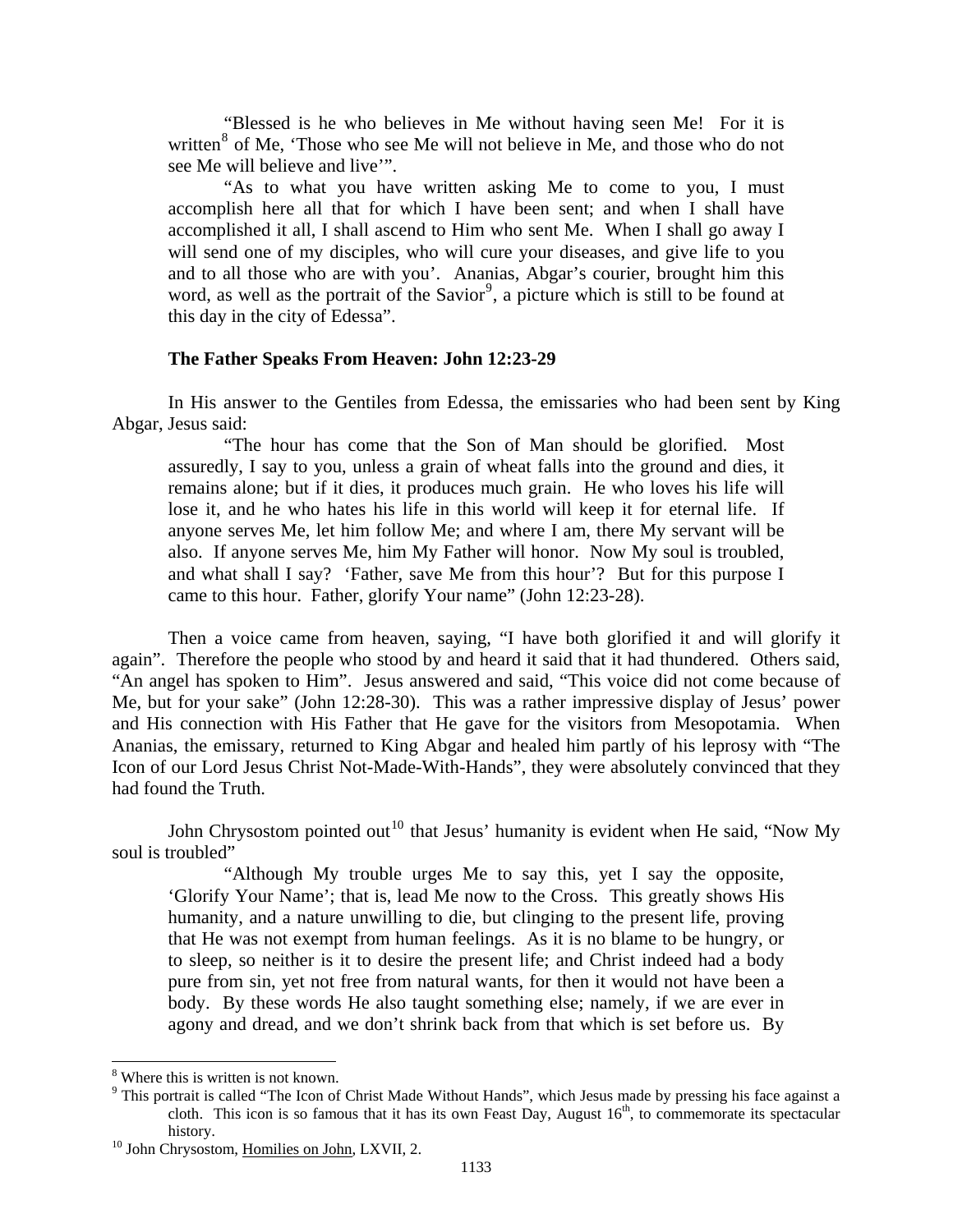<span id="page-4-0"></span>"Blessed is he who believes in Me without having seen Me! For it is written<sup>[8](#page-4-1)</sup> of Me, 'Those who see Me will not believe in Me, and those who do not see Me will believe and live'".

"As to what you have written asking Me to come to you, I must accomplish here all that for which I have been sent; and when I shall have accomplished it all, I shall ascend to Him who sent Me. When I shall go away I will send one of my disciples, who will cure your diseases, and give life to you and to all those who are with you'. Ananias, Abgar's courier, brought him this word, as well as the portrait of the Savior<sup>[9](#page-4-2)</sup>, a picture which is still to be found at this day in the city of Edessa".

## **The Father Speaks From Heaven: John 12:23-29**

In His answer to the Gentiles from Edessa, the emissaries who had been sent by King Abgar, Jesus said:

"The hour has come that the Son of Man should be glorified. Most assuredly, I say to you, unless a grain of wheat falls into the ground and dies, it remains alone; but if it dies, it produces much grain. He who loves his life will lose it, and he who hates his life in this world will keep it for eternal life. If anyone serves Me, let him follow Me; and where I am, there My servant will be also. If anyone serves Me, him My Father will honor. Now My soul is troubled, and what shall I say? 'Father, save Me from this hour'? But for this purpose I came to this hour. Father, glorify Your name" (John 12:23-28).

Then a voice came from heaven, saying, "I have both glorified it and will glorify it again". Therefore the people who stood by and heard it said that it had thundered. Others said, "An angel has spoken to Him". Jesus answered and said, "This voice did not come because of Me, but for your sake" (John 12:28-30). This was a rather impressive display of Jesus' power and His connection with His Father that He gave for the visitors from Mesopotamia. When Ananias, the emissary, returned to King Abgar and healed him partly of his leprosy with "The Icon of our Lord Jesus Christ Not-Made-With-Hands", they were absolutely convinced that they had found the Truth.

John Chrysostom pointed out<sup>[10](#page-4-3)</sup> that Jesus' humanity is evident when He said, "Now My soul is troubled"

"Although My trouble urges Me to say this, yet I say the opposite, 'Glorify Your Name'; that is, lead Me now to the Cross. This greatly shows His humanity, and a nature unwilling to die, but clinging to the present life, proving that He was not exempt from human feelings. As it is no blame to be hungry, or to sleep, so neither is it to desire the present life; and Christ indeed had a body pure from sin, yet not free from natural wants, for then it would not have been a body. By these words He also taught something else; namely, if we are ever in agony and dread, and we don't shrink back from that which is set before us. By

<span id="page-4-1"></span><sup>8</sup> Where this is written is not known.

<span id="page-4-2"></span><sup>&</sup>lt;sup>9</sup> This portrait is called "The Icon of Christ Made Without Hands", which Jesus made by pressing his face against a cloth. This icon is so famous that it has its own Feast Day, August  $16<sup>th</sup>$ , to commemorate its spectacular history.<br><sup>10</sup> John Chrysostom, <u>Homilies on John</u>, LXVII, 2.

<span id="page-4-3"></span>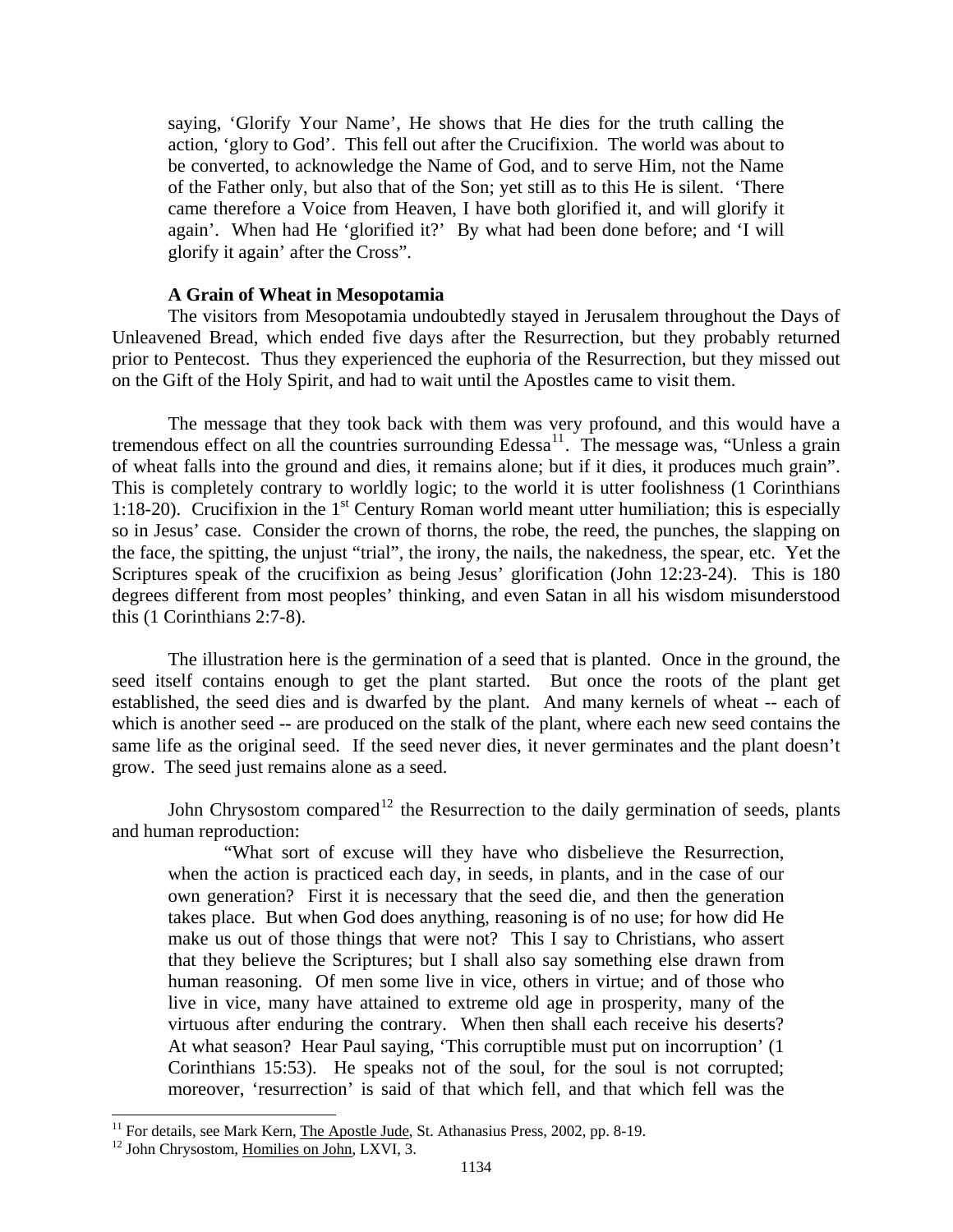<span id="page-5-0"></span>saying, 'Glorify Your Name', He shows that He dies for the truth calling the action, 'glory to God'. This fell out after the Crucifixion. The world was about to be converted, to acknowledge the Name of God, and to serve Him, not the Name of the Father only, but also that of the Son; yet still as to this He is silent. 'There came therefore a Voice from Heaven, I have both glorified it, and will glorify it again'. When had He 'glorified it?' By what had been done before; and 'I will glorify it again' after the Cross".

### **A Grain of Wheat in Mesopotamia**

The visitors from Mesopotamia undoubtedly stayed in Jerusalem throughout the Days of Unleavened Bread, which ended five days after the Resurrection, but they probably returned prior to Pentecost. Thus they experienced the euphoria of the Resurrection, but they missed out on the Gift of the Holy Spirit, and had to wait until the Apostles came to visit them.

The message that they took back with them was very profound, and this would have a tremendous effect on all the countries surrounding  $Edessa^{11}$  $Edessa^{11}$  $Edessa^{11}$ . The message was, "Unless a grain of wheat falls into the ground and dies, it remains alone; but if it dies, it produces much grain". This is completely contrary to worldly logic; to the world it is utter foolishness (1 Corinthians 1:18-20). Crucifixion in the  $1<sup>st</sup>$  Century Roman world meant utter humiliation; this is especially so in Jesus' case. Consider the crown of thorns, the robe, the reed, the punches, the slapping on the face, the spitting, the unjust "trial", the irony, the nails, the nakedness, the spear, etc. Yet the Scriptures speak of the crucifixion as being Jesus' glorification (John 12:23-24). This is 180 degrees different from most peoples' thinking, and even Satan in all his wisdom misunderstood this (1 Corinthians 2:7-8).

The illustration here is the germination of a seed that is planted. Once in the ground, the seed itself contains enough to get the plant started. But once the roots of the plant get established, the seed dies and is dwarfed by the plant. And many kernels of wheat -- each of which is another seed -- are produced on the stalk of the plant, where each new seed contains the same life as the original seed. If the seed never dies, it never germinates and the plant doesn't grow. The seed just remains alone as a seed.

John Chrysostom compared<sup>[12](#page-5-2)</sup> the Resurrection to the daily germination of seeds, plants and human reproduction:

"What sort of excuse will they have who disbelieve the Resurrection, when the action is practiced each day, in seeds, in plants, and in the case of our own generation? First it is necessary that the seed die, and then the generation takes place. But when God does anything, reasoning is of no use; for how did He make us out of those things that were not? This I say to Christians, who assert that they believe the Scriptures; but I shall also say something else drawn from human reasoning. Of men some live in vice, others in virtue; and of those who live in vice, many have attained to extreme old age in prosperity, many of the virtuous after enduring the contrary. When then shall each receive his deserts? At what season? Hear Paul saying, 'This corruptible must put on incorruption' (1 Corinthians 15:53). He speaks not of the soul, for the soul is not corrupted; moreover, 'resurrection' is said of that which fell, and that which fell was the

<span id="page-5-1"></span><sup>&</sup>lt;sup>11</sup> For details, see Mark Kern, <u>The Apostle Jude</u>, St. Athanasius Press, 2002, pp. 8-19.  $^{12}$  John Chrysostom, Homilies on John, LXVI, 3.

<span id="page-5-2"></span>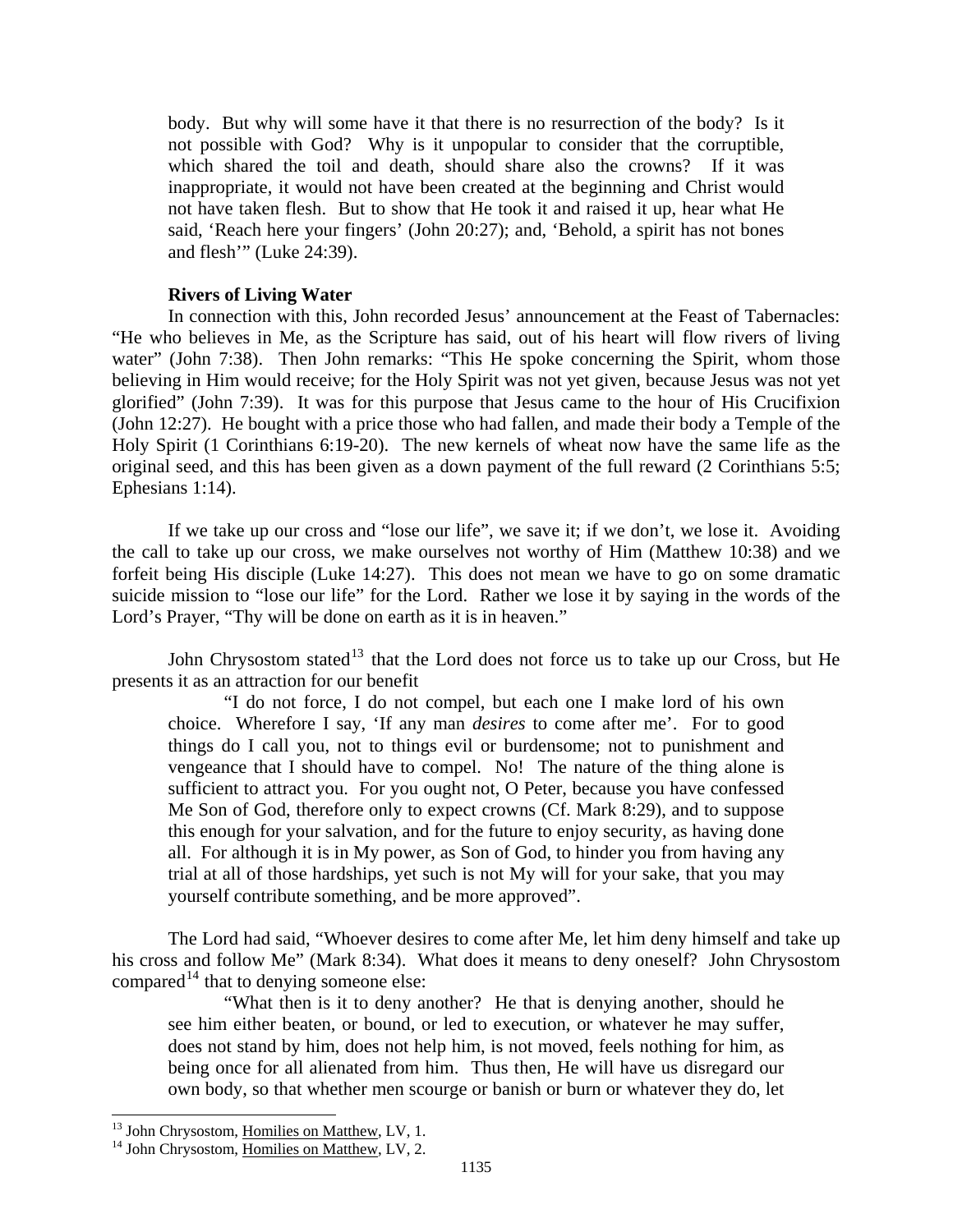<span id="page-6-0"></span>body. But why will some have it that there is no resurrection of the body? Is it not possible with God? Why is it unpopular to consider that the corruptible, which shared the toil and death, should share also the crowns? If it was inappropriate, it would not have been created at the beginning and Christ would not have taken flesh. But to show that He took it and raised it up, hear what He said, 'Reach here your fingers' (John 20:27); and, 'Behold, a spirit has not bones and flesh'" (Luke 24:39).

### **Rivers of Living Water**

In connection with this, John recorded Jesus' announcement at the Feast of Tabernacles: "He who believes in Me, as the Scripture has said, out of his heart will flow rivers of living water" (John 7:38). Then John remarks: "This He spoke concerning the Spirit, whom those believing in Him would receive; for the Holy Spirit was not yet given, because Jesus was not yet glorified" (John 7:39). It was for this purpose that Jesus came to the hour of His Crucifixion (John 12:27). He bought with a price those who had fallen, and made their body a Temple of the Holy Spirit (1 Corinthians 6:19-20). The new kernels of wheat now have the same life as the original seed, and this has been given as a down payment of the full reward (2 Corinthians 5:5; Ephesians 1:14).

If we take up our cross and "lose our life", we save it; if we don't, we lose it. Avoiding the call to take up our cross, we make ourselves not worthy of Him (Matthew 10:38) and we forfeit being His disciple (Luke 14:27). This does not mean we have to go on some dramatic suicide mission to "lose our life" for the Lord. Rather we lose it by saying in the words of the Lord's Prayer, "Thy will be done on earth as it is in heaven."

John Chrysostom stated<sup>[13](#page-6-1)</sup> that the Lord does not force us to take up our Cross, but He presents it as an attraction for our benefit

"I do not force, I do not compel, but each one I make lord of his own choice. Wherefore I say, 'If any man *desires* to come after me'. For to good things do I call you, not to things evil or burdensome; not to punishment and vengeance that I should have to compel. No! The nature of the thing alone is sufficient to attract you. For you ought not, O Peter, because you have confessed Me Son of God, therefore only to expect crowns (Cf. Mark 8:29), and to suppose this enough for your salvation, and for the future to enjoy security, as having done all. For although it is in My power, as Son of God, to hinder you from having any trial at all of those hardships, yet such is not My will for your sake, that you may yourself contribute something, and be more approved".

The Lord had said, "Whoever desires to come after Me, let him deny himself and take up his cross and follow Me" (Mark 8:34). What does it means to deny oneself? John Chrysostom compared<sup>[14](#page-6-2)</sup> that to denying someone else:

"What then is it to deny another? He that is denying another, should he see him either beaten, or bound, or led to execution, or whatever he may suffer, does not stand by him, does not help him, is not moved, feels nothing for him, as being once for all alienated from him. Thus then, He will have us disregard our own body, so that whether men scourge or banish or burn or whatever they do, let

<span id="page-6-1"></span><sup>&</sup>lt;sup>13</sup> John Chrysostom, Homilies on Matthew, LV, 1.

<span id="page-6-2"></span> $14$  John Chrysostom, Homilies on Matthew, LV, 2.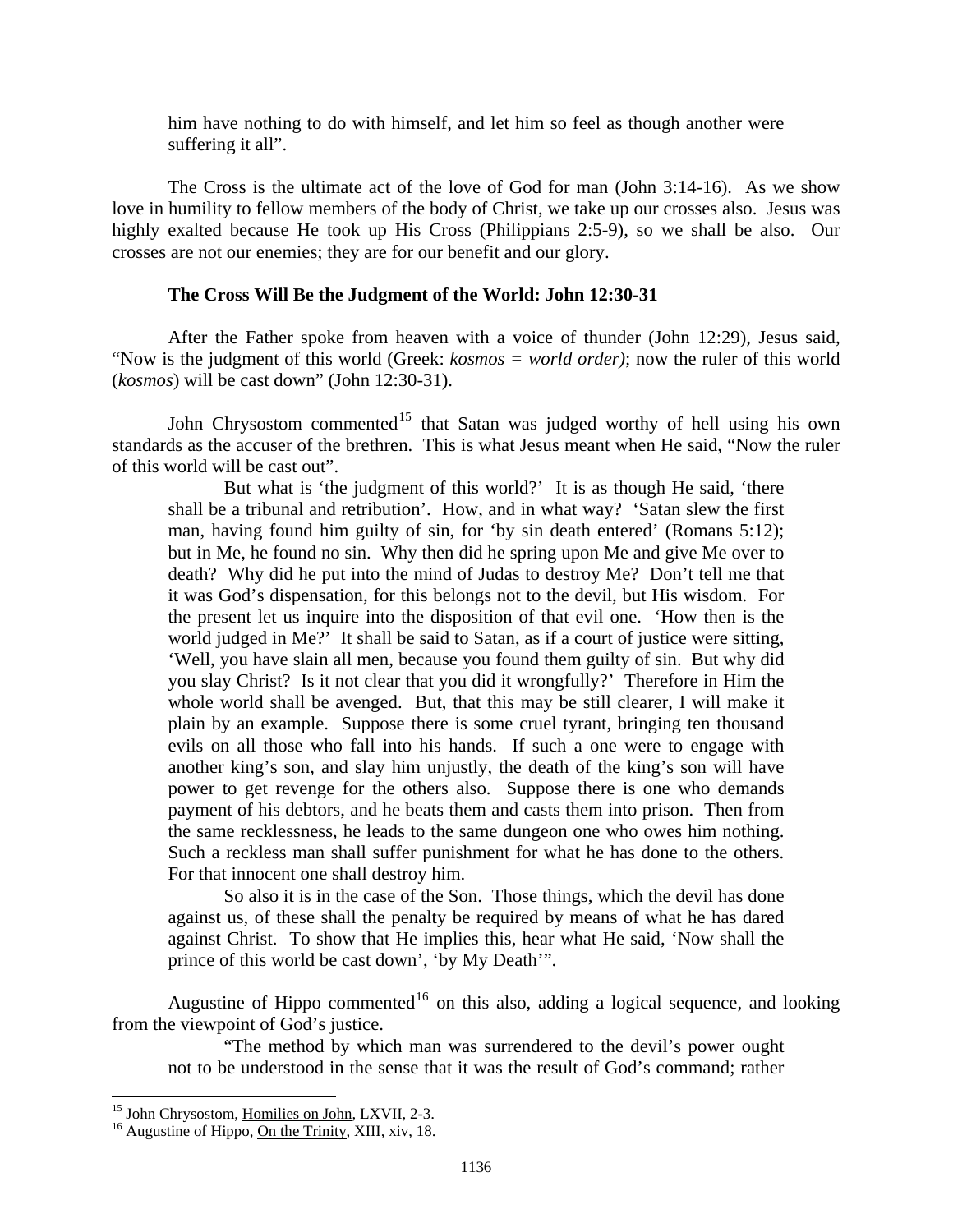<span id="page-7-0"></span>him have nothing to do with himself, and let him so feel as though another were suffering it all".

The Cross is the ultimate act of the love of God for man (John 3:14-16). As we show love in humility to fellow members of the body of Christ, we take up our crosses also. Jesus was highly exalted because He took up His Cross (Philippians 2:5-9), so we shall be also. Our crosses are not our enemies; they are for our benefit and our glory.

## **The Cross Will Be the Judgment of the World: John 12:30-31**

After the Father spoke from heaven with a voice of thunder (John 12:29), Jesus said, "Now is the judgment of this world (Greek: *kosmos = world order)*; now the ruler of this world (*kosmos*) will be cast down" (John 12:30-31).

John Chrysostom commented<sup>[15](#page-7-1)</sup> that Satan was judged worthy of hell using his own standards as the accuser of the brethren. This is what Jesus meant when He said, "Now the ruler of this world will be cast out".

But what is 'the judgment of this world?' It is as though He said, 'there shall be a tribunal and retribution'. How, and in what way? 'Satan slew the first man, having found him guilty of sin, for 'by sin death entered' (Romans 5:12); but in Me, he found no sin. Why then did he spring upon Me and give Me over to death? Why did he put into the mind of Judas to destroy Me? Don't tell me that it was God's dispensation, for this belongs not to the devil, but His wisdom. For the present let us inquire into the disposition of that evil one. 'How then is the world judged in Me?' It shall be said to Satan, as if a court of justice were sitting, 'Well, you have slain all men, because you found them guilty of sin. But why did you slay Christ? Is it not clear that you did it wrongfully?' Therefore in Him the whole world shall be avenged. But, that this may be still clearer, I will make it plain by an example. Suppose there is some cruel tyrant, bringing ten thousand evils on all those who fall into his hands. If such a one were to engage with another king's son, and slay him unjustly, the death of the king's son will have power to get revenge for the others also. Suppose there is one who demands payment of his debtors, and he beats them and casts them into prison. Then from the same recklessness, he leads to the same dungeon one who owes him nothing. Such a reckless man shall suffer punishment for what he has done to the others. For that innocent one shall destroy him.

So also it is in the case of the Son. Those things, which the devil has done against us, of these shall the penalty be required by means of what he has dared against Christ. To show that He implies this, hear what He said, 'Now shall the prince of this world be cast down', 'by My Death'".

Augustine of Hippo commented<sup>[16](#page-7-2)</sup> on this also, adding a logical sequence, and looking from the viewpoint of God's justice.

"The method by which man was surrendered to the devil's power ought not to be understood in the sense that it was the result of God's command; rather

<span id="page-7-1"></span><sup>&</sup>lt;sup>15</sup> John Chrysostom, Homilies on John, LXVII, 2-3.

<span id="page-7-2"></span> $16$  Augustine of Hippo, On the Trinity, XIII, xiv, 18.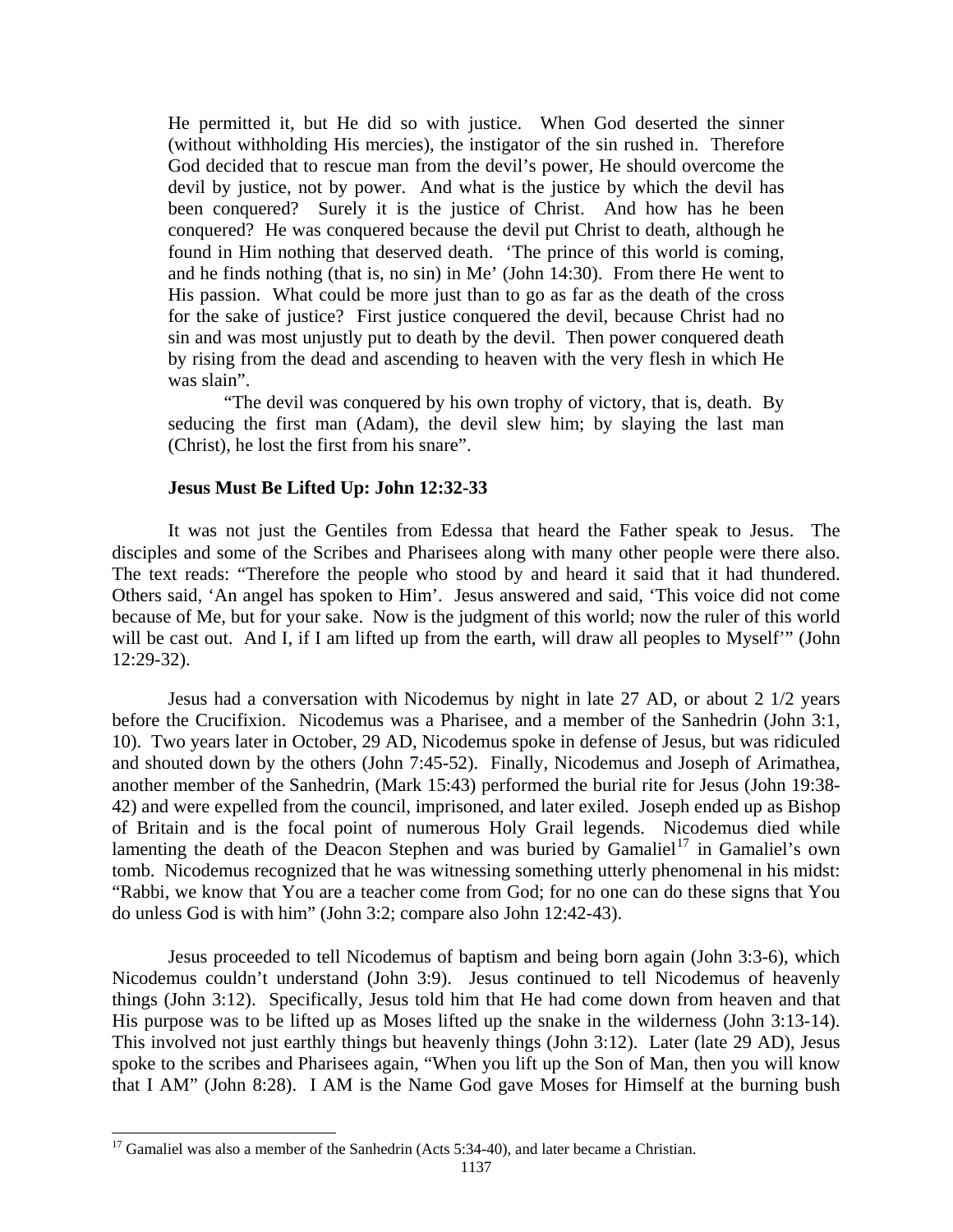<span id="page-8-0"></span>He permitted it, but He did so with justice. When God deserted the sinner (without withholding His mercies), the instigator of the sin rushed in. Therefore God decided that to rescue man from the devil's power, He should overcome the devil by justice, not by power. And what is the justice by which the devil has been conquered? Surely it is the justice of Christ. And how has he been conquered? He was conquered because the devil put Christ to death, although he found in Him nothing that deserved death. 'The prince of this world is coming, and he finds nothing (that is, no sin) in Me' (John 14:30). From there He went to His passion. What could be more just than to go as far as the death of the cross for the sake of justice? First justice conquered the devil, because Christ had no sin and was most unjustly put to death by the devil. Then power conquered death by rising from the dead and ascending to heaven with the very flesh in which He was slain".

"The devil was conquered by his own trophy of victory, that is, death. By seducing the first man (Adam), the devil slew him; by slaying the last man (Christ), he lost the first from his snare".

### **Jesus Must Be Lifted Up: John 12:32-33**

It was not just the Gentiles from Edessa that heard the Father speak to Jesus. The disciples and some of the Scribes and Pharisees along with many other people were there also. The text reads: "Therefore the people who stood by and heard it said that it had thundered. Others said, 'An angel has spoken to Him'. Jesus answered and said, 'This voice did not come because of Me, but for your sake. Now is the judgment of this world; now the ruler of this world will be cast out. And I, if I am lifted up from the earth, will draw all peoples to Myself" (John 12:29-32).

Jesus had a conversation with Nicodemus by night in late 27 AD, or about 2 1/2 years before the Crucifixion. Nicodemus was a Pharisee, and a member of the Sanhedrin (John 3:1, 10). Two years later in October, 29 AD, Nicodemus spoke in defense of Jesus, but was ridiculed and shouted down by the others (John 7:45-52). Finally, Nicodemus and Joseph of Arimathea, another member of the Sanhedrin, (Mark 15:43) performed the burial rite for Jesus (John 19:38- 42) and were expelled from the council, imprisoned, and later exiled. Joseph ended up as Bishop of Britain and is the focal point of numerous Holy Grail legends. Nicodemus died while lamenting the death of the Deacon Stephen and was buried by Gamaliel<sup>[17](#page-8-1)</sup> in Gamaliel's own tomb. Nicodemus recognized that he was witnessing something utterly phenomenal in his midst: "Rabbi, we know that You are a teacher come from God; for no one can do these signs that You do unless God is with him" (John 3:2; compare also John 12:42-43).

Jesus proceeded to tell Nicodemus of baptism and being born again (John 3:3-6), which Nicodemus couldn't understand (John 3:9). Jesus continued to tell Nicodemus of heavenly things (John 3:12). Specifically, Jesus told him that He had come down from heaven and that His purpose was to be lifted up as Moses lifted up the snake in the wilderness (John 3:13-14). This involved not just earthly things but heavenly things (John 3:12). Later (late 29 AD), Jesus spoke to the scribes and Pharisees again, "When you lift up the Son of Man, then you will know that I AM" (John 8:28). I AM is the Name God gave Moses for Himself at the burning bush

<span id="page-8-1"></span> $17$  Gamaliel was also a member of the Sanhedrin (Acts 5:34-40), and later became a Christian.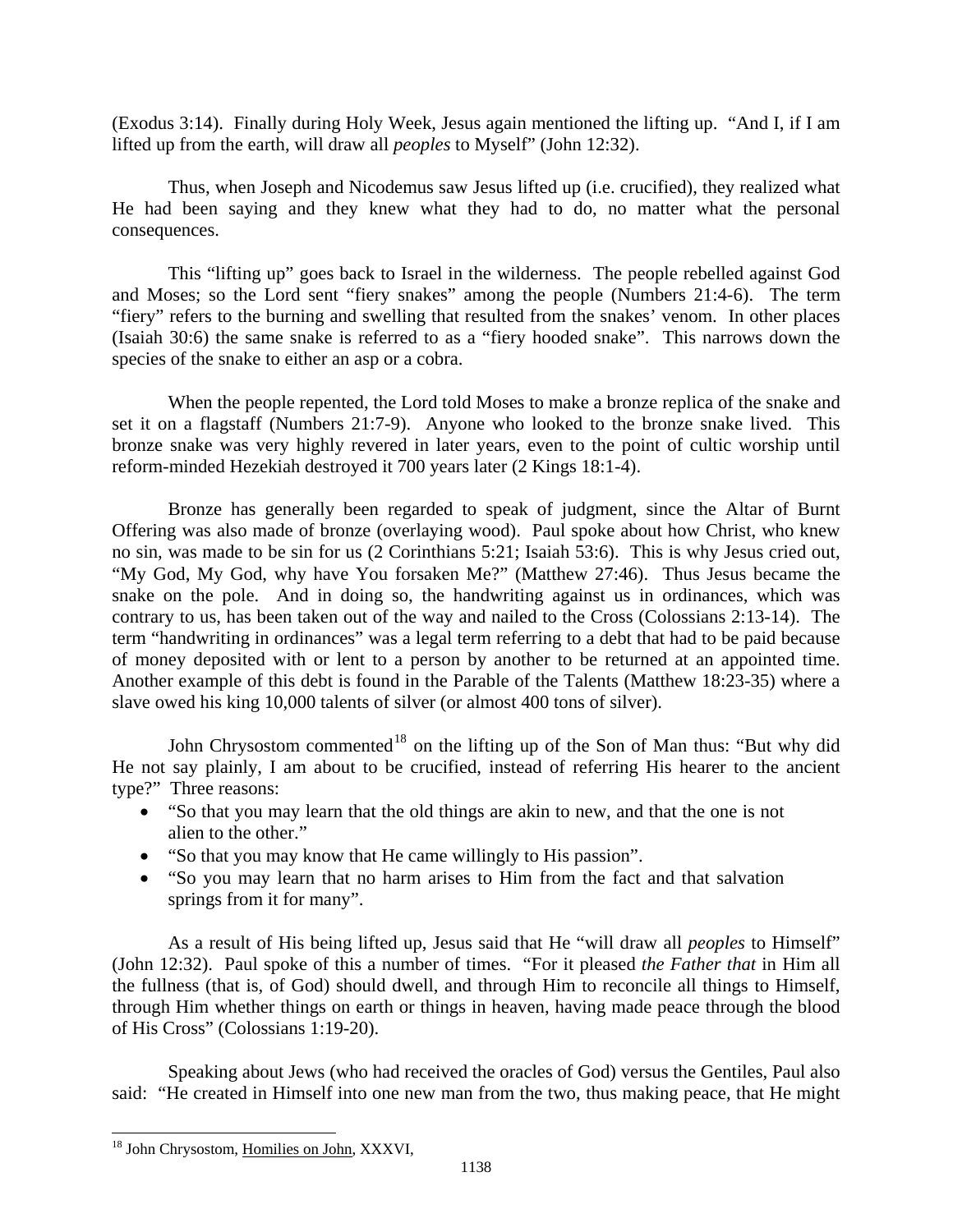(Exodus 3:14). Finally during Holy Week, Jesus again mentioned the lifting up. "And I, if I am lifted up from the earth, will draw all *peoples* to Myself" (John 12:32).

Thus, when Joseph and Nicodemus saw Jesus lifted up (i.e. crucified), they realized what He had been saying and they knew what they had to do, no matter what the personal consequences.

This "lifting up" goes back to Israel in the wilderness. The people rebelled against God and Moses; so the Lord sent "fiery snakes" among the people (Numbers 21:4-6). The term "fiery" refers to the burning and swelling that resulted from the snakes' venom. In other places (Isaiah 30:6) the same snake is referred to as a "fiery hooded snake". This narrows down the species of the snake to either an asp or a cobra.

When the people repented, the Lord told Moses to make a bronze replica of the snake and set it on a flagstaff (Numbers 21:7-9). Anyone who looked to the bronze snake lived. This bronze snake was very highly revered in later years, even to the point of cultic worship until reform-minded Hezekiah destroyed it 700 years later (2 Kings 18:1-4).

Bronze has generally been regarded to speak of judgment, since the Altar of Burnt Offering was also made of bronze (overlaying wood). Paul spoke about how Christ, who knew no sin, was made to be sin for us (2 Corinthians 5:21; Isaiah 53:6). This is why Jesus cried out, "My God, My God, why have You forsaken Me?" (Matthew 27:46). Thus Jesus became the snake on the pole. And in doing so, the handwriting against us in ordinances, which was contrary to us, has been taken out of the way and nailed to the Cross (Colossians 2:13-14). The term "handwriting in ordinances" was a legal term referring to a debt that had to be paid because of money deposited with or lent to a person by another to be returned at an appointed time. Another example of this debt is found in the Parable of the Talents (Matthew 18:23-35) where a slave owed his king 10,000 talents of silver (or almost 400 tons of silver).

type?" Three reasons: John Chrysostom commented<sup>[18](#page-9-0)</sup> on the lifting up of the Son of Man thus: "But why did He not say plainly, I am about to be crucified, instead of referring His hearer to the ancient

- "So that you may learn that the old things are akin to new, and that the one is not alien to the other."
- "So that you may know that He came willingly to His passion".
- "So you may learn that no harm arises to Him from the fact and that salvation springs from it for many".

As a result of His being lifted up, Jesus said that He "will draw all *peoples* to Himself" (John 12:32). Paul spoke of this a number of times. "For it pleased *the Father that* in Him all the fullness (that is, of God) should dwell, and through Him to reconcile all things to Himself, through Him whether things on earth or things in heaven, having made peace through the blood of His Cross" (Colossians 1:19-20).

Speaking about Jews (who had received the oracles of God) versus the Gentiles, Paul also said: "He created in Himself into one new man from the two, thus making peace, that He might

<span id="page-9-0"></span><sup>&</sup>lt;sup>18</sup> John Chrysostom, Homilies on John, XXXVI,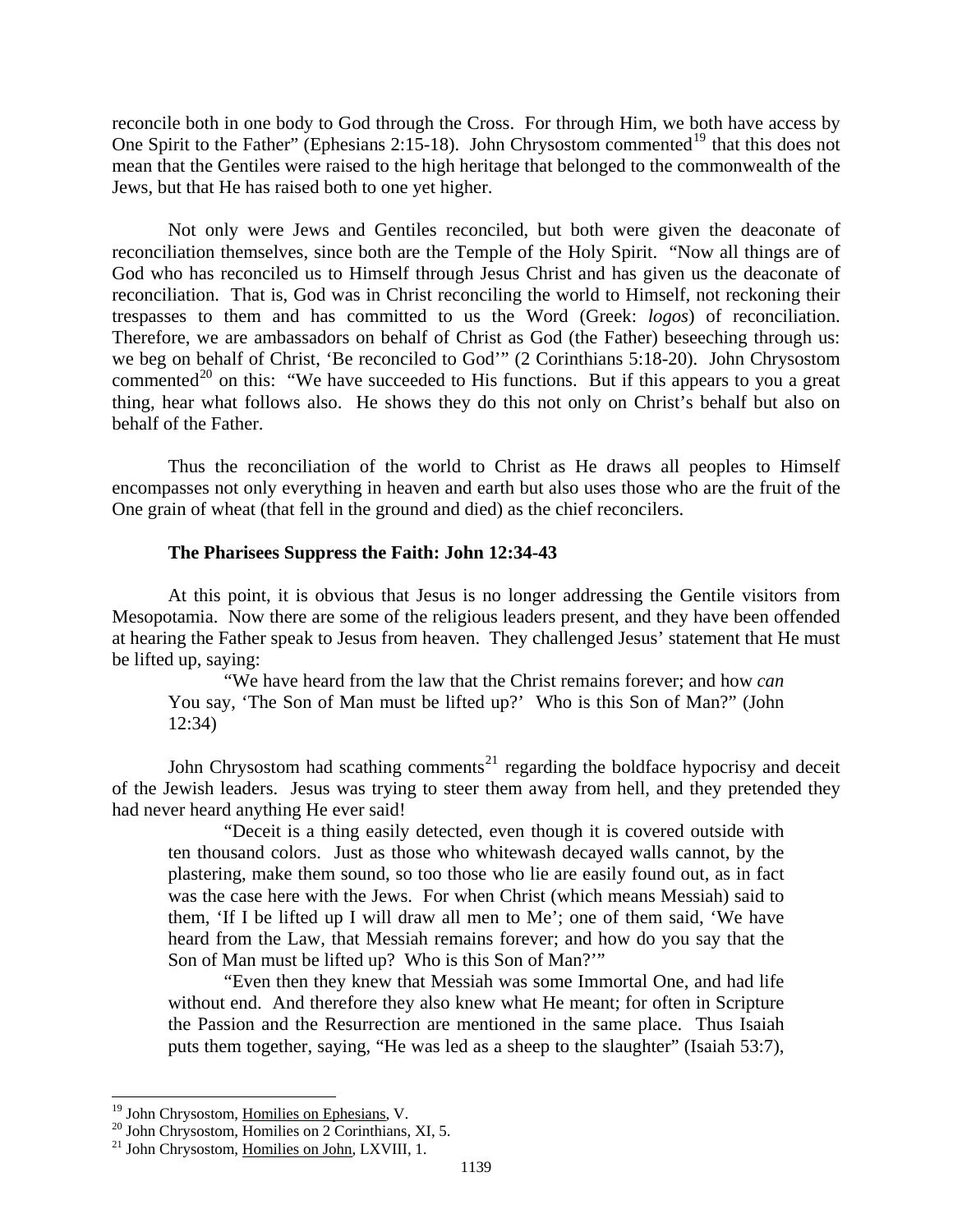<span id="page-10-0"></span>reconcile both in one body to God through the Cross. For through Him, we both have access by One Spirit to the Father" (Ephesians 2:15-18). John Chrysostom commented<sup>[19](#page-10-1)</sup> that this does not mean that the Gentiles were raised to the high heritage that belonged to the commonwealth of the Jews, but that He has raised both to one yet higher.

Not only were Jews and Gentiles reconciled, but both were given the deaconate of reconciliation themselves, since both are the Temple of the Holy Spirit. "Now all things are of God who has reconciled us to Himself through Jesus Christ and has given us the deaconate of reconciliation. That is, God was in Christ reconciling the world to Himself, not reckoning their trespasses to them and has committed to us the Word (Greek: *logos*) of reconciliation. Therefore, we are ambassadors on behalf of Christ as God (the Father) beseeching through us: we beg on behalf of Christ, 'Be reconciled to God'" (2 Corinthians 5:18-20). John Chrysostom commented<sup>[20](#page-10-2)</sup> on this: "We have succeeded to His functions. But if this appears to you a great thing, hear what follows also. He shows they do this not only on Christ's behalf but also on behalf of the Father.

Thus the reconciliation of the world to Christ as He draws all peoples to Himself encompasses not only everything in heaven and earth but also uses those who are the fruit of the One grain of wheat (that fell in the ground and died) as the chief reconcilers.

### **The Pharisees Suppress the Faith: John 12:34-43**

At this point, it is obvious that Jesus is no longer addressing the Gentile visitors from Mesopotamia. Now there are some of the religious leaders present, and they have been offended at hearing the Father speak to Jesus from heaven. They challenged Jesus' statement that He must be lifted up, saying:

"We have heard from the law that the Christ remains forever; and how *can*  You say, 'The Son of Man must be lifted up?' Who is this Son of Man?" (John 12:34)

John Chrysostom had scathing comments<sup>[21](#page-10-3)</sup> regarding the boldface hypocrisy and deceit of the Jewish leaders. Jesus was trying to steer them away from hell, and they pretended they had never heard anything He ever said!

"Deceit is a thing easily detected, even though it is covered outside with ten thousand colors. Just as those who whitewash decayed walls cannot, by the plastering, make them sound, so too those who lie are easily found out, as in fact was the case here with the Jews. For when Christ (which means Messiah) said to them, 'If I be lifted up I will draw all men to Me'; one of them said, 'We have heard from the Law, that Messiah remains forever; and how do you say that the Son of Man must be lifted up? Who is this Son of Man?'"

"Even then they knew that Messiah was some Immortal One, and had life without end. And therefore they also knew what He meant; for often in Scripture the Passion and the Resurrection are mentioned in the same place. Thus Isaiah puts them together, saying, "He was led as a sheep to the slaughter" (Isaiah 53:7),

<sup>&</sup>lt;sup>19</sup> John Chrysostom, Homilies on Ephesians, V.

<span id="page-10-2"></span><span id="page-10-1"></span> $10^{20}$  John Chrysostom, Homilies on 2 Corinthians, XI, 5.

<span id="page-10-3"></span><sup>&</sup>lt;sup>21</sup> John Chrysostom, Homilies on John, LXVIII, 1.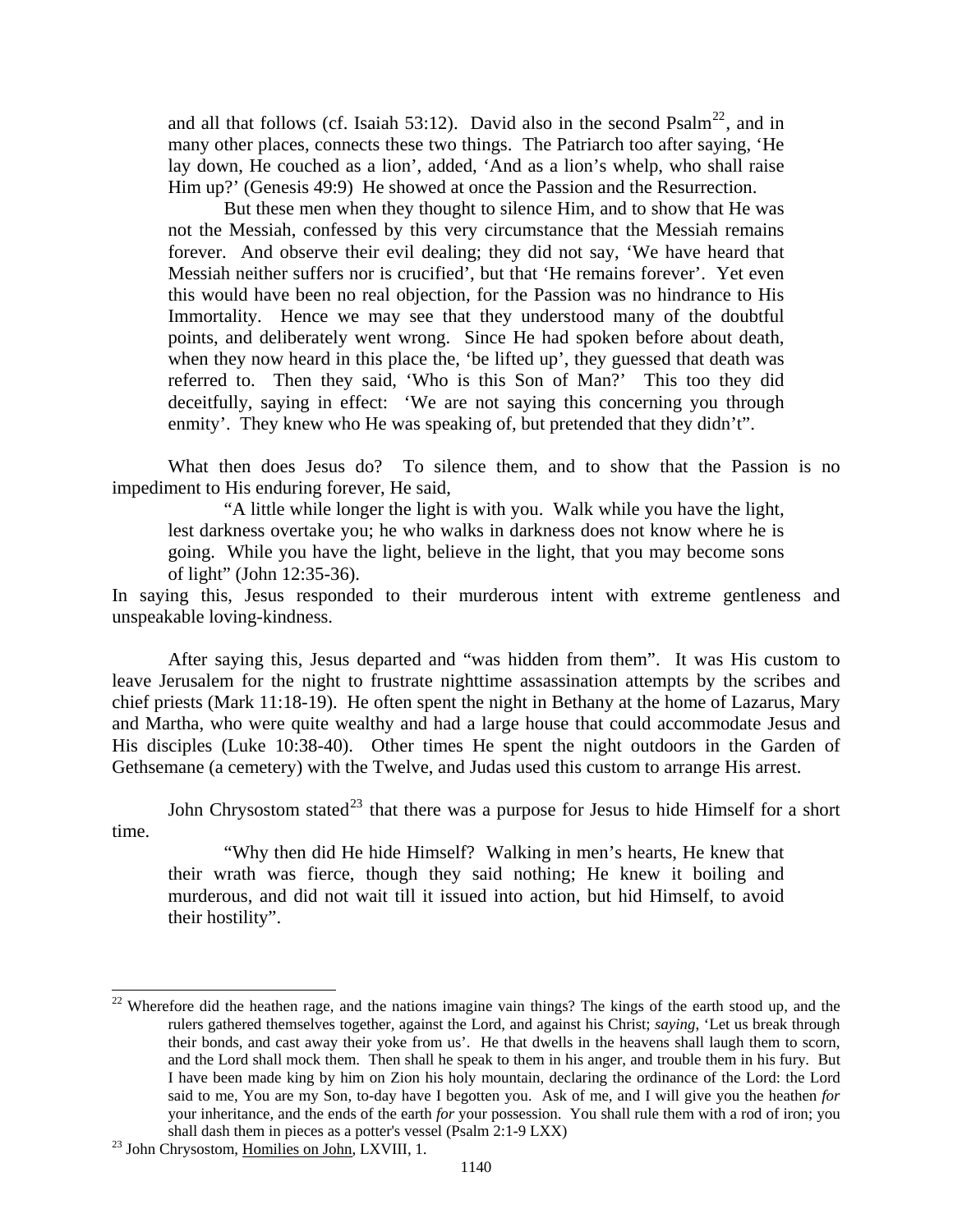and all that follows (cf. Isaiah 53:12). David also in the second Psalm<sup>[22](#page-11-0)</sup>, and in many other places, connects these two things. The Patriarch too after saying, 'He lay down, He couched as a lion', added, 'And as a lion's whelp, who shall raise Him up?' (Genesis 49:9) He showed at once the Passion and the Resurrection.

But these men when they thought to silence Him, and to show that He was not the Messiah, confessed by this very circumstance that the Messiah remains forever. And observe their evil dealing; they did not say, 'We have heard that Messiah neither suffers nor is crucified', but that 'He remains forever'. Yet even this would have been no real objection, for the Passion was no hindrance to His Immortality. Hence we may see that they understood many of the doubtful points, and deliberately went wrong. Since He had spoken before about death, when they now heard in this place the, 'be lifted up', they guessed that death was referred to. Then they said, 'Who is this Son of Man?' This too they did deceitfully, saying in effect: 'We are not saying this concerning you through enmity'. They knew who He was speaking of, but pretended that they didn't".

What then does Jesus do? To silence them, and to show that the Passion is no impediment to His enduring forever, He said,

"A little while longer the light is with you. Walk while you have the light, lest darkness overtake you; he who walks in darkness does not know where he is going. While you have the light, believe in the light, that you may become sons of light" (John 12:35-36).

In saying this, Jesus responded to their murderous intent with extreme gentleness and unspeakable loving-kindness.

After saying this, Jesus departed and "was hidden from them". It was His custom to leave Jerusalem for the night to frustrate nighttime assassination attempts by the scribes and chief priests (Mark 11:18-19). He often spent the night in Bethany at the home of Lazarus, Mary and Martha, who were quite wealthy and had a large house that could accommodate Jesus and His disciples (Luke 10:38-40). Other times He spent the night outdoors in the Garden of Gethsemane (a cemetery) with the Twelve, and Judas used this custom to arrange His arrest.

John Chrysostom stated<sup>[23](#page-11-1)</sup> that there was a purpose for Jesus to hide Himself for a short time.

"Why then did He hide Himself? Walking in men's hearts, He knew that their wrath was fierce, though they said nothing; He knew it boiling and murderous, and did not wait till it issued into action, but hid Himself, to avoid their hostility".

<span id="page-11-0"></span><sup>&</sup>lt;sup>22</sup> Wherefore did the heathen rage, and the nations imagine vain things? The kings of the earth stood up, and the rulers gathered themselves together, against the Lord, and against his Christ; *saying*, 'Let us break through their bonds, and cast away their yoke from us'. He that dwells in the heavens shall laugh them to scorn, and the Lord shall mock them. Then shall he speak to them in his anger, and trouble them in his fury. But I have been made king by him on Zion his holy mountain, declaring the ordinance of the Lord: the Lord said to me, You are my Son, to-day have I begotten you. Ask of me, and I will give you the heathen *for*  your inheritance, and the ends of the earth *for* your possession. You shall rule them with a rod of iron; you shall dash them in pieces as a potter's vessel (Psalm 2:1-9 LXX) 23 John Chrysostom, Homilies on John, LXVIII, 1.

<span id="page-11-1"></span>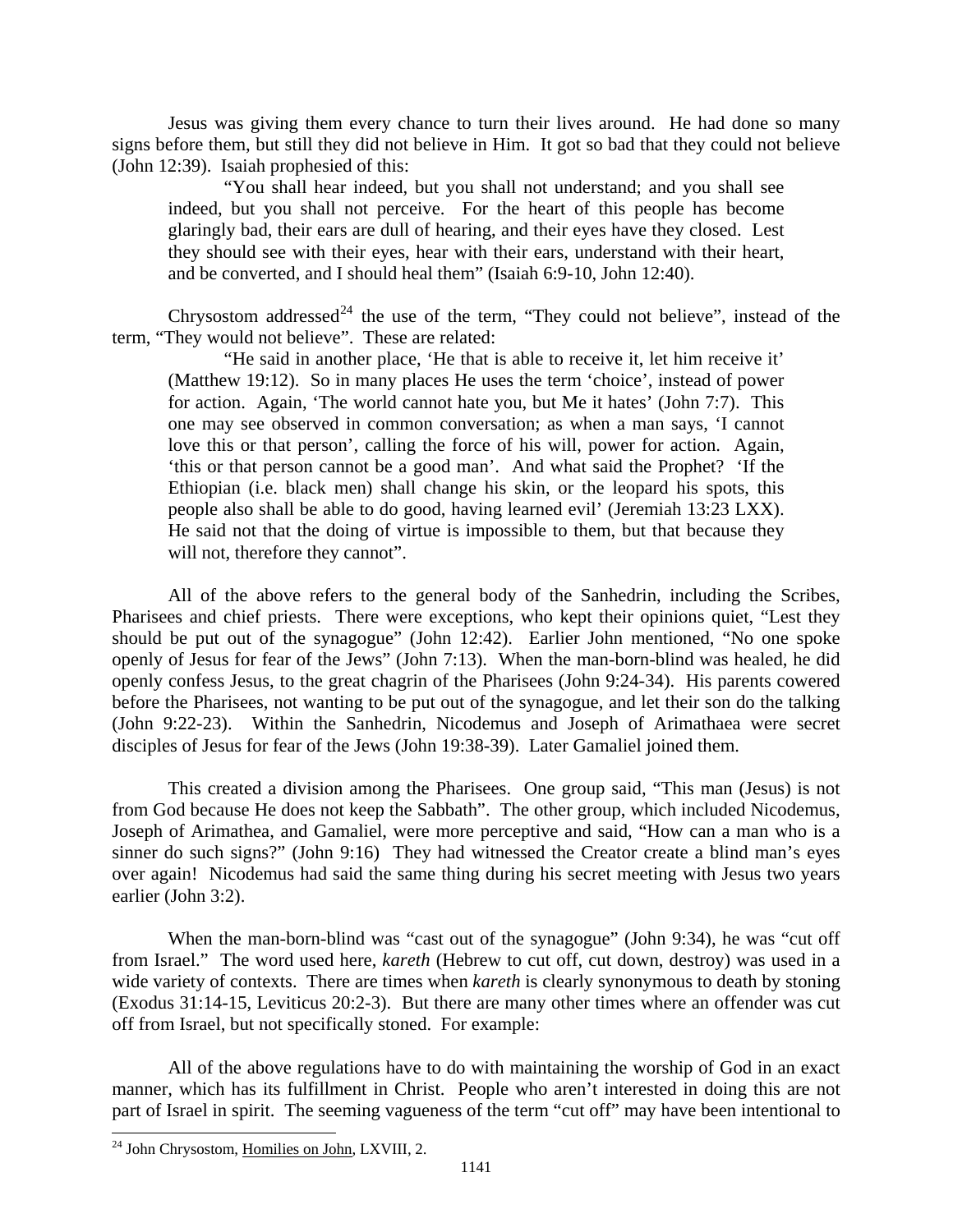Jesus was giving them every chance to turn their lives around. He had done so many signs before them, but still they did not believe in Him. It got so bad that they could not believe (John 12:39). Isaiah prophesied of this:

"You shall hear indeed, but you shall not understand; and you shall see indeed, but you shall not perceive. For the heart of this people has become glaringly bad, their ears are dull of hearing, and their eyes have they closed. Lest they should see with their eyes, hear with their ears, understand with their heart, and be converted, and I should heal them" (Isaiah 6:9-10, John 12:40).

Chrysostom addressed<sup>[24](#page-12-0)</sup> the use of the term, "They could not believe", instead of the term, "They would not believe". These are related:

"He said in another place, 'He that is able to receive it, let him receive it' (Matthew 19:12). So in many places He uses the term 'choice', instead of power for action. Again, 'The world cannot hate you, but Me it hates' (John 7:7). This one may see observed in common conversation; as when a man says, 'I cannot love this or that person', calling the force of his will, power for action. Again, 'this or that person cannot be a good man'. And what said the Prophet? 'If the Ethiopian (i.e. black men) shall change his skin, or the leopard his spots, this people also shall be able to do good, having learned evil' (Jeremiah 13:23 LXX). He said not that the doing of virtue is impossible to them, but that because they will not, therefore they cannot".

All of the above refers to the general body of the Sanhedrin, including the Scribes, Pharisees and chief priests. There were exceptions, who kept their opinions quiet, "Lest they should be put out of the synagogue" (John 12:42). Earlier John mentioned, "No one spoke openly of Jesus for fear of the Jews" (John 7:13). When the man-born-blind was healed, he did openly confess Jesus, to the great chagrin of the Pharisees (John 9:24-34). His parents cowered before the Pharisees, not wanting to be put out of the synagogue, and let their son do the talking (John 9:22-23). Within the Sanhedrin, Nicodemus and Joseph of Arimathaea were secret disciples of Jesus for fear of the Jews (John 19:38-39). Later Gamaliel joined them.

This created a division among the Pharisees. One group said, "This man (Jesus) is not from God because He does not keep the Sabbath". The other group, which included Nicodemus, Joseph of Arimathea, and Gamaliel, were more perceptive and said, "How can a man who is a sinner do such signs?" (John 9:16) They had witnessed the Creator create a blind man's eyes over again! Nicodemus had said the same thing during his secret meeting with Jesus two years earlier (John 3:2).

When the man-born-blind was "cast out of the synagogue" (John 9:34), he was "cut off from Israel." The word used here, *kareth* (Hebrew to cut off, cut down, destroy) was used in a wide variety of contexts. There are times when *kareth* is clearly synonymous to death by stoning (Exodus 31:14-15, Leviticus 20:2-3). But there are many other times where an offender was cut off from Israel, but not specifically stoned. For example:

All of the above regulations have to do with maintaining the worship of God in an exact manner, which has its fulfillment in Christ. People who aren't interested in doing this are not part of Israel in spirit. The seeming vagueness of the term "cut off" may have been intentional to

<span id="page-12-0"></span><sup>&</sup>lt;sup>24</sup> John Chrysostom, Homilies on John, LXVIII, 2.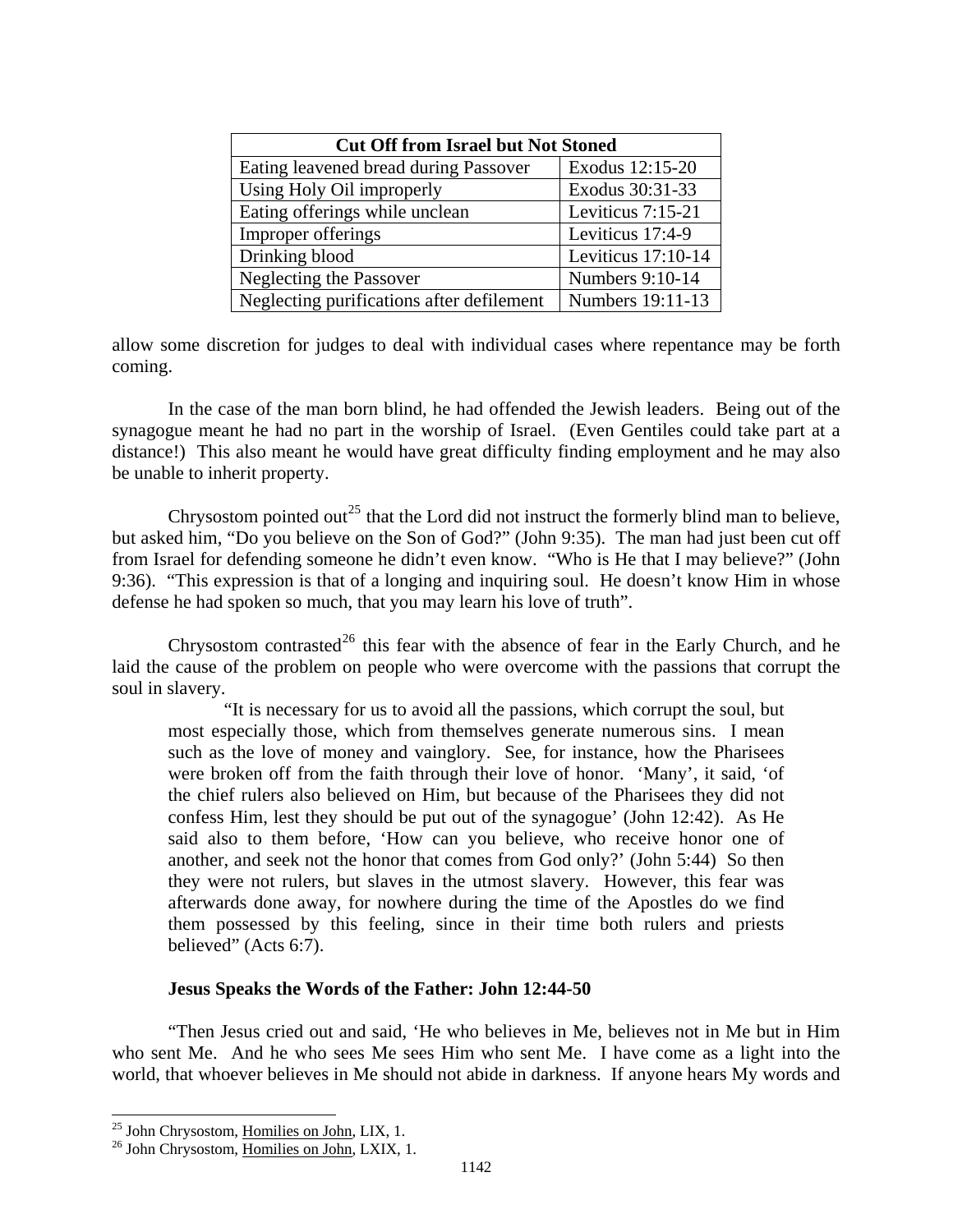<span id="page-13-0"></span>

| <b>Cut Off from Israel but Not Stoned</b> |                      |  |  |  |
|-------------------------------------------|----------------------|--|--|--|
| Eating leavened bread during Passover     | Exodus 12:15-20      |  |  |  |
| Using Holy Oil improperly                 | Exodus 30:31-33      |  |  |  |
| Eating offerings while unclean            | Leviticus 7:15-21    |  |  |  |
| Improper offerings                        | Leviticus 17:4-9     |  |  |  |
| Drinking blood                            | Leviticus $17:10-14$ |  |  |  |
| Neglecting the Passover                   | Numbers 9:10-14      |  |  |  |
| Neglecting purifications after defilement | Numbers 19:11-13     |  |  |  |

allow some discretion for judges to deal with individual cases where repentance may be forth coming.

In the case of the man born blind, he had offended the Jewish leaders. Being out of the synagogue meant he had no part in the worship of Israel. (Even Gentiles could take part at a distance!) This also meant he would have great difficulty finding employment and he may also be unable to inherit property.

Chrysostom pointed out<sup>[25](#page-13-1)</sup> that the Lord did not instruct the formerly blind man to believe, but asked him, "Do you believe on the Son of God?" (John 9:35). The man had just been cut off from Israel for defending someone he didn't even know. "Who is He that I may believe?" (John 9:36). "This expression is that of a longing and inquiring soul. He doesn't know Him in whose defense he had spoken so much, that you may learn his love of truth".

Chrysostom contrasted<sup>[26](#page-13-2)</sup> this fear with the absence of fear in the Early Church, and he laid the cause of the problem on people who were overcome with the passions that corrupt the soul in slavery.

"It is necessary for us to avoid all the passions, which corrupt the soul, but most especially those, which from themselves generate numerous sins. I mean such as the love of money and vainglory. See, for instance, how the Pharisees were broken off from the faith through their love of honor. 'Many', it said, 'of the chief rulers also believed on Him, but because of the Pharisees they did not confess Him, lest they should be put out of the synagogue' (John 12:42). As He said also to them before, 'How can you believe, who receive honor one of another, and seek not the honor that comes from God only?' (John 5:44) So then they were not rulers, but slaves in the utmost slavery. However, this fear was afterwards done away, for nowhere during the time of the Apostles do we find them possessed by this feeling, since in their time both rulers and priests believed" (Acts 6:7).

## **Jesus Speaks the Words of the Father: John 12:44-50**

"Then Jesus cried out and said, 'He who believes in Me, believes not in Me but in Him who sent Me. And he who sees Me sees Him who sent Me. I have come as a light into the world, that whoever believes in Me should not abide in darkness. If anyone hears My words and

<span id="page-13-1"></span><sup>&</sup>lt;sup>25</sup> John Chrysostom, Homilies on John, LIX, 1.

<span id="page-13-2"></span><sup>&</sup>lt;sup>26</sup> John Chrysostom, Homilies on John, LXIX, 1.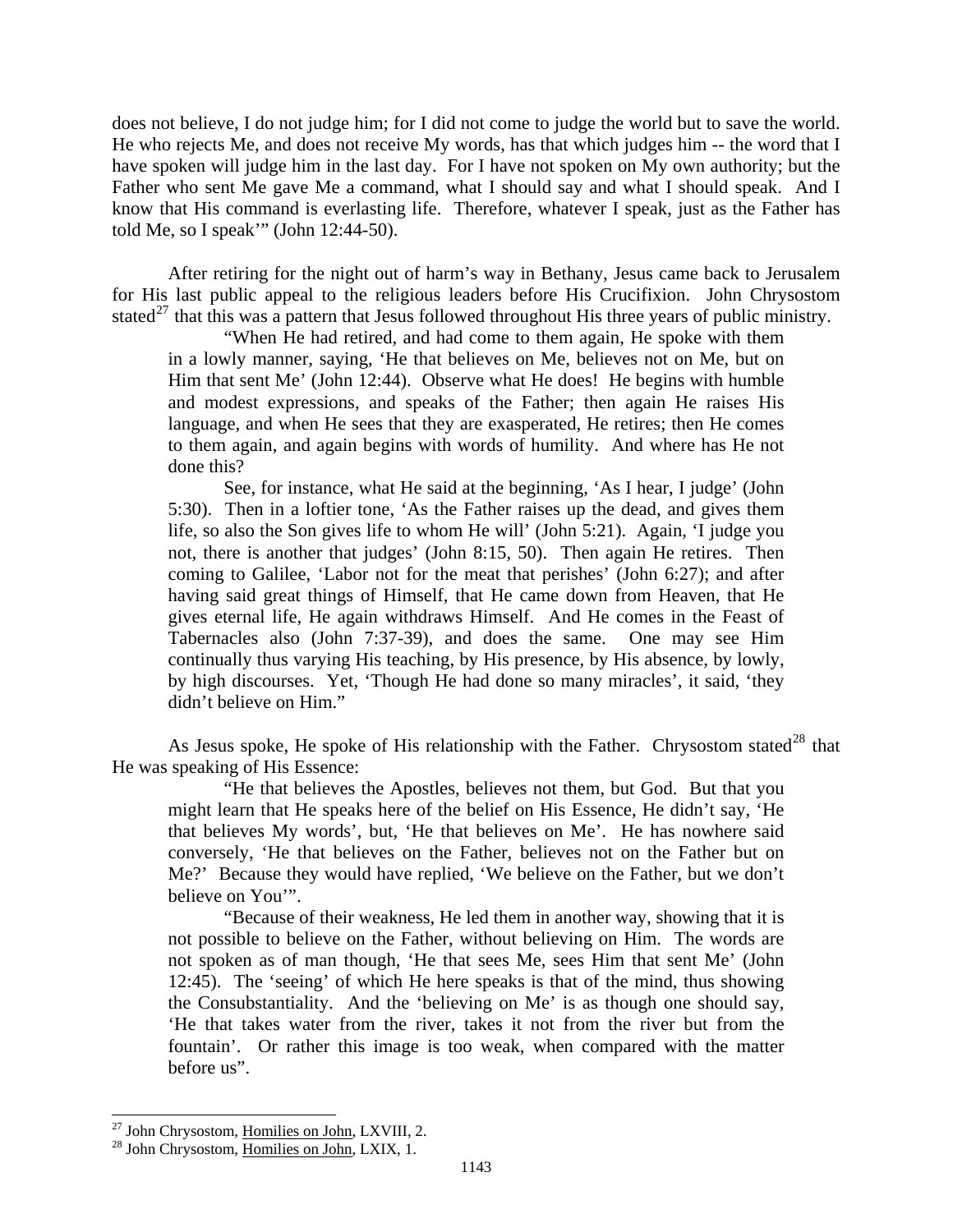does not believe, I do not judge him; for I did not come to judge the world but to save the world. He who rejects Me, and does not receive My words, has that which judges him -- the word that I have spoken will judge him in the last day. For I have not spoken on My own authority; but the Father who sent Me gave Me a command, what I should say and what I should speak. And I know that His command is everlasting life. Therefore, whatever I speak, just as the Father has told Me, so I speak'" (John 12:44-50).

After retiring for the night out of harm's way in Bethany, Jesus came back to Jerusalem for His last public appeal to the religious leaders before His Crucifixion. John Chrysostom stated<sup>[27](#page-14-0)</sup> that this was a pattern that Jesus followed throughout His three years of public ministry.

"When He had retired, and had come to them again, He spoke with them in a lowly manner, saying, 'He that believes on Me, believes not on Me, but on Him that sent Me' (John 12:44). Observe what He does! He begins with humble and modest expressions, and speaks of the Father; then again He raises His language, and when He sees that they are exasperated, He retires; then He comes to them again, and again begins with words of humility. And where has He not done this?

See, for instance, what He said at the beginning, 'As I hear, I judge' (John 5:30). Then in a loftier tone, 'As the Father raises up the dead, and gives them life, so also the Son gives life to whom He will' (John 5:21). Again, 'I judge you not, there is another that judges' (John 8:15, 50). Then again He retires. Then coming to Galilee, 'Labor not for the meat that perishes' (John 6:27); and after having said great things of Himself, that He came down from Heaven, that He gives eternal life, He again withdraws Himself. And He comes in the Feast of Tabernacles also (John 7:37-39), and does the same. One may see Him continually thus varying His teaching, by His presence, by His absence, by lowly, by high discourses. Yet, 'Though He had done so many miracles', it said, 'they didn't believe on Him."

As Jesus spoke, He spoke of His relationship with the Father. Chrysostom stated<sup>[28](#page-14-1)</sup> that He was speaking of His Essence:

"He that believes the Apostles, believes not them, but God. But that you might learn that He speaks here of the belief on His Essence, He didn't say, 'He that believes My words', but, 'He that believes on Me'. He has nowhere said conversely, 'He that believes on the Father, believes not on the Father but on Me?' Because they would have replied, 'We believe on the Father, but we don't believe on You'".

"Because of their weakness, He led them in another way, showing that it is not possible to believe on the Father, without believing on Him. The words are not spoken as of man though, 'He that sees Me, sees Him that sent Me' (John 12:45). The 'seeing' of which He here speaks is that of the mind, thus showing the Consubstantiality. And the 'believing on Me' is as though one should say, 'He that takes water from the river, takes it not from the river but from the fountain'. Or rather this image is too weak, when compared with the matter before us".

<sup>&</sup>lt;sup>27</sup> John Chrysostom, Homilies on John, LXVIII, 2.

<span id="page-14-1"></span><span id="page-14-0"></span> $28$  John Chrysostom,  $\overline{\text{Homilies}}$  on John, LXIX, 1.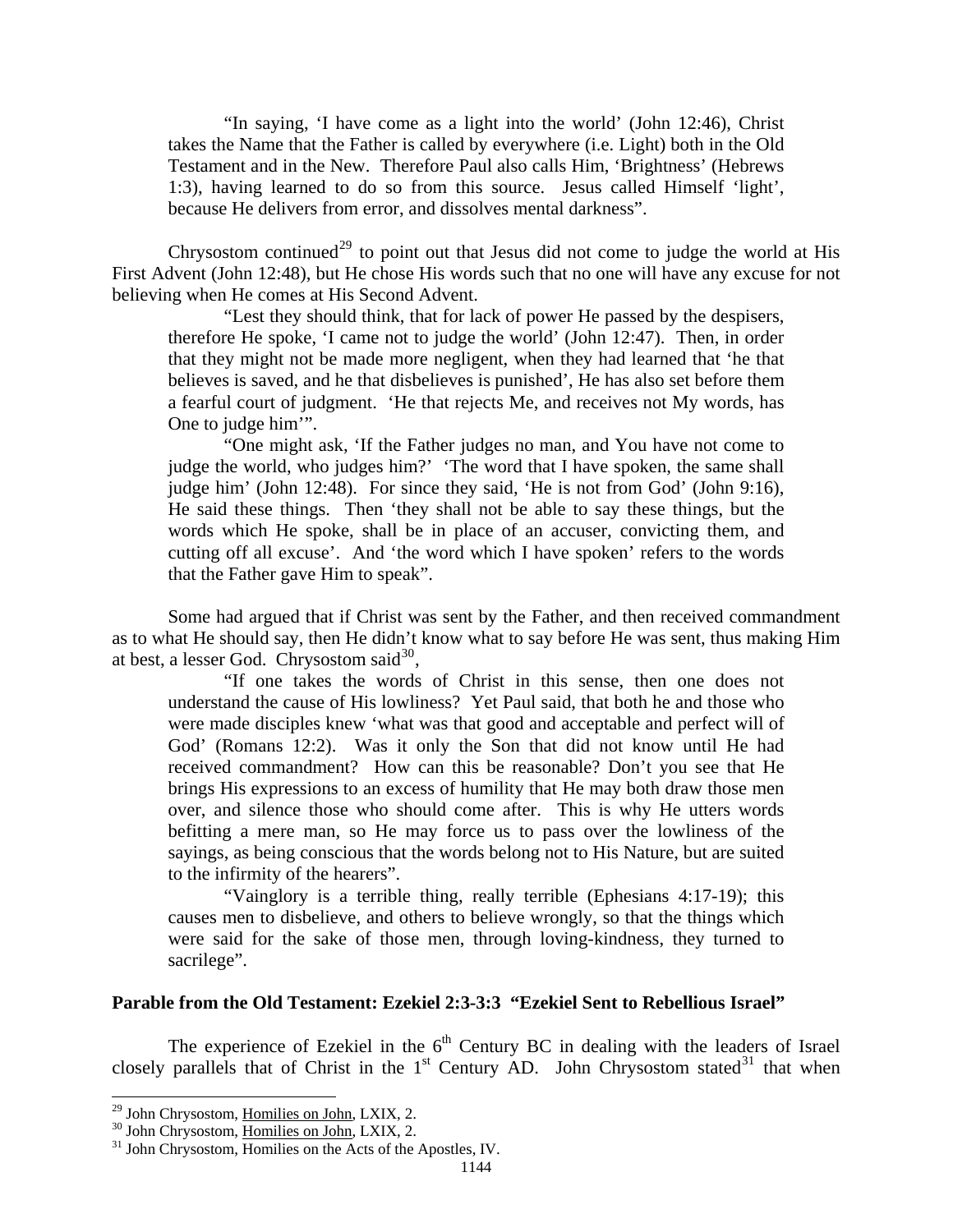<span id="page-15-0"></span>"In saying, 'I have come as a light into the world' (John 12:46), Christ takes the Name that the Father is called by everywhere (i.e. Light) both in the Old Testament and in the New. Therefore Paul also calls Him, 'Brightness' (Hebrews 1:3), having learned to do so from this source. Jesus called Himself 'light', because He delivers from error, and dissolves mental darkness".

Chrysostom continued<sup>[29](#page-15-1)</sup> to point out that Jesus did not come to judge the world at His First Advent (John 12:48), but He chose His words such that no one will have any excuse for not believing when He comes at His Second Advent.

"Lest they should think, that for lack of power He passed by the despisers, therefore He spoke, 'I came not to judge the world' (John 12:47). Then, in order that they might not be made more negligent, when they had learned that 'he that believes is saved, and he that disbelieves is punished', He has also set before them a fearful court of judgment. 'He that rejects Me, and receives not My words, has One to judge him'".

"One might ask, 'If the Father judges no man, and You have not come to judge the world, who judges him?' 'The word that I have spoken, the same shall judge him' (John 12:48). For since they said, 'He is not from God' (John 9:16), He said these things. Then 'they shall not be able to say these things, but the words which He spoke, shall be in place of an accuser, convicting them, and cutting off all excuse'. And 'the word which I have spoken' refers to the words that the Father gave Him to speak".

Some had argued that if Christ was sent by the Father, and then received commandment as to what He should say, then He didn't know what to say before He was sent, thus making Him at best, a lesser God. Chrysostom said $^{30}$  $^{30}$  $^{30}$ ,

"If one takes the words of Christ in this sense, then one does not understand the cause of His lowliness? Yet Paul said, that both he and those who were made disciples knew 'what was that good and acceptable and perfect will of God' (Romans 12:2). Was it only the Son that did not know until He had received commandment? How can this be reasonable? Don't you see that He brings His expressions to an excess of humility that He may both draw those men over, and silence those who should come after. This is why He utters words befitting a mere man, so He may force us to pass over the lowliness of the sayings, as being conscious that the words belong not to His Nature, but are suited to the infirmity of the hearers".

"Vainglory is a terrible thing, really terrible (Ephesians 4:17-19); this causes men to disbelieve, and others to believe wrongly, so that the things which were said for the sake of those men, through loving-kindness, they turned to sacrilege".

### **Parable from the Old Testament: Ezekiel 2:3-3:3 "Ezekiel Sent to Rebellious Israel"**

The experience of Ezekiel in the  $6<sup>th</sup>$  Century BC in dealing with the leaders of Israel closely parallels that of Christ in the  $1<sup>st</sup>$  Century AD. John Chrysostom stated<sup>[31](#page-15-3)</sup> that when

<span id="page-15-1"></span><sup>&</sup>lt;sup>29</sup> John Chrysostom, Homilies on John, LXIX, 2.

<span id="page-15-3"></span>

<span id="page-15-2"></span> $20$  John Chrysostom,  $\overline{\text{Homiles on John}}$ , LXIX, 2.<br><sup>31</sup> John Chrysostom, Homilies on the Acts of the Apostles, IV.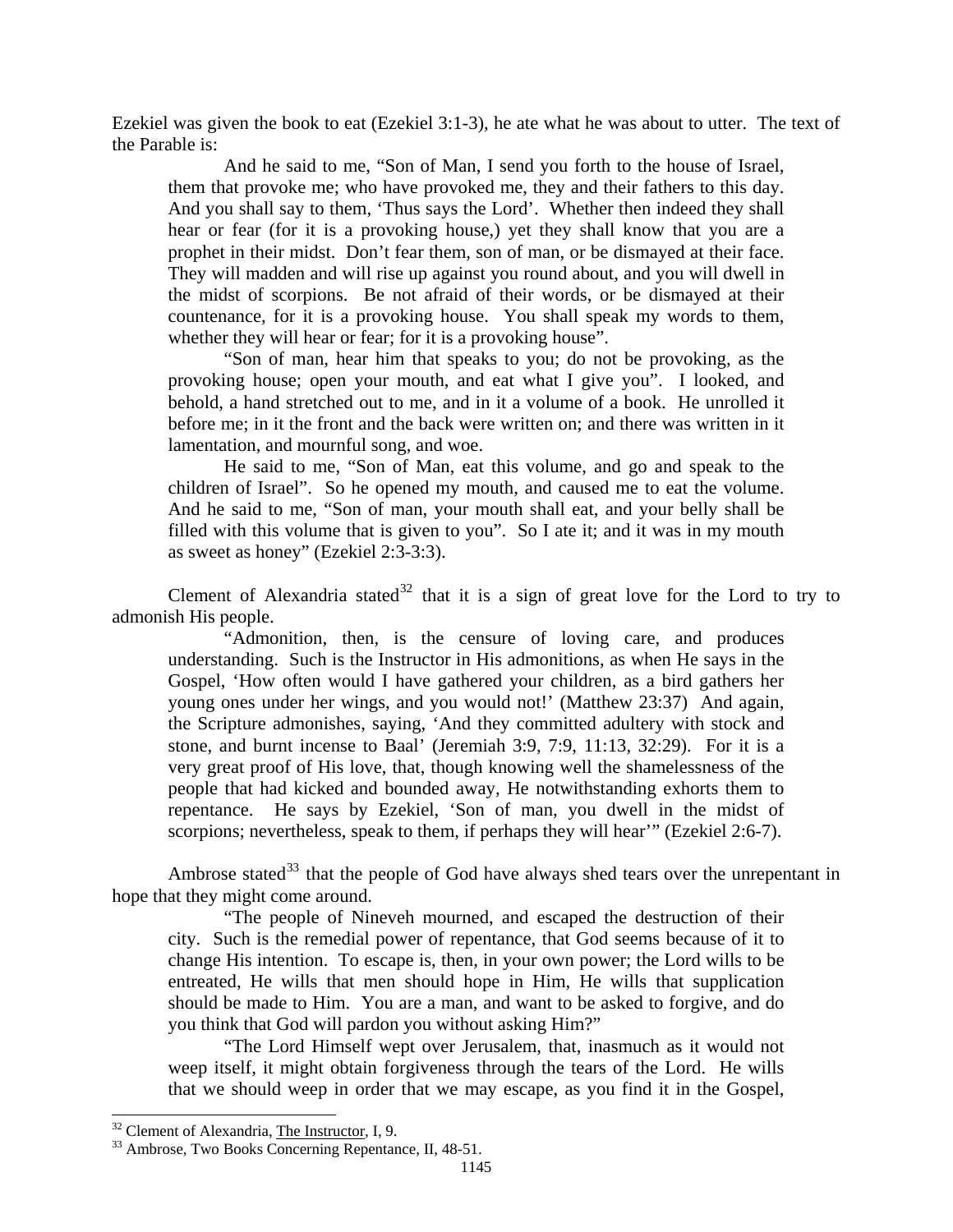Ezekiel was given the book to eat (Ezekiel 3:1-3), he ate what he was about to utter. The text of the Parable is:

And he said to me, "Son of Man, I send you forth to the house of Israel, them that provoke me; who have provoked me, they and their fathers to this day. And you shall say to them, 'Thus says the Lord'. Whether then indeed they shall hear or fear (for it is a provoking house,) yet they shall know that you are a prophet in their midst. Don't fear them, son of man, or be dismayed at their face. They will madden and will rise up against you round about, and you will dwell in the midst of scorpions. Be not afraid of their words, or be dismayed at their countenance, for it is a provoking house. You shall speak my words to them, whether they will hear or fear; for it is a provoking house".

"Son of man, hear him that speaks to you; do not be provoking, as the provoking house; open your mouth, and eat what I give you". I looked, and behold, a hand stretched out to me, and in it a volume of a book. He unrolled it before me; in it the front and the back were written on; and there was written in it lamentation, and mournful song, and woe.

He said to me, "Son of Man, eat this volume, and go and speak to the children of Israel". So he opened my mouth, and caused me to eat the volume. And he said to me, "Son of man, your mouth shall eat, and your belly shall be filled with this volume that is given to you". So I ate it; and it was in my mouth as sweet as honey" (Ezekiel 2:3-3:3).

Clement of Alexandria stated<sup>[32](#page-16-0)</sup> that it is a sign of great love for the Lord to try to admonish His people.

"Admonition, then, is the censure of loving care, and produces understanding. Such is the Instructor in His admonitions, as when He says in the Gospel, 'How often would I have gathered your children, as a bird gathers her young ones under her wings, and you would not!' (Matthew 23:37) And again, the Scripture admonishes, saying, 'And they committed adultery with stock and stone, and burnt incense to Baal' (Jeremiah 3:9, 7:9, 11:13, 32:29). For it is a very great proof of His love, that, though knowing well the shamelessness of the people that had kicked and bounded away, He notwithstanding exhorts them to repentance. He says by Ezekiel, 'Son of man, you dwell in the midst of scorpions; nevertheless, speak to them, if perhaps they will hear'" (Ezekiel 2:6-7).

Ambrose stated<sup>[33](#page-16-1)</sup> that the people of God have always shed tears over the unrepentant in hope that they might come around.

"The people of Nineveh mourned, and escaped the destruction of their city. Such is the remedial power of repentance, that God seems because of it to change His intention. To escape is, then, in your own power; the Lord wills to be entreated, He wills that men should hope in Him, He wills that supplication should be made to Him. You are a man, and want to be asked to forgive, and do you think that God will pardon you without asking Him?"

"The Lord Himself wept over Jerusalem, that, inasmuch as it would not weep itself, it might obtain forgiveness through the tears of the Lord. He wills that we should weep in order that we may escape, as you find it in the Gospel,

<span id="page-16-0"></span><sup>&</sup>lt;sup>32</sup> Clement of Alexandria, The Instructor, I, 9.

<span id="page-16-1"></span><sup>&</sup>lt;sup>33</sup> Ambrose, Two Books Concerning Repentance, II, 48-51.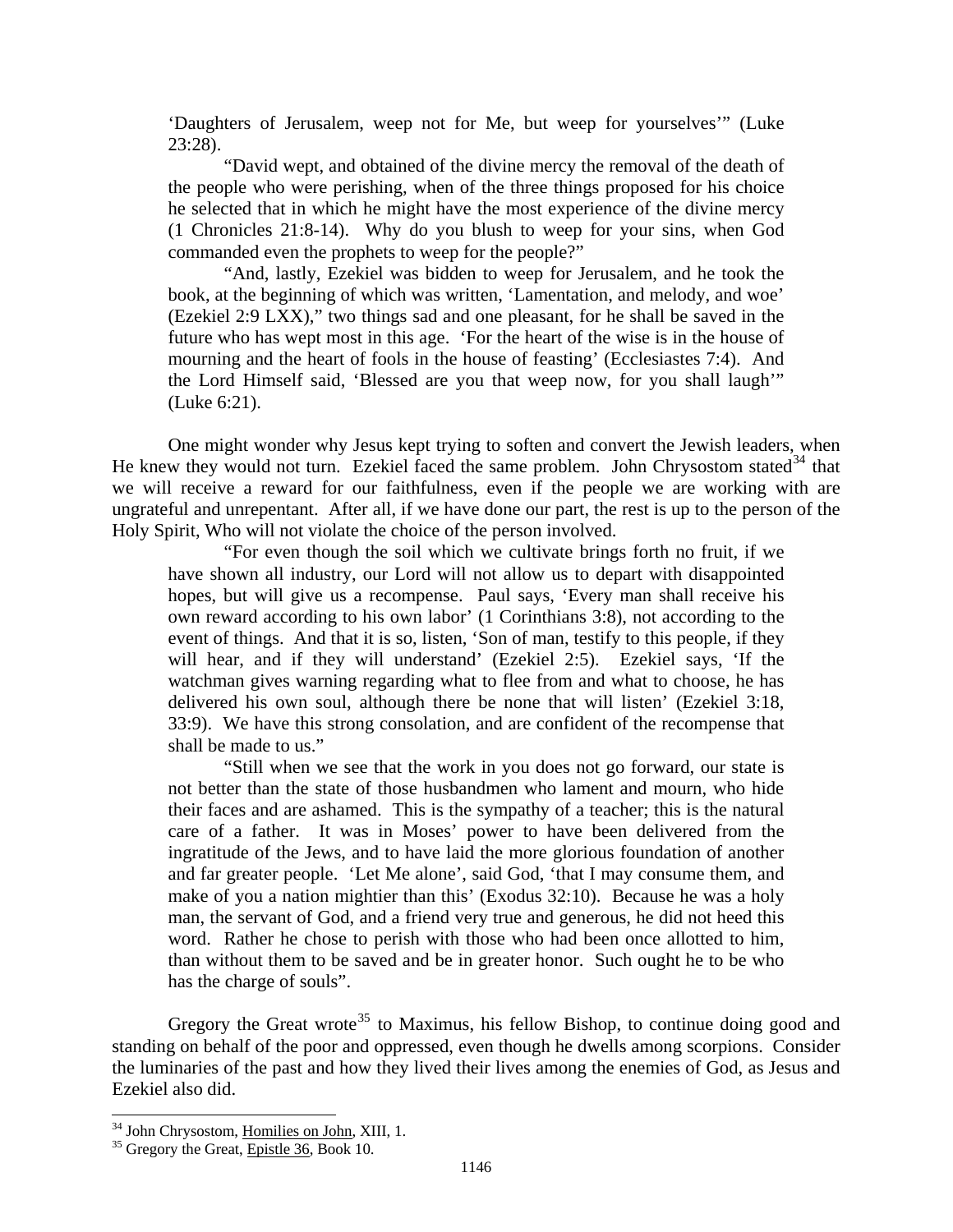'Daughters of Jerusalem, weep not for Me, but weep for yourselves'" (Luke 23:28).

"David wept, and obtained of the divine mercy the removal of the death of the people who were perishing, when of the three things proposed for his choice he selected that in which he might have the most experience of the divine mercy (1 Chronicles 21:8-14). Why do you blush to weep for your sins, when God commanded even the prophets to weep for the people?"

"And, lastly, Ezekiel was bidden to weep for Jerusalem, and he took the book, at the beginning of which was written, 'Lamentation, and melody, and woe' (Ezekiel 2:9 LXX)," two things sad and one pleasant, for he shall be saved in the future who has wept most in this age. 'For the heart of the wise is in the house of mourning and the heart of fools in the house of feasting' (Ecclesiastes 7:4). And the Lord Himself said, 'Blessed are you that weep now, for you shall laugh'" (Luke 6:21).

One might wonder why Jesus kept trying to soften and convert the Jewish leaders, when He knew they would not turn. Ezekiel faced the same problem. John Chrysostom stated<sup>[34](#page-17-0)</sup> that we will receive a reward for our faithfulness, even if the people we are working with are ungrateful and unrepentant. After all, if we have done our part, the rest is up to the person of the Holy Spirit, Who will not violate the choice of the person involved.

"For even though the soil which we cultivate brings forth no fruit, if we have shown all industry, our Lord will not allow us to depart with disappointed hopes, but will give us a recompense. Paul says, 'Every man shall receive his own reward according to his own labor' (1 Corinthians 3:8), not according to the event of things. And that it is so, listen, 'Son of man, testify to this people, if they will hear, and if they will understand' (Ezekiel 2:5). Ezekiel says, 'If the watchman gives warning regarding what to flee from and what to choose, he has delivered his own soul, although there be none that will listen' (Ezekiel 3:18, 33:9). We have this strong consolation, and are confident of the recompense that shall be made to us."

"Still when we see that the work in you does not go forward, our state is not better than the state of those husbandmen who lament and mourn, who hide their faces and are ashamed. This is the sympathy of a teacher; this is the natural care of a father. It was in Moses' power to have been delivered from the ingratitude of the Jews, and to have laid the more glorious foundation of another and far greater people. 'Let Me alone', said God, 'that I may consume them, and make of you a nation mightier than this' (Exodus 32:10). Because he was a holy man, the servant of God, and a friend very true and generous, he did not heed this word. Rather he chose to perish with those who had been once allotted to him, than without them to be saved and be in greater honor. Such ought he to be who has the charge of souls".

Gregory the Great wrote<sup>[35](#page-17-1)</sup> to Maximus, his fellow Bishop, to continue doing good and standing on behalf of the poor and oppressed, even though he dwells among scorpions. Consider the luminaries of the past and how they lived their lives among the enemies of God, as Jesus and Ezekiel also did.

<span id="page-17-0"></span><sup>&</sup>lt;sup>34</sup> John Chrysostom, <u>Homilies on John</u>, XIII, 1.<br><sup>35</sup> Gregory the Great, <u>Epistle 36</u>, Book 10.

<span id="page-17-1"></span>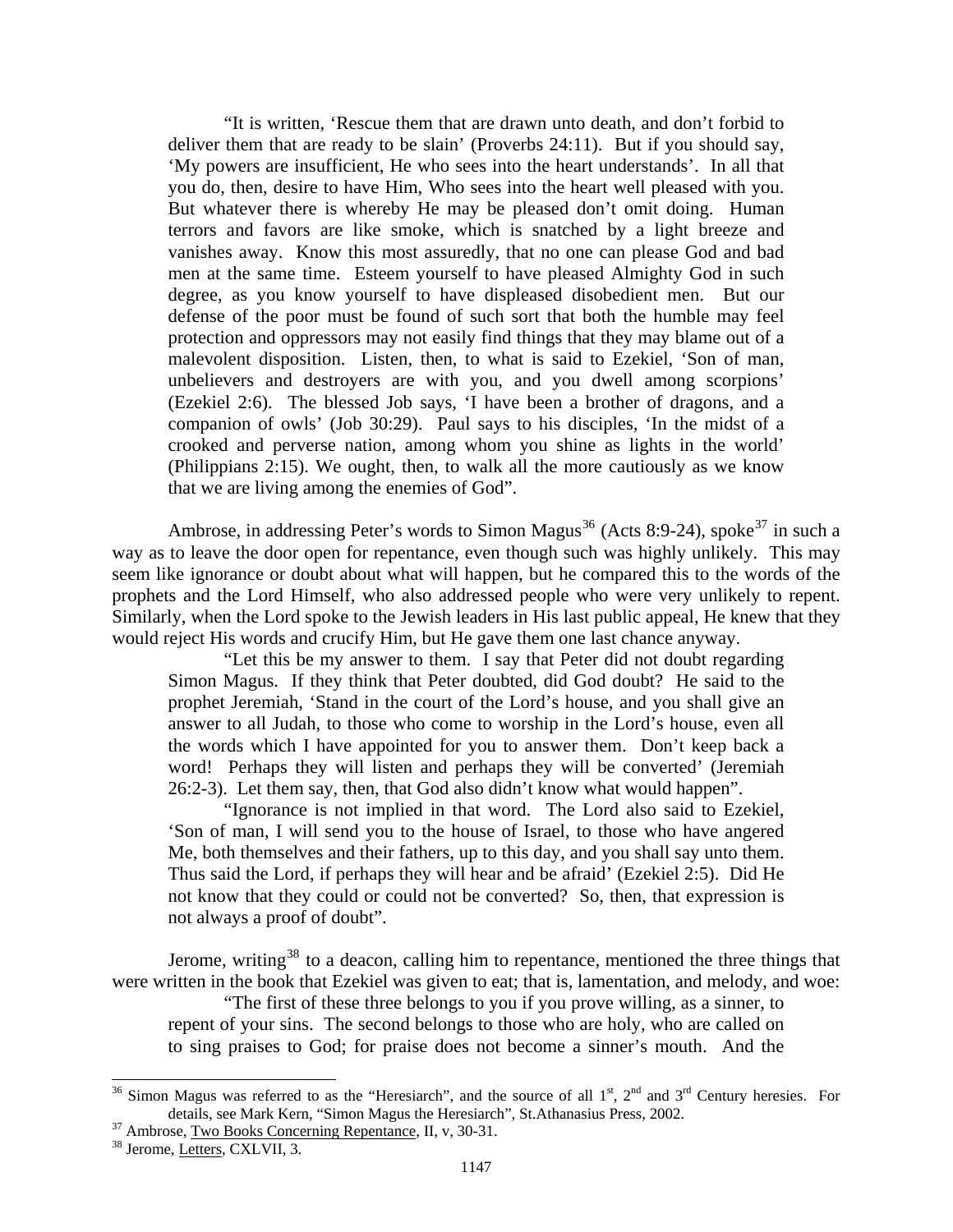"It is written, 'Rescue them that are drawn unto death, and don't forbid to deliver them that are ready to be slain' (Proverbs 24:11). But if you should say, 'My powers are insufficient, He who sees into the heart understands'. In all that you do, then, desire to have Him, Who sees into the heart well pleased with you. But whatever there is whereby He may be pleased don't omit doing. Human terrors and favors are like smoke, which is snatched by a light breeze and vanishes away. Know this most assuredly, that no one can please God and bad men at the same time. Esteem yourself to have pleased Almighty God in such degree, as you know yourself to have displeased disobedient men. But our defense of the poor must be found of such sort that both the humble may feel protection and oppressors may not easily find things that they may blame out of a malevolent disposition. Listen, then, to what is said to Ezekiel, 'Son of man, unbelievers and destroyers are with you, and you dwell among scorpions' (Ezekiel 2:6). The blessed Job says, 'I have been a brother of dragons, and a companion of owls' (Job 30:29). Paul says to his disciples, 'In the midst of a crooked and perverse nation, among whom you shine as lights in the world' (Philippians 2:15). We ought, then, to walk all the more cautiously as we know that we are living among the enemies of God".

Ambrose, in addressing Peter's words to Simon Magus<sup>[36](#page-18-0)</sup> (Acts 8:9-24), spoke<sup>[37](#page-18-1)</sup> in such a way as to leave the door open for repentance, even though such was highly unlikely. This may seem like ignorance or doubt about what will happen, but he compared this to the words of the prophets and the Lord Himself, who also addressed people who were very unlikely to repent. Similarly, when the Lord spoke to the Jewish leaders in His last public appeal, He knew that they would reject His words and crucify Him, but He gave them one last chance anyway.

"Let this be my answer to them. I say that Peter did not doubt regarding Simon Magus. If they think that Peter doubted, did God doubt? He said to the prophet Jeremiah, 'Stand in the court of the Lord's house, and you shall give an answer to all Judah, to those who come to worship in the Lord's house, even all the words which I have appointed for you to answer them. Don't keep back a word! Perhaps they will listen and perhaps they will be converted' (Jeremiah 26:2-3). Let them say, then, that God also didn't know what would happen".

"Ignorance is not implied in that word. The Lord also said to Ezekiel, 'Son of man, I will send you to the house of Israel, to those who have angered Me, both themselves and their fathers, up to this day, and you shall say unto them. Thus said the Lord, if perhaps they will hear and be afraid' (Ezekiel 2:5). Did He not know that they could or could not be converted? So, then, that expression is not always a proof of doubt".

Jerome, writing<sup>[38](#page-18-2)</sup> to a deacon, calling him to repentance, mentioned the three things that were written in the book that Ezekiel was given to eat; that is, lamentation, and melody, and woe:

"The first of these three belongs to you if you prove willing, as a sinner, to repent of your sins. The second belongs to those who are holy, who are called on to sing praises to God; for praise does not become a sinner's mouth. And the

<span id="page-18-0"></span><sup>&</sup>lt;sup>36</sup> Simon Magus was referred to as the "Heresiarch", and the source of all  $1<sup>st</sup>$ ,  $2<sup>nd</sup>$  and  $3<sup>rd</sup>$  Century heresies. For details, see Mark Kern, "Simon Magus the Heresiarch", St.Athanasius Press, 2002.<br><sup>37</sup> Ambrose, <u>Two Books Concerning Repentance</u>, II, v, 30-31.<br><sup>38</sup> Jerome, Letters, CXLVII, 3.

<span id="page-18-2"></span><span id="page-18-1"></span>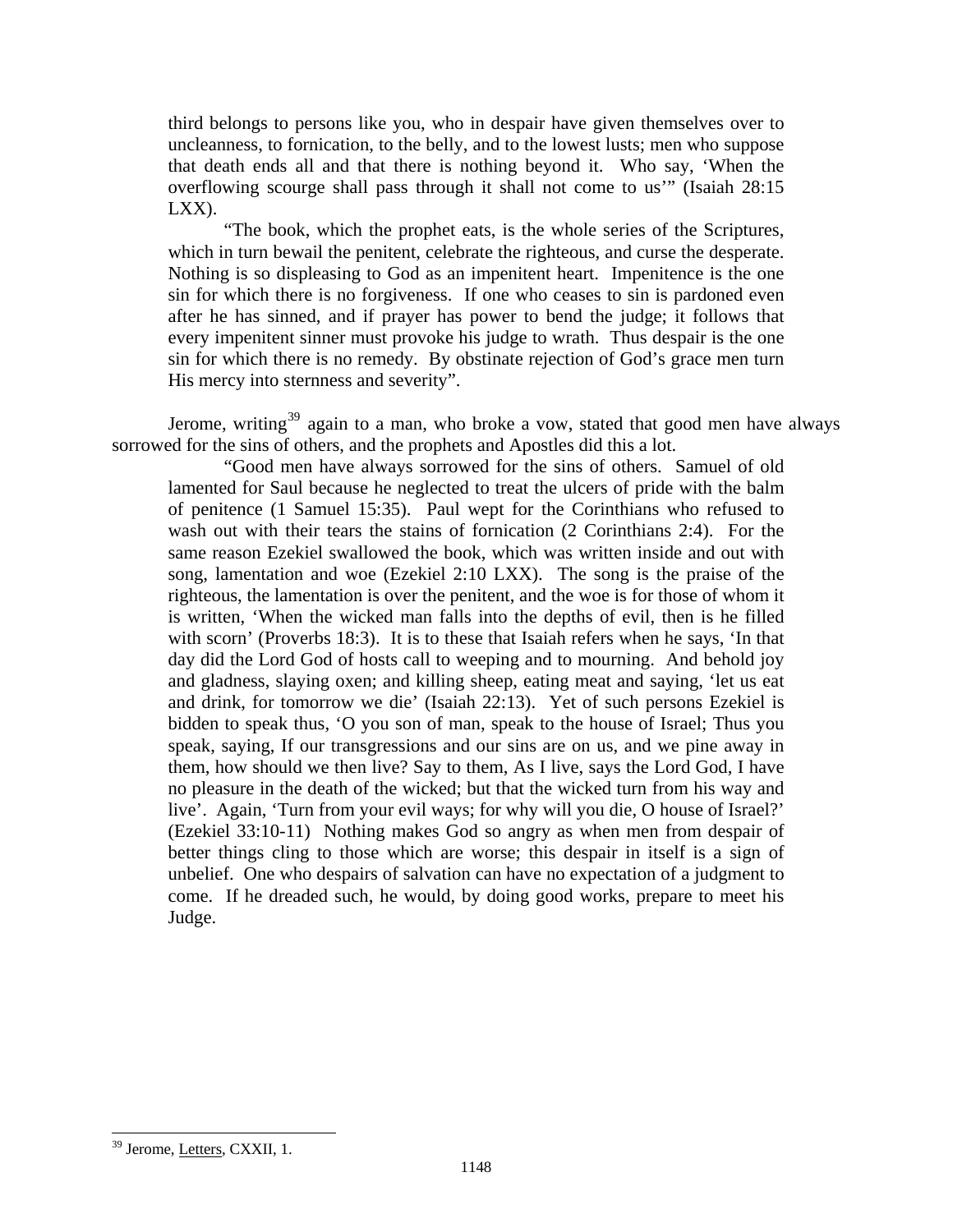third belongs to persons like you, who in despair have given themselves over to uncleanness, to fornication, to the belly, and to the lowest lusts; men who suppose that death ends all and that there is nothing beyond it. Who say, 'When the overflowing scourge shall pass through it shall not come to us'" (Isaiah 28:15 LXX).

"The book, which the prophet eats, is the whole series of the Scriptures, which in turn bewail the penitent, celebrate the righteous, and curse the desperate. Nothing is so displeasing to God as an impenitent heart. Impenitence is the one sin for which there is no forgiveness. If one who ceases to sin is pardoned even after he has sinned, and if prayer has power to bend the judge; it follows that every impenitent sinner must provoke his judge to wrath. Thus despair is the one sin for which there is no remedy. By obstinate rejection of God's grace men turn His mercy into sternness and severity".

Jerome, writing<sup>[39](#page-19-0)</sup> again to a man, who broke a vow, stated that good men have always sorrowed for the sins of others, and the prophets and Apostles did this a lot.

"Good men have always sorrowed for the sins of others. Samuel of old lamented for Saul because he neglected to treat the ulcers of pride with the balm of penitence (1 Samuel 15:35). Paul wept for the Corinthians who refused to wash out with their tears the stains of fornication (2 Corinthians 2:4). For the same reason Ezekiel swallowed the book, which was written inside and out with song, lamentation and woe (Ezekiel 2:10 LXX). The song is the praise of the righteous, the lamentation is over the penitent, and the woe is for those of whom it is written, 'When the wicked man falls into the depths of evil, then is he filled with scorn' (Proverbs 18:3). It is to these that Isaiah refers when he says, 'In that day did the Lord God of hosts call to weeping and to mourning. And behold joy and gladness, slaying oxen; and killing sheep, eating meat and saying, 'let us eat and drink, for tomorrow we die' (Isaiah 22:13). Yet of such persons Ezekiel is bidden to speak thus, 'O you son of man, speak to the house of Israel; Thus you speak, saying, If our transgressions and our sins are on us, and we pine away in them, how should we then live? Say to them, As I live, says the Lord God, I have no pleasure in the death of the wicked; but that the wicked turn from his way and live'. Again, 'Turn from your evil ways; for why will you die, O house of Israel?' (Ezekiel 33:10-11) Nothing makes God so angry as when men from despair of better things cling to those which are worse; this despair in itself is a sign of unbelief. One who despairs of salvation can have no expectation of a judgment to come. If he dreaded such, he would, by doing good works, prepare to meet his Judge.

<span id="page-19-0"></span><sup>&</sup>lt;sup>39</sup> Jerome, Letters, CXXII, 1.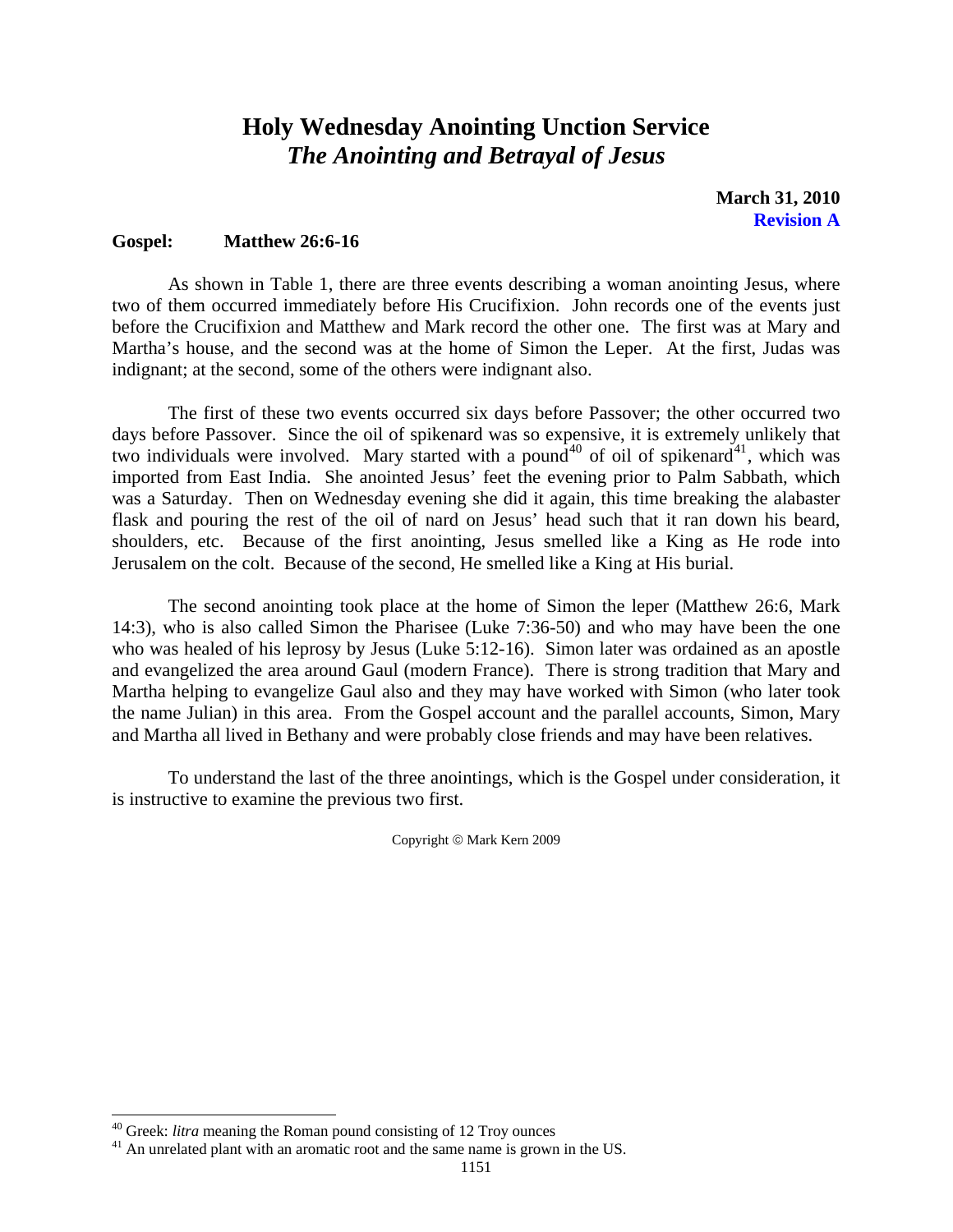# **Holy Wednesday Anointing Unction Service**  *The Anointing and Betrayal of Jesus*

**March 31, 2010 Revision A** 

## <span id="page-20-0"></span>**Gospel: Matthew 26:6-16**

 As shown in Table 1, there are three events describing a woman anointing Jesus, where two of them occurred immediately before His Crucifixion. John records one of the events just before the Crucifixion and Matthew and Mark record the other one. The first was at Mary and Martha's house, and the second was at the home of Simon the Leper. At the first, Judas was indignant; at the second, some of the others were indignant also.

 The first of these two events occurred six days before Passover; the other occurred two days before Passover. Since the oil of spikenard was so expensive, it is extremely unlikely that two individuals were involved. Mary started with a pound<sup>[40](#page-20-1)</sup> of oil of spikenard<sup>[41](#page-20-2)</sup>, which was imported from East India. She anointed Jesus' feet the evening prior to Palm Sabbath, which was a Saturday. Then on Wednesday evening she did it again, this time breaking the alabaster flask and pouring the rest of the oil of nard on Jesus' head such that it ran down his beard, shoulders, etc. Because of the first anointing, Jesus smelled like a King as He rode into Jerusalem on the colt. Because of the second, He smelled like a King at His burial.

The second anointing took place at the home of Simon the leper (Matthew 26:6, Mark 14:3), who is also called Simon the Pharisee (Luke 7:36-50) and who may have been the one who was healed of his leprosy by Jesus (Luke 5:12-16). Simon later was ordained as an apostle and evangelized the area around Gaul (modern France). There is strong tradition that Mary and Martha helping to evangelize Gaul also and they may have worked with Simon (who later took the name Julian) in this area. From the Gospel account and the parallel accounts, Simon, Mary and Martha all lived in Bethany and were probably close friends and may have been relatives.

To understand the last of the three anointings, which is the Gospel under consideration, it is instructive to examine the previous two first.

Copyright © Mark Kern 2009

<span id="page-20-1"></span> $40$  Greek: *litra* meaning the Roman pound consisting of 12 Troy ounces

<span id="page-20-2"></span> $^{41}$  An unrelated plant with an aromatic root and the same name is grown in the US.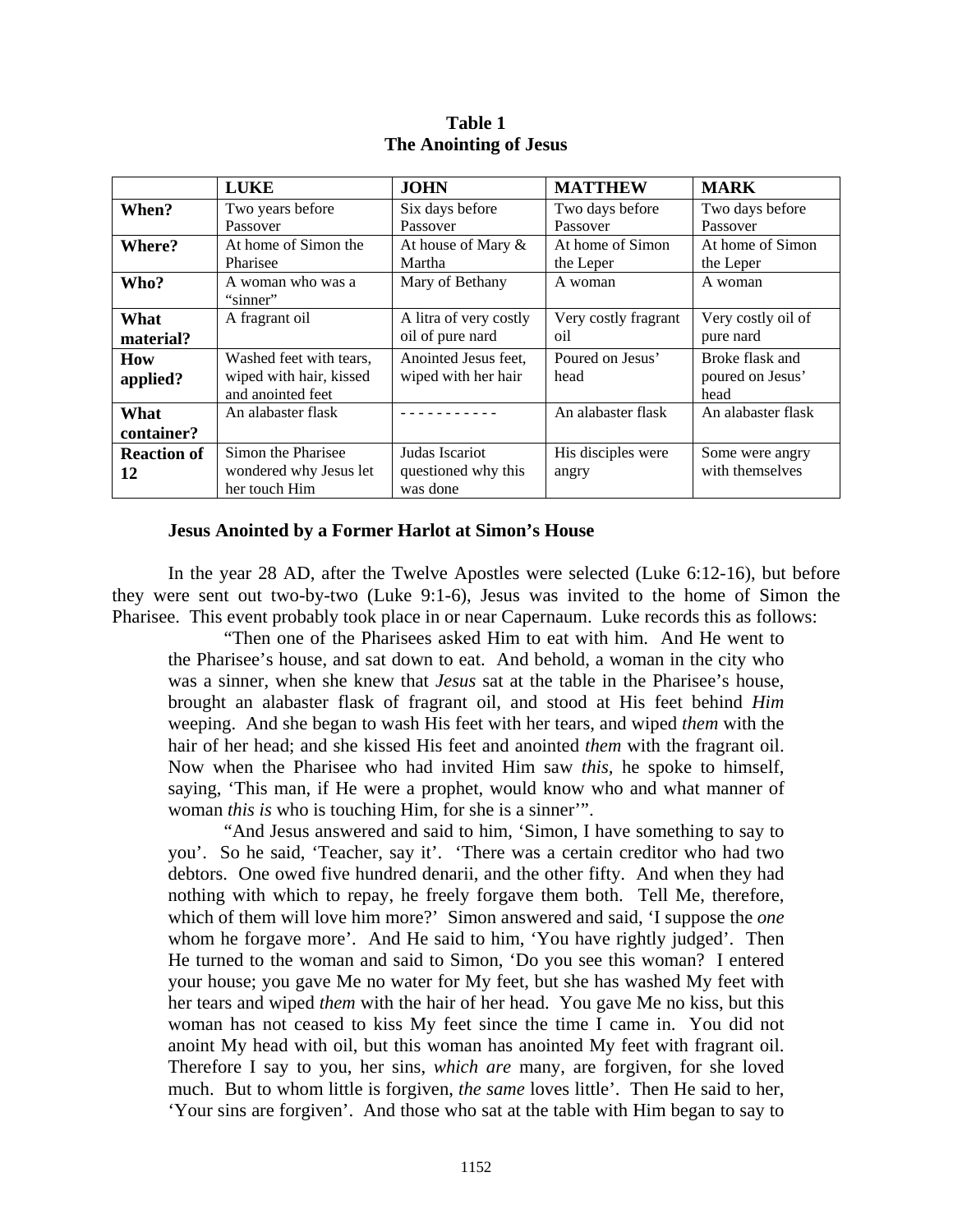<span id="page-21-0"></span>

|                          | <b>LUKE</b>                                                             | <b>JOHN</b>                                       | <b>MATTHEW</b>                | <b>MARK</b>                                 |
|--------------------------|-------------------------------------------------------------------------|---------------------------------------------------|-------------------------------|---------------------------------------------|
| When?                    | Two years before<br>Passover                                            | Six days before<br>Passover                       | Two days before<br>Passover   | Two days before<br>Passover                 |
| Where?                   | At home of Simon the<br>Pharisee                                        | At house of Mary &<br>Martha                      | At home of Simon<br>the Leper | At home of Simon<br>the Leper               |
| Who?                     | A woman who was a<br>"sinner"                                           | Mary of Bethany                                   | A woman                       | A woman                                     |
| What<br>material?        | A fragrant oil                                                          | A litra of very costly<br>oil of pure nard        | Very costly fragrant<br>oil   | Very costly oil of<br>pure nard             |
| How<br>applied?          | Washed feet with tears,<br>wiped with hair, kissed<br>and anointed feet | Anointed Jesus feet,<br>wiped with her hair       | Poured on Jesus'<br>head      | Broke flask and<br>poured on Jesus'<br>head |
| What<br>container?       | An alabaster flask                                                      |                                                   | An alabaster flask            | An alabaster flask                          |
| <b>Reaction of</b><br>12 | Simon the Pharisee<br>wondered why Jesus let<br>her touch Him           | Judas Iscariot<br>questioned why this<br>was done | His disciples were<br>angry   | Some were angry<br>with themselves          |

**Table 1 The Anointing of Jesus** 

### **Jesus Anointed by a Former Harlot at Simon's House**

In the year 28 AD, after the Twelve Apostles were selected (Luke 6:12-16), but before they were sent out two-by-two (Luke 9:1-6), Jesus was invited to the home of Simon the Pharisee. This event probably took place in or near Capernaum. Luke records this as follows:

"Then one of the Pharisees asked Him to eat with him. And He went to the Pharisee's house, and sat down to eat. And behold, a woman in the city who was a sinner, when she knew that *Jesus* sat at the table in the Pharisee's house, brought an alabaster flask of fragrant oil, and stood at His feet behind *Him* weeping. And she began to wash His feet with her tears, and wiped *them* with the hair of her head; and she kissed His feet and anointed *them* with the fragrant oil. Now when the Pharisee who had invited Him saw *this,* he spoke to himself, saying, 'This man, if He were a prophet, would know who and what manner of woman *this is* who is touching Him, for she is a sinner'".

"And Jesus answered and said to him, 'Simon, I have something to say to you'. So he said, 'Teacher, say it'. 'There was a certain creditor who had two debtors. One owed five hundred denarii, and the other fifty. And when they had nothing with which to repay, he freely forgave them both. Tell Me, therefore, which of them will love him more?' Simon answered and said, 'I suppose the *one* whom he forgave more'. And He said to him, 'You have rightly judged'. Then He turned to the woman and said to Simon, 'Do you see this woman? I entered your house; you gave Me no water for My feet, but she has washed My feet with her tears and wiped *them* with the hair of her head. You gave Me no kiss, but this woman has not ceased to kiss My feet since the time I came in. You did not anoint My head with oil, but this woman has anointed My feet with fragrant oil. Therefore I say to you, her sins, *which are* many, are forgiven, for she loved much. But to whom little is forgiven, *the same* loves little'. Then He said to her, 'Your sins are forgiven'. And those who sat at the table with Him began to say to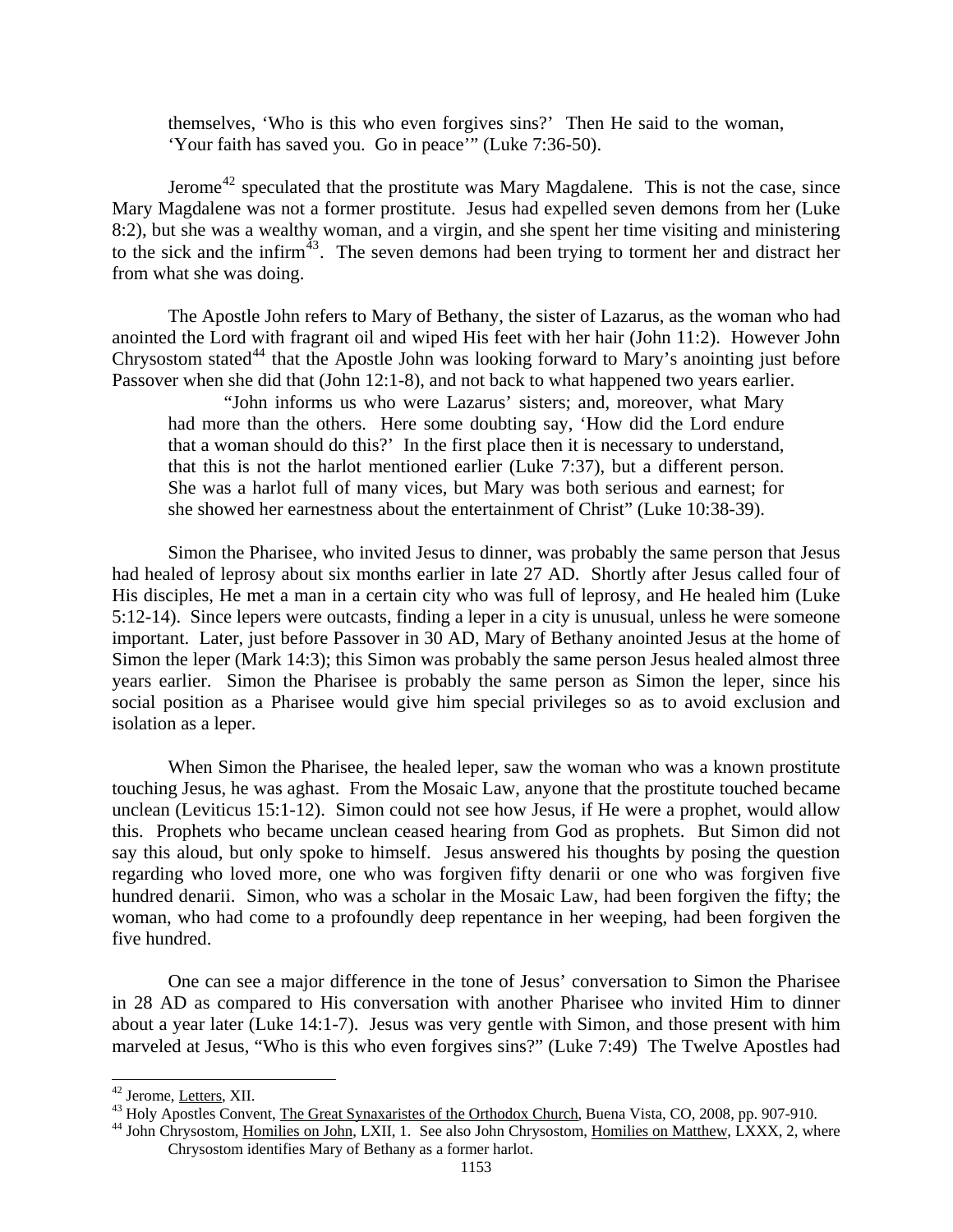themselves, 'Who is this who even forgives sins?' Then He said to the woman, 'Your faith has saved you. Go in peace'" (Luke 7:36-50).

Jerome<sup>[42](#page-22-0)</sup> speculated that the prostitute was Mary Magdalene. This is not the case, since Mary Magdalene was not a former prostitute. Jesus had expelled seven demons from her (Luke 8:2), but she was a wealthy woman, and a virgin, and she spent her time visiting and ministering to the sick and the infirm $43$ . The seven demons had been trying to torment her and distract her from what she was doing.

The Apostle John refers to Mary of Bethany, the sister of Lazarus, as the woman who had anointed the Lord with fragrant oil and wiped His feet with her hair (John 11:2). However John Chrysostom stated<sup>[44](#page-22-2)</sup> that the Apostle John was looking forward to Mary's anointing just before Passover when she did that (John 12:1-8), and not back to what happened two years earlier.

"John informs us who were Lazarus' sisters; and, moreover, what Mary had more than the others. Here some doubting say, 'How did the Lord endure that a woman should do this?' In the first place then it is necessary to understand, that this is not the harlot mentioned earlier (Luke 7:37), but a different person. She was a harlot full of many vices, but Mary was both serious and earnest; for she showed her earnestness about the entertainment of Christ" (Luke 10:38-39).

Simon the Pharisee, who invited Jesus to dinner, was probably the same person that Jesus had healed of leprosy about six months earlier in late 27 AD. Shortly after Jesus called four of His disciples, He met a man in a certain city who was full of leprosy, and He healed him (Luke 5:12-14). Since lepers were outcasts, finding a leper in a city is unusual, unless he were someone important. Later, just before Passover in 30 AD, Mary of Bethany anointed Jesus at the home of Simon the leper (Mark 14:3); this Simon was probably the same person Jesus healed almost three years earlier. Simon the Pharisee is probably the same person as Simon the leper, since his social position as a Pharisee would give him special privileges so as to avoid exclusion and isolation as a leper.

When Simon the Pharisee, the healed leper, saw the woman who was a known prostitute touching Jesus, he was aghast. From the Mosaic Law, anyone that the prostitute touched became unclean (Leviticus 15:1-12). Simon could not see how Jesus, if He were a prophet, would allow this. Prophets who became unclean ceased hearing from God as prophets. But Simon did not say this aloud, but only spoke to himself. Jesus answered his thoughts by posing the question regarding who loved more, one who was forgiven fifty denarii or one who was forgiven five hundred denarii. Simon, who was a scholar in the Mosaic Law, had been forgiven the fifty; the woman, who had come to a profoundly deep repentance in her weeping, had been forgiven the five hundred.

One can see a major difference in the tone of Jesus' conversation to Simon the Pharisee in 28 AD as compared to His conversation with another Pharisee who invited Him to dinner about a year later (Luke 14:1-7). Jesus was very gentle with Simon, and those present with him marveled at Jesus, "Who is this who even forgives sins?" (Luke 7:49) The Twelve Apostles had

<span id="page-22-2"></span>

<span id="page-22-1"></span><span id="page-22-0"></span><sup>&</sup>lt;sup>42</sup> Jerome, <u>Letters</u>, XII.<br><sup>43</sup> Holy Apostles Convent, <u>The Great Synaxaristes of the Orthodox Church</u>, Buena Vista, CO, 2008, pp. 907-910.<br><sup>44</sup> John Chrysostom, <u>Homilies on John</u>, LXII, 1. See also John Chrysostom, <u>Ho</u> Chrysostom identifies Mary of Bethany as a former harlot.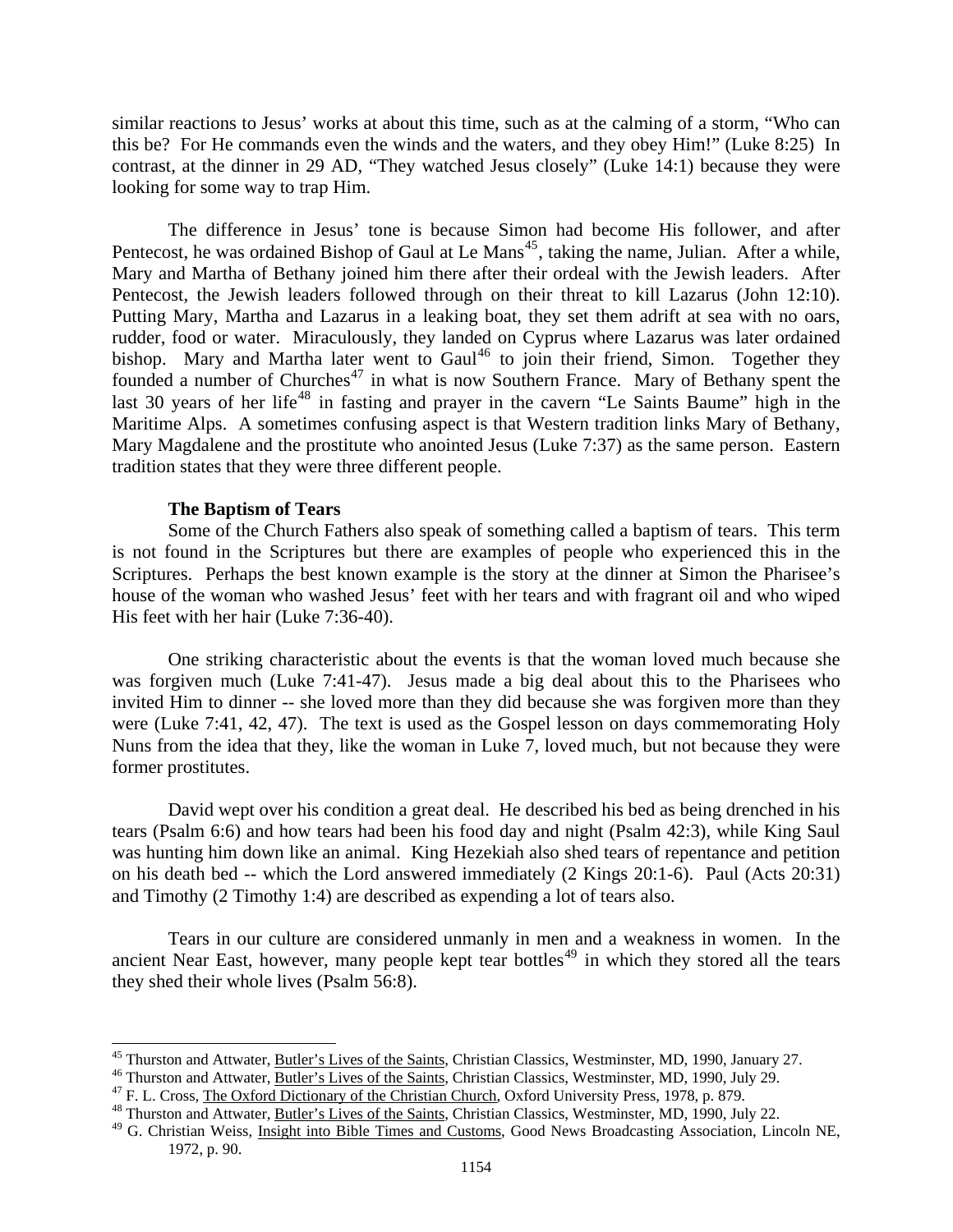<span id="page-23-0"></span>similar reactions to Jesus' works at about this time, such as at the calming of a storm, "Who can this be? For He commands even the winds and the waters, and they obey Him!" (Luke 8:25) In contrast, at the dinner in 29 AD, "They watched Jesus closely" (Luke 14:1) because they were looking for some way to trap Him.

The difference in Jesus' tone is because Simon had become His follower, and after Pentecost, he was ordained Bishop of Gaul at Le Mans<sup>[45](#page-23-1)</sup>, taking the name, Julian. After a while, Mary and Martha of Bethany joined him there after their ordeal with the Jewish leaders. After Pentecost, the Jewish leaders followed through on their threat to kill Lazarus (John 12:10). Putting Mary, Martha and Lazarus in a leaking boat, they set them adrift at sea with no oars, rudder, food or water. Miraculously, they landed on Cyprus where Lazarus was later ordained bishop. Mary and Martha later went to Gaul<sup>[46](#page-23-2)</sup> to join their friend, Simon. Together they founded a number of Churches<sup>[47](#page-23-3)</sup> in what is now Southern France. Mary of Bethany spent the last 30 years of her life<sup>[48](#page-23-4)</sup> in fasting and prayer in the cavern "Le Saints Baume" high in the Maritime Alps. A sometimes confusing aspect is that Western tradition links Mary of Bethany, Mary Magdalene and the prostitute who anointed Jesus (Luke 7:37) as the same person. Eastern tradition states that they were three different people.

## **The Baptism of Tears**

 $\overline{\phantom{a}}$ 

 Some of the Church Fathers also speak of something called a baptism of tears. This term is not found in the Scriptures but there are examples of people who experienced this in the Scriptures. Perhaps the best known example is the story at the dinner at Simon the Pharisee's house of the woman who washed Jesus' feet with her tears and with fragrant oil and who wiped His feet with her hair (Luke 7:36-40).

 One striking characteristic about the events is that the woman loved much because she was forgiven much (Luke 7:41-47). Jesus made a big deal about this to the Pharisees who invited Him to dinner -- she loved more than they did because she was forgiven more than they were (Luke 7:41, 42, 47). The text is used as the Gospel lesson on days commemorating Holy Nuns from the idea that they, like the woman in Luke 7, loved much, but not because they were former prostitutes.

 David wept over his condition a great deal. He described his bed as being drenched in his tears (Psalm 6:6) and how tears had been his food day and night (Psalm 42:3), while King Saul was hunting him down like an animal. King Hezekiah also shed tears of repentance and petition on his death bed -- which the Lord answered immediately (2 Kings 20:1-6). Paul (Acts 20:31) and Timothy (2 Timothy 1:4) are described as expending a lot of tears also.

 Tears in our culture are considered unmanly in men and a weakness in women. In the ancient Near East, however, many people kept tear bottles<sup> $49$ </sup> in which they stored all the tears they shed their whole lives (Psalm 56:8).

<span id="page-23-2"></span><span id="page-23-1"></span><sup>&</sup>lt;sup>45</sup> Thurston and Attwater, <u>Butler's Lives of the Saints</u>, Christian Classics, Westminster, MD, 1990, January 27.<br><sup>46</sup> Thurston and Attwater, <u>Butler's Lives of the Saints</u>, Christian Classics, Westminster, MD, 1990, Jul

<span id="page-23-3"></span>

<span id="page-23-5"></span><span id="page-23-4"></span><sup>&</sup>lt;sup>49</sup> G. Christian Weiss, *Insight into Bible Times and Customs*, Good News Broadcasting Association, Lincoln NE, 1972, p. 90.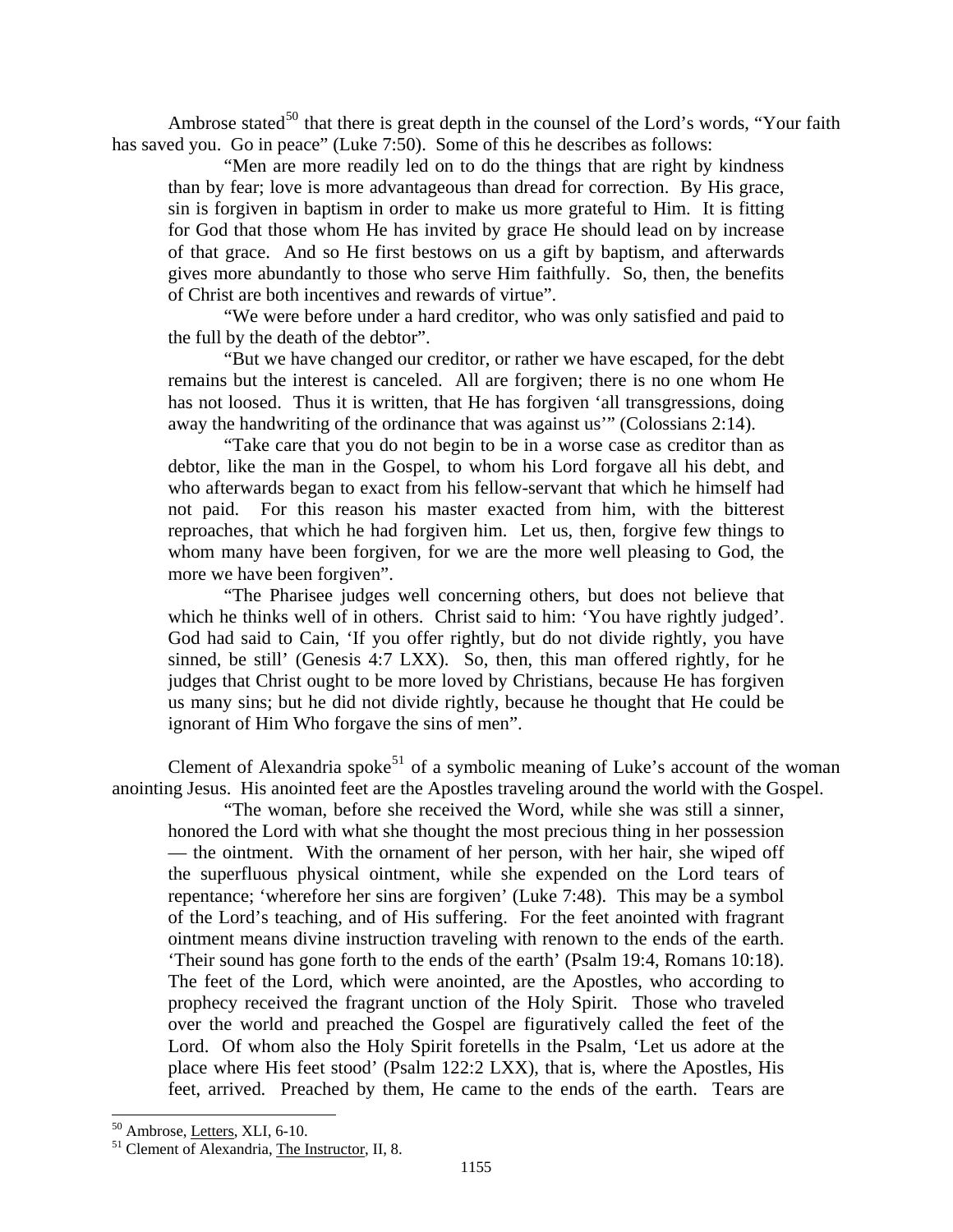Ambrose stated<sup>[50](#page-24-0)</sup> that there is great depth in the counsel of the Lord's words, "Your faith" has saved you. Go in peace" (Luke 7:50). Some of this he describes as follows:

"Men are more readily led on to do the things that are right by kindness than by fear; love is more advantageous than dread for correction. By His grace, sin is forgiven in baptism in order to make us more grateful to Him. It is fitting for God that those whom He has invited by grace He should lead on by increase of that grace. And so He first bestows on us a gift by baptism, and afterwards gives more abundantly to those who serve Him faithfully. So, then, the benefits of Christ are both incentives and rewards of virtue".

"We were before under a hard creditor, who was only satisfied and paid to the full by the death of the debtor".

"But we have changed our creditor, or rather we have escaped, for the debt remains but the interest is canceled. All are forgiven; there is no one whom He has not loosed. Thus it is written, that He has forgiven 'all transgressions, doing away the handwriting of the ordinance that was against us'" (Colossians 2:14).

"Take care that you do not begin to be in a worse case as creditor than as debtor, like the man in the Gospel, to whom his Lord forgave all his debt, and who afterwards began to exact from his fellow-servant that which he himself had not paid. For this reason his master exacted from him, with the bitterest reproaches, that which he had forgiven him. Let us, then, forgive few things to whom many have been forgiven, for we are the more well pleasing to God, the more we have been forgiven".

"The Pharisee judges well concerning others, but does not believe that which he thinks well of in others. Christ said to him: 'You have rightly judged'. God had said to Cain, 'If you offer rightly, but do not divide rightly, you have sinned, be still' (Genesis 4:7 LXX). So, then, this man offered rightly, for he judges that Christ ought to be more loved by Christians, because He has forgiven us many sins; but he did not divide rightly, because he thought that He could be ignorant of Him Who forgave the sins of men".

Clement of Alexandria spoke<sup>[51](#page-24-1)</sup> of a symbolic meaning of Luke's account of the woman anointing Jesus. His anointed feet are the Apostles traveling around the world with the Gospel.

"The woman, before she received the Word, while she was still a sinner, honored the Lord with what she thought the most precious thing in her possession — the ointment. With the ornament of her person, with her hair, she wiped off the superfluous physical ointment, while she expended on the Lord tears of repentance; 'wherefore her sins are forgiven' (Luke 7:48). This may be a symbol of the Lord's teaching, and of His suffering. For the feet anointed with fragrant ointment means divine instruction traveling with renown to the ends of the earth. 'Their sound has gone forth to the ends of the earth' (Psalm 19:4, Romans 10:18). The feet of the Lord, which were anointed, are the Apostles, who according to prophecy received the fragrant unction of the Holy Spirit. Those who traveled over the world and preached the Gospel are figuratively called the feet of the Lord. Of whom also the Holy Spirit foretells in the Psalm, 'Let us adore at the place where His feet stood' (Psalm 122:2 LXX), that is, where the Apostles, His feet, arrived. Preached by them, He came to the ends of the earth. Tears are

<span id="page-24-0"></span> $50$  Ambrose, Letters, XLI, 6-10.

<span id="page-24-1"></span> $<sup>51</sup>$  Clement of Alexandria, The Instructor, II, 8.</sup>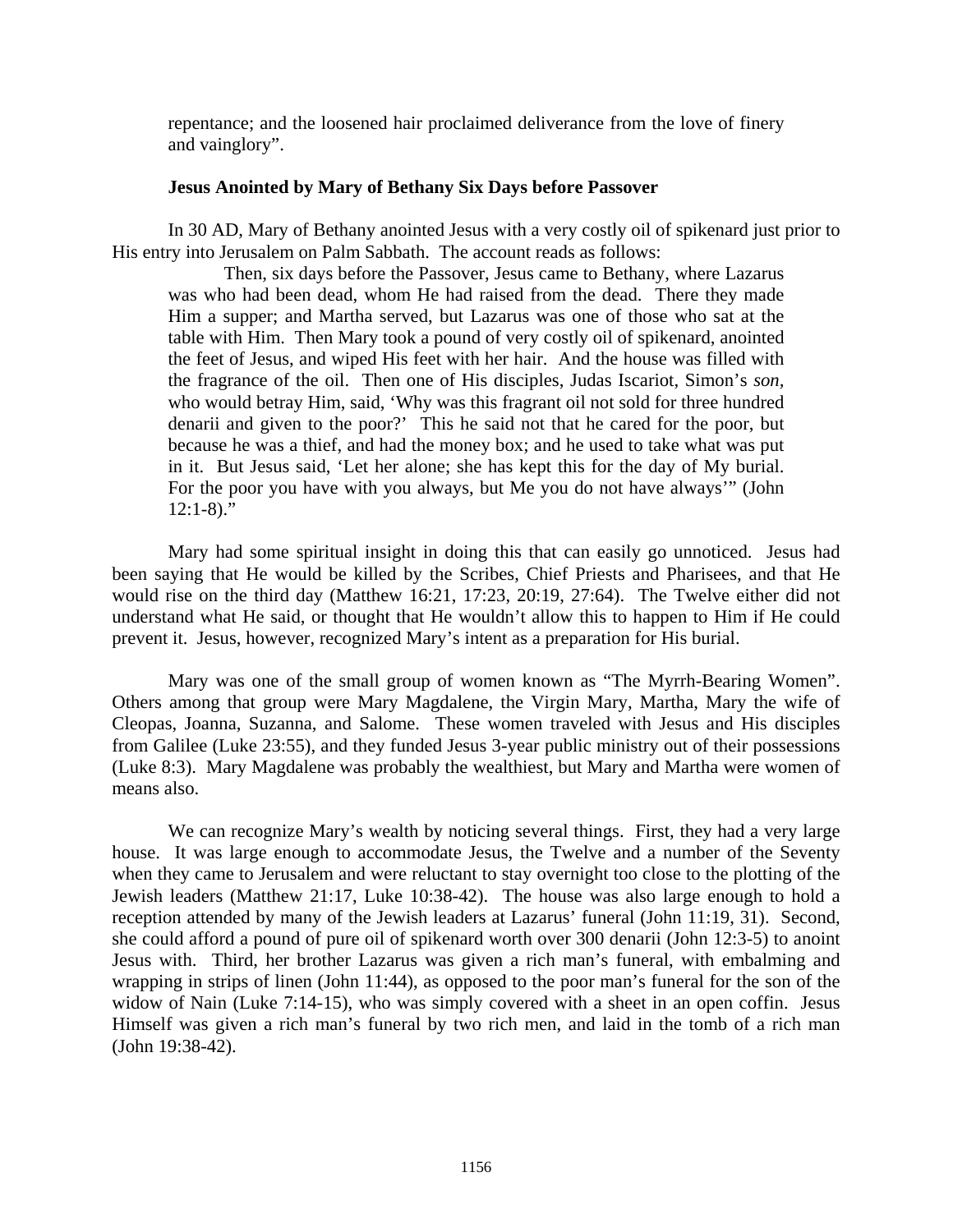<span id="page-25-0"></span>repentance; and the loosened hair proclaimed deliverance from the love of finery and vainglory".

# **Jesus Anointed by Mary of Bethany Six Days before Passover**

In 30 AD, Mary of Bethany anointed Jesus with a very costly oil of spikenard just prior to His entry into Jerusalem on Palm Sabbath. The account reads as follows:

Then, six days before the Passover, Jesus came to Bethany, where Lazarus was who had been dead, whom He had raised from the dead. There they made Him a supper; and Martha served, but Lazarus was one of those who sat at the table with Him. Then Mary took a pound of very costly oil of spikenard, anointed the feet of Jesus, and wiped His feet with her hair. And the house was filled with the fragrance of the oil. Then one of His disciples, Judas Iscariot, Simon's *son,* who would betray Him, said, 'Why was this fragrant oil not sold for three hundred denarii and given to the poor?' This he said not that he cared for the poor, but because he was a thief, and had the money box; and he used to take what was put in it. But Jesus said, 'Let her alone; she has kept this for the day of My burial. For the poor you have with you always, but Me you do not have always'" (John  $12:1-8$ )."

Mary had some spiritual insight in doing this that can easily go unnoticed. Jesus had been saying that He would be killed by the Scribes, Chief Priests and Pharisees, and that He would rise on the third day (Matthew 16:21, 17:23, 20:19, 27:64). The Twelve either did not understand what He said, or thought that He wouldn't allow this to happen to Him if He could prevent it. Jesus, however, recognized Mary's intent as a preparation for His burial.

Mary was one of the small group of women known as "The Myrrh-Bearing Women". Others among that group were Mary Magdalene, the Virgin Mary, Martha, Mary the wife of Cleopas, Joanna, Suzanna, and Salome. These women traveled with Jesus and His disciples from Galilee (Luke 23:55), and they funded Jesus 3-year public ministry out of their possessions (Luke 8:3). Mary Magdalene was probably the wealthiest, but Mary and Martha were women of means also.

We can recognize Mary's wealth by noticing several things. First, they had a very large house. It was large enough to accommodate Jesus, the Twelve and a number of the Seventy when they came to Jerusalem and were reluctant to stay overnight too close to the plotting of the Jewish leaders (Matthew 21:17, Luke 10:38-42). The house was also large enough to hold a reception attended by many of the Jewish leaders at Lazarus' funeral (John 11:19, 31). Second, she could afford a pound of pure oil of spikenard worth over 300 denarii (John 12:3-5) to anoint Jesus with. Third, her brother Lazarus was given a rich man's funeral, with embalming and wrapping in strips of linen (John 11:44), as opposed to the poor man's funeral for the son of the widow of Nain (Luke 7:14-15), who was simply covered with a sheet in an open coffin. Jesus Himself was given a rich man's funeral by two rich men, and laid in the tomb of a rich man (John 19:38-42).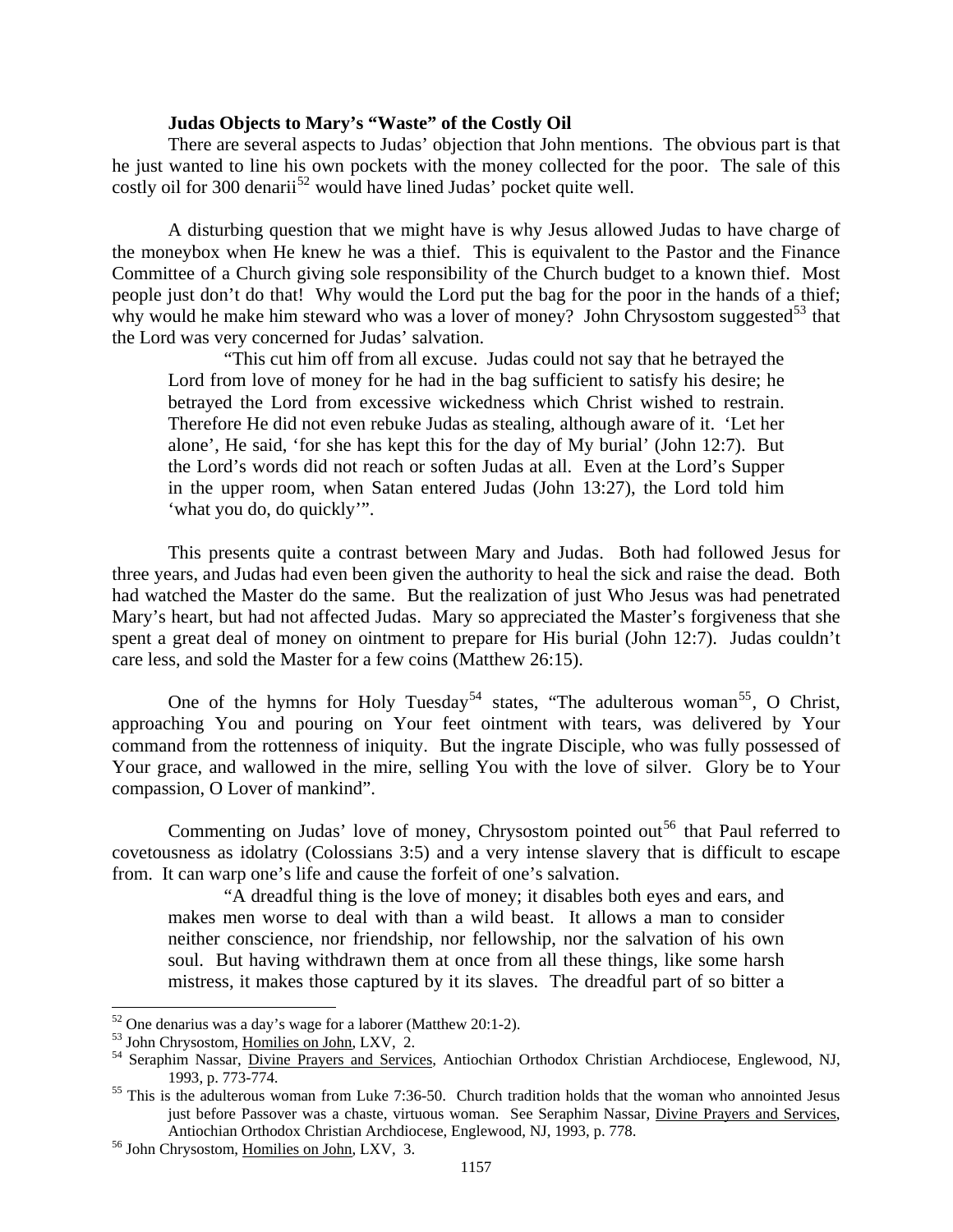## **Judas Objects to Mary's "Waste" of the Costly Oil**

<span id="page-26-0"></span>There are several aspects to Judas' objection that John mentions. The obvious part is that he just wanted to line his own pockets with the money collected for the poor. The sale of this costly oil for 300 denarii<sup>[52](#page-26-1)</sup> would have lined Judas' pocket quite well.

A disturbing question that we might have is why Jesus allowed Judas to have charge of the moneybox when He knew he was a thief. This is equivalent to the Pastor and the Finance Committee of a Church giving sole responsibility of the Church budget to a known thief. Most people just don't do that! Why would the Lord put the bag for the poor in the hands of a thief; why would he make him steward who was a lover of money? John Chrysostom suggested<sup>[53](#page-26-2)</sup> that the Lord was very concerned for Judas' salvation.

"This cut him off from all excuse. Judas could not say that he betrayed the Lord from love of money for he had in the bag sufficient to satisfy his desire; he betrayed the Lord from excessive wickedness which Christ wished to restrain. Therefore He did not even rebuke Judas as stealing, although aware of it. 'Let her alone', He said, 'for she has kept this for the day of My burial' (John 12:7). But the Lord's words did not reach or soften Judas at all. Even at the Lord's Supper in the upper room, when Satan entered Judas (John 13:27), the Lord told him 'what you do, do quickly'".

This presents quite a contrast between Mary and Judas. Both had followed Jesus for three years, and Judas had even been given the authority to heal the sick and raise the dead. Both had watched the Master do the same. But the realization of just Who Jesus was had penetrated Mary's heart, but had not affected Judas. Mary so appreciated the Master's forgiveness that she spent a great deal of money on ointment to prepare for His burial (John 12:7). Judas couldn't care less, and sold the Master for a few coins (Matthew 26:15).

One of the hymns for Holy Tuesday<sup>[54](#page-26-3)</sup> states, "The adulterous woman<sup>[55](#page-26-4)</sup>, O Christ, approaching You and pouring on Your feet ointment with tears, was delivered by Your command from the rottenness of iniquity. But the ingrate Disciple, who was fully possessed of Your grace, and wallowed in the mire, selling You with the love of silver. Glory be to Your compassion, O Lover of mankind".

Commenting on Judas' love of money, Chrysostom pointed out<sup>[56](#page-26-5)</sup> that Paul referred to covetousness as idolatry (Colossians 3:5) and a very intense slavery that is difficult to escape from. It can warp one's life and cause the forfeit of one's salvation.

"A dreadful thing is the love of money; it disables both eyes and ears, and makes men worse to deal with than a wild beast. It allows a man to consider neither conscience, nor friendship, nor fellowship, nor the salvation of his own soul. But having withdrawn them at once from all these things, like some harsh mistress, it makes those captured by it its slaves. The dreadful part of so bitter a

<span id="page-26-1"></span> $52$  One denarius was a day's wage for a laborer (Matthew 20:1-2).

<span id="page-26-3"></span><span id="page-26-2"></span><sup>&</sup>lt;sup>53</sup> John Chrysostom, <u>Homilies on John</u>, LXV, 2.<br><sup>54</sup> Seraphim Nassar, <u>Divine Prayers and Services</u>, Antiochian Orthodox Christian Archdiocese, Englewood, NJ, 1993, p. 773-774.

<span id="page-26-4"></span> $<sup>55</sup>$  This is the adulterous woman from Luke 7:36-50. Church tradition holds that the woman who annointed Jesus</sup> just before Passover was a chaste, virtuous woman. See Seraphim Nassar, Divine Prayers and Services, Antiochian Orthodox Christian Archdiocese, Englewood, NJ, 1993, p. 778. 56 John Chrysostom, Homilies on John, LXV, 3.

<span id="page-26-5"></span>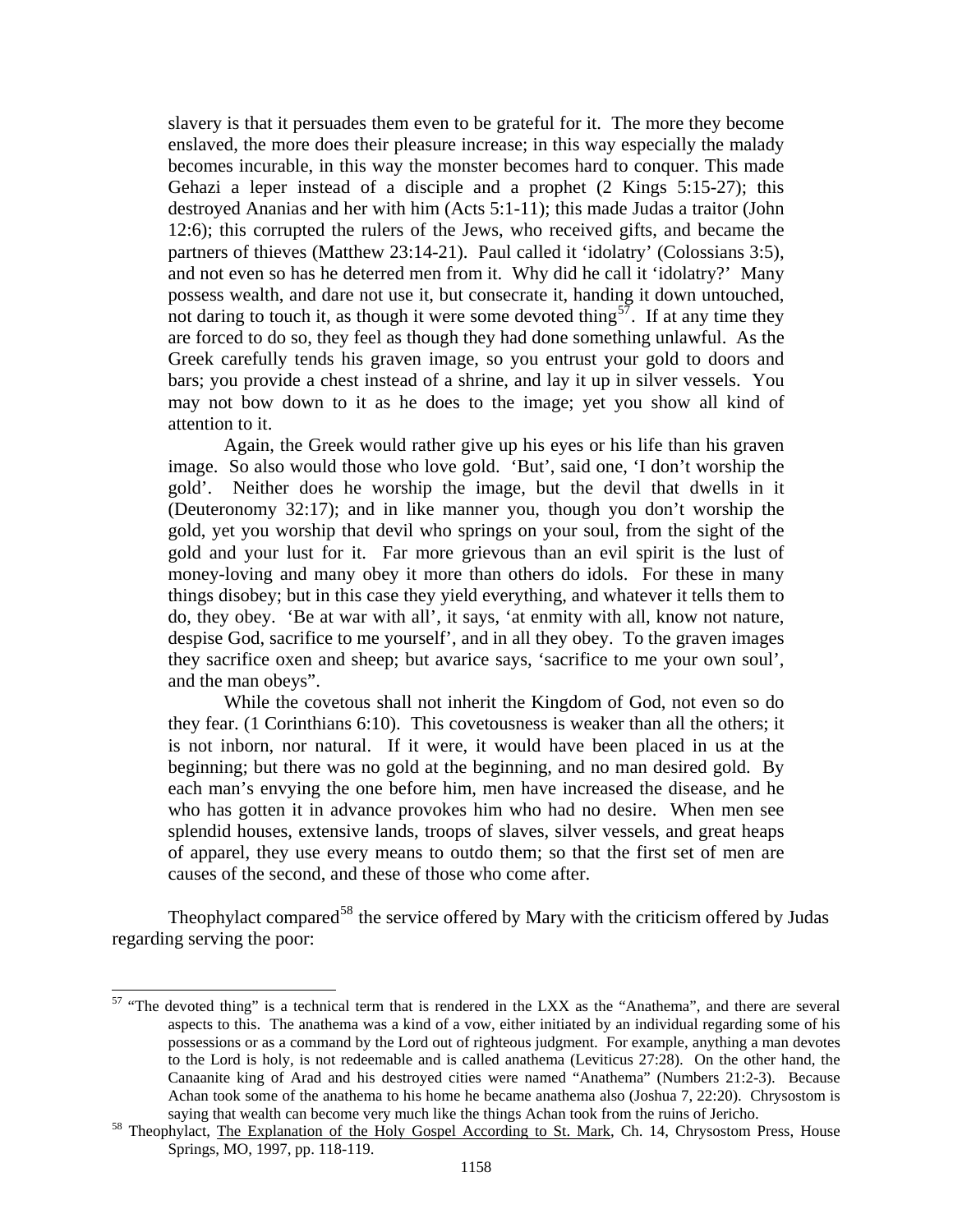slavery is that it persuades them even to be grateful for it. The more they become enslaved, the more does their pleasure increase; in this way especially the malady becomes incurable, in this way the monster becomes hard to conquer. This made Gehazi a leper instead of a disciple and a prophet (2 Kings 5:15-27); this destroyed Ananias and her with him (Acts 5:1-11); this made Judas a traitor (John 12:6); this corrupted the rulers of the Jews, who received gifts, and became the partners of thieves (Matthew 23:14-21). Paul called it 'idolatry' (Colossians 3:5), and not even so has he deterred men from it. Why did he call it 'idolatry?' Many possess wealth, and dare not use it, but consecrate it, handing it down untouched, not daring to touch it, as though it were some devoted thing<sup>[57](#page-27-0)</sup>. If at any time they are forced to do so, they feel as though they had done something unlawful. As the Greek carefully tends his graven image, so you entrust your gold to doors and bars; you provide a chest instead of a shrine, and lay it up in silver vessels. You may not bow down to it as he does to the image; yet you show all kind of attention to it.

Again, the Greek would rather give up his eyes or his life than his graven image. So also would those who love gold. 'But', said one, 'I don't worship the gold'. Neither does he worship the image, but the devil that dwells in it (Deuteronomy 32:17); and in like manner you, though you don't worship the gold, yet you worship that devil who springs on your soul, from the sight of the gold and your lust for it. Far more grievous than an evil spirit is the lust of money-loving and many obey it more than others do idols. For these in many things disobey; but in this case they yield everything, and whatever it tells them to do, they obey. 'Be at war with all', it says, 'at enmity with all, know not nature, despise God, sacrifice to me yourself', and in all they obey. To the graven images they sacrifice oxen and sheep; but avarice says, 'sacrifice to me your own soul', and the man obeys".

While the covetous shall not inherit the Kingdom of God, not even so do they fear. (1 Corinthians 6:10). This covetousness is weaker than all the others; it is not inborn, nor natural. If it were, it would have been placed in us at the beginning; but there was no gold at the beginning, and no man desired gold. By each man's envying the one before him, men have increased the disease, and he who has gotten it in advance provokes him who had no desire. When men see splendid houses, extensive lands, troops of slaves, silver vessels, and great heaps of apparel, they use every means to outdo them; so that the first set of men are causes of the second, and these of those who come after.

Theophylact compared<sup>[58](#page-27-1)</sup> the service offered by Mary with the criticism offered by Judas regarding serving the poor:

<span id="page-27-0"></span><sup>&</sup>lt;sup>57</sup> "The devoted thing" is a technical term that is rendered in the LXX as the "Anathema", and there are several aspects to this. The anathema was a kind of a vow, either initiated by an individual regarding some of his possessions or as a command by the Lord out of righteous judgment. For example, anything a man devotes to the Lord is holy, is not redeemable and is called anathema (Leviticus 27:28). On the other hand, the Canaanite king of Arad and his destroyed cities were named "Anathema" (Numbers 21:2-3). Because Achan took some of the anathema to his home he became anathema also (Joshua 7, 22:20). Chrysostom is

<span id="page-27-1"></span>saying that wealth can become very much like the things Achan took from the ruins of Jericho.<br><sup>58</sup> Theophylact, <u>The Explanation of the Holy Gospel According to St. Mark</u>, Ch. 14, Chrysostom Press, House Springs, MO, 1997, pp. 118-119.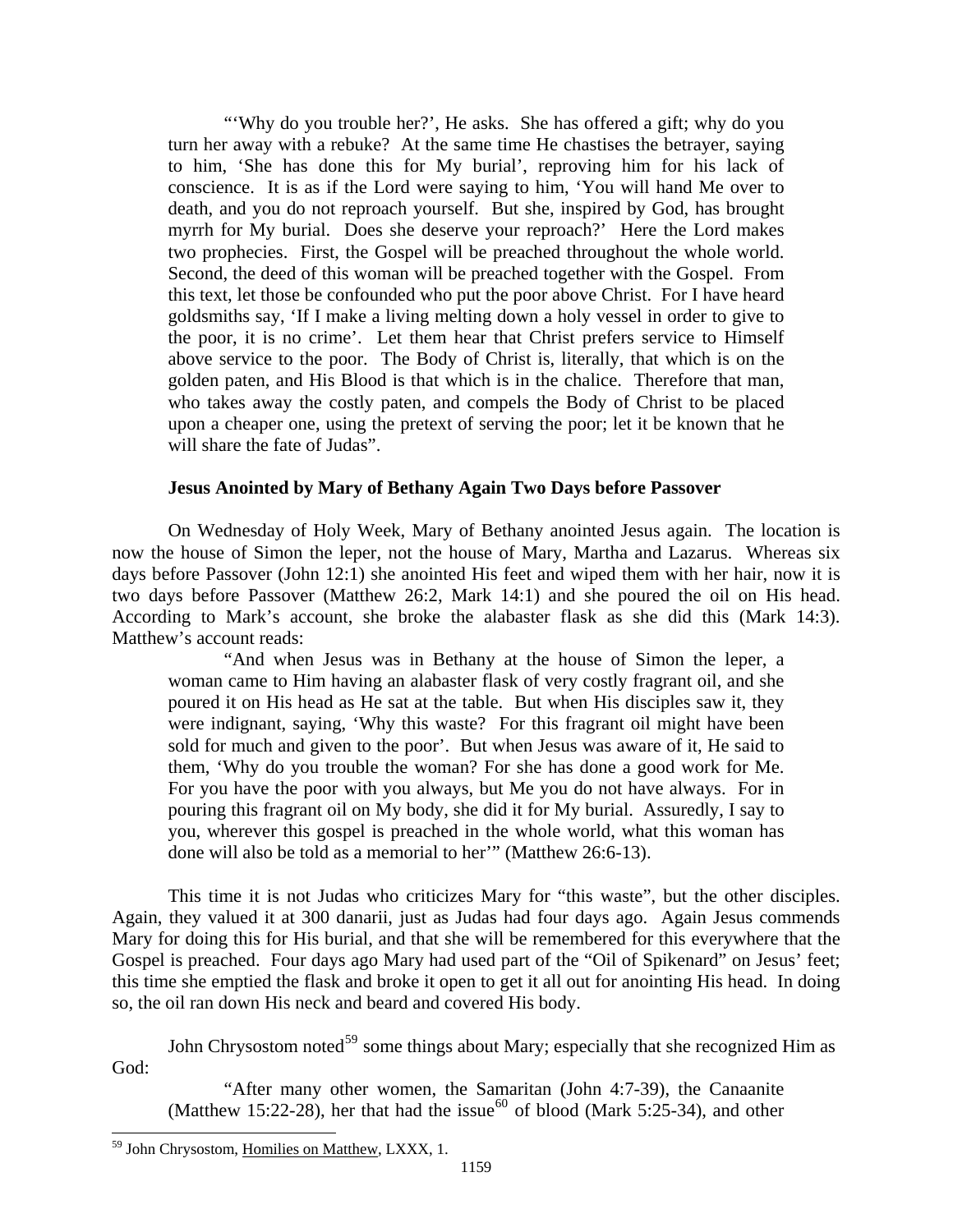<span id="page-28-0"></span>"'Why do you trouble her?', He asks. She has offered a gift; why do you turn her away with a rebuke? At the same time He chastises the betrayer, saying to him, 'She has done this for My burial', reproving him for his lack of conscience. It is as if the Lord were saying to him, 'You will hand Me over to death, and you do not reproach yourself. But she, inspired by God, has brought myrrh for My burial. Does she deserve your reproach?' Here the Lord makes two prophecies. First, the Gospel will be preached throughout the whole world. Second, the deed of this woman will be preached together with the Gospel. From this text, let those be confounded who put the poor above Christ. For I have heard goldsmiths say, 'If I make a living melting down a holy vessel in order to give to the poor, it is no crime'. Let them hear that Christ prefers service to Himself above service to the poor. The Body of Christ is, literally, that which is on the golden paten, and His Blood is that which is in the chalice. Therefore that man, who takes away the costly paten, and compels the Body of Christ to be placed upon a cheaper one, using the pretext of serving the poor; let it be known that he will share the fate of Judas".

## **Jesus Anointed by Mary of Bethany Again Two Days before Passover**

On Wednesday of Holy Week, Mary of Bethany anointed Jesus again. The location is now the house of Simon the leper, not the house of Mary, Martha and Lazarus. Whereas six days before Passover (John 12:1) she anointed His feet and wiped them with her hair, now it is two days before Passover (Matthew 26:2, Mark 14:1) and she poured the oil on His head. According to Mark's account, she broke the alabaster flask as she did this (Mark 14:3). Matthew's account reads:

"And when Jesus was in Bethany at the house of Simon the leper, a woman came to Him having an alabaster flask of very costly fragrant oil, and she poured it on His head as He sat at the table. But when His disciples saw it, they were indignant, saying, 'Why this waste? For this fragrant oil might have been sold for much and given to the poor'. But when Jesus was aware of it, He said to them, 'Why do you trouble the woman? For she has done a good work for Me. For you have the poor with you always, but Me you do not have always. For in pouring this fragrant oil on My body, she did it for My burial. Assuredly, I say to you, wherever this gospel is preached in the whole world, what this woman has done will also be told as a memorial to her'" (Matthew 26:6-13).

This time it is not Judas who criticizes Mary for "this waste", but the other disciples. Again, they valued it at 300 danarii, just as Judas had four days ago. Again Jesus commends Mary for doing this for His burial, and that she will be remembered for this everywhere that the Gospel is preached. Four days ago Mary had used part of the "Oil of Spikenard" on Jesus' feet; this time she emptied the flask and broke it open to get it all out for anointing His head. In doing so, the oil ran down His neck and beard and covered His body.

<span id="page-28-2"></span>John Chrysostom noted<sup>[59](#page-28-1)</sup> some things about Mary; especially that she recognized Him as God:

"After many other women, the Samaritan (John 4:7-39), the Canaanite (Matthew 15:22-28), her that had the issue<sup>[60](#page-28-2)</sup> of blood (Mark 5:25-34), and other

<span id="page-28-1"></span><sup>&</sup>lt;sup>59</sup> John Chrysostom, Homilies on Matthew, LXXX, 1.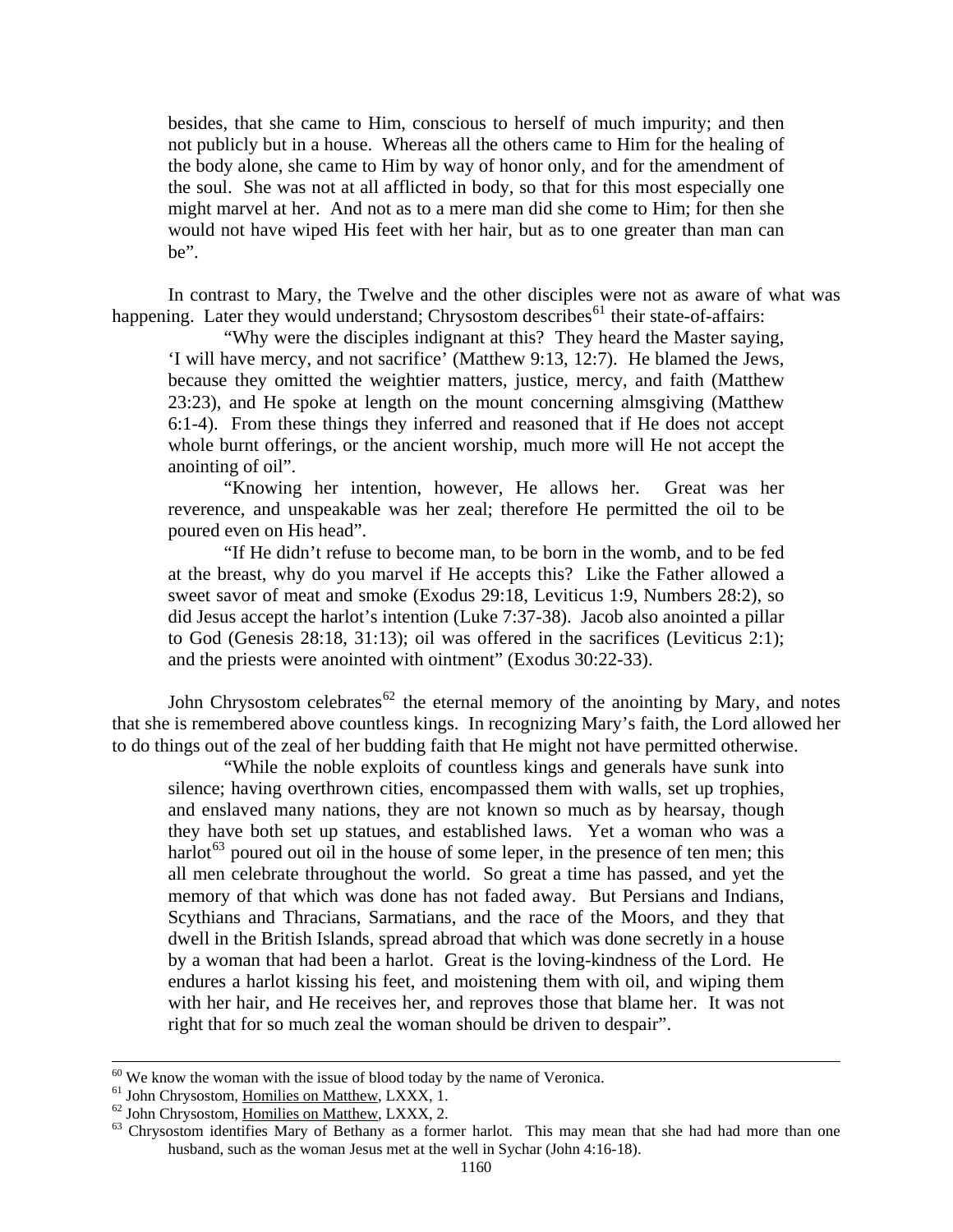besides, that she came to Him, conscious to herself of much impurity; and then not publicly but in a house. Whereas all the others came to Him for the healing of the body alone, she came to Him by way of honor only, and for the amendment of the soul. She was not at all afflicted in body, so that for this most especially one might marvel at her. And not as to a mere man did she come to Him; for then she would not have wiped His feet with her hair, but as to one greater than man can be".

In contrast to Mary, the Twelve and the other disciples were not as aware of what was happening. Later they would understand; Chrysostom describes<sup>[61](#page-29-0)</sup> their state-of-affairs:

"Why were the disciples indignant at this? They heard the Master saying, 'I will have mercy, and not sacrifice' (Matthew 9:13, 12:7). He blamed the Jews, because they omitted the weightier matters, justice, mercy, and faith (Matthew 23:23), and He spoke at length on the mount concerning almsgiving (Matthew 6:1-4). From these things they inferred and reasoned that if He does not accept whole burnt offerings, or the ancient worship, much more will He not accept the anointing of oil".

"Knowing her intention, however, He allows her. Great was her reverence, and unspeakable was her zeal; therefore He permitted the oil to be poured even on His head".

"If He didn't refuse to become man, to be born in the womb, and to be fed at the breast, why do you marvel if He accepts this? Like the Father allowed a sweet savor of meat and smoke (Exodus 29:18, Leviticus 1:9, Numbers 28:2), so did Jesus accept the harlot's intention (Luke 7:37-38). Jacob also anointed a pillar to God (Genesis 28:18, 31:13); oil was offered in the sacrifices (Leviticus 2:1); and the priests were anointed with ointment" (Exodus 30:22-33).

John Chrysostom celebrates<sup>[62](#page-29-1)</sup> the eternal memory of the anointing by Mary, and notes that she is remembered above countless kings. In recognizing Mary's faith, the Lord allowed her to do things out of the zeal of her budding faith that He might not have permitted otherwise.

"While the noble exploits of countless kings and generals have sunk into silence; having overthrown cities, encompassed them with walls, set up trophies, and enslaved many nations, they are not known so much as by hearsay, though they have both set up statues, and established laws. Yet a woman who was a harlot<sup>[63](#page-29-2)</sup> poured out oil in the house of some leper, in the presence of ten men; this all men celebrate throughout the world. So great a time has passed, and yet the memory of that which was done has not faded away. But Persians and Indians, Scythians and Thracians, Sarmatians, and the race of the Moors, and they that dwell in the British Islands, spread abroad that which was done secretly in a house by a woman that had been a harlot. Great is the loving-kindness of the Lord. He endures a harlot kissing his feet, and moistening them with oil, and wiping them with her hair, and He receives her, and reproves those that blame her. It was not right that for so much zeal the woman should be driven to despair".

 $60$  We know the woman with the issue of blood today by the name of Veronica.

<span id="page-29-2"></span><span id="page-29-1"></span>

<span id="page-29-0"></span><sup>&</sup>lt;sup>61</sup> John Chrysostom, <u>Homilies on Matthew</u>, LXXX, 1.<br><sup>62</sup> John Chrysostom, <u>Homilies on Matthew</u>, LXXX, 2.<br><sup>63</sup> Chrysostom identifies Mary of Bethany as a former harlot. This may mean that she had had more than one husband, such as the woman Jesus met at the well in Sychar (John 4:16-18).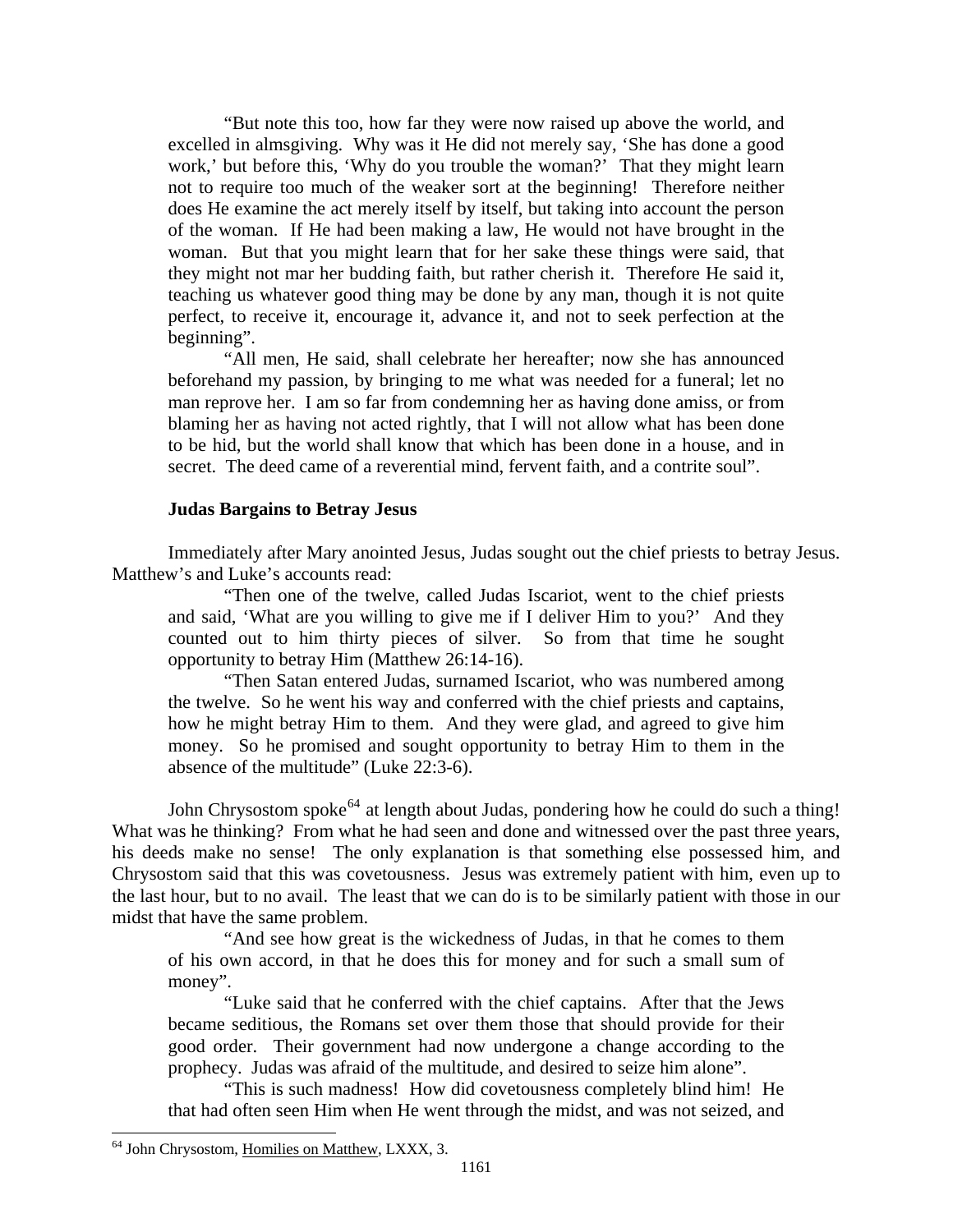<span id="page-30-0"></span>"But note this too, how far they were now raised up above the world, and excelled in almsgiving. Why was it He did not merely say, 'She has done a good work,' but before this, 'Why do you trouble the woman?' That they might learn not to require too much of the weaker sort at the beginning! Therefore neither does He examine the act merely itself by itself, but taking into account the person of the woman. If He had been making a law, He would not have brought in the woman. But that you might learn that for her sake these things were said, that they might not mar her budding faith, but rather cherish it. Therefore He said it, teaching us whatever good thing may be done by any man, though it is not quite perfect, to receive it, encourage it, advance it, and not to seek perfection at the beginning".

"All men, He said, shall celebrate her hereafter; now she has announced beforehand my passion, by bringing to me what was needed for a funeral; let no man reprove her. I am so far from condemning her as having done amiss, or from blaming her as having not acted rightly, that I will not allow what has been done to be hid, but the world shall know that which has been done in a house, and in secret. The deed came of a reverential mind, fervent faith, and a contrite soul".

### **Judas Bargains to Betray Jesus**

Immediately after Mary anointed Jesus, Judas sought out the chief priests to betray Jesus. Matthew's and Luke's accounts read:

"Then one of the twelve, called Judas Iscariot, went to the chief priests and said, 'What are you willing to give me if I deliver Him to you?' And they counted out to him thirty pieces of silver. So from that time he sought opportunity to betray Him (Matthew 26:14-16).

"Then Satan entered Judas, surnamed Iscariot, who was numbered among the twelve. So he went his way and conferred with the chief priests and captains, how he might betray Him to them. And they were glad, and agreed to give him money. So he promised and sought opportunity to betray Him to them in the absence of the multitude" (Luke 22:3-6).

John Chrysostom spoke<sup>[64](#page-30-1)</sup> at length about Judas, pondering how he could do such a thing! What was he thinking? From what he had seen and done and witnessed over the past three years, his deeds make no sense! The only explanation is that something else possessed him, and Chrysostom said that this was covetousness. Jesus was extremely patient with him, even up to the last hour, but to no avail. The least that we can do is to be similarly patient with those in our midst that have the same problem.

"And see how great is the wickedness of Judas, in that he comes to them of his own accord, in that he does this for money and for such a small sum of money".

"Luke said that he conferred with the chief captains. After that the Jews became seditious, the Romans set over them those that should provide for their good order. Their government had now undergone a change according to the prophecy. Judas was afraid of the multitude, and desired to seize him alone".

"This is such madness! How did covetousness completely blind him! He that had often seen Him when He went through the midst, and was not seized, and

<span id="page-30-1"></span><sup>64</sup> John Chrysostom, Homilies on Matthew, LXXX, 3.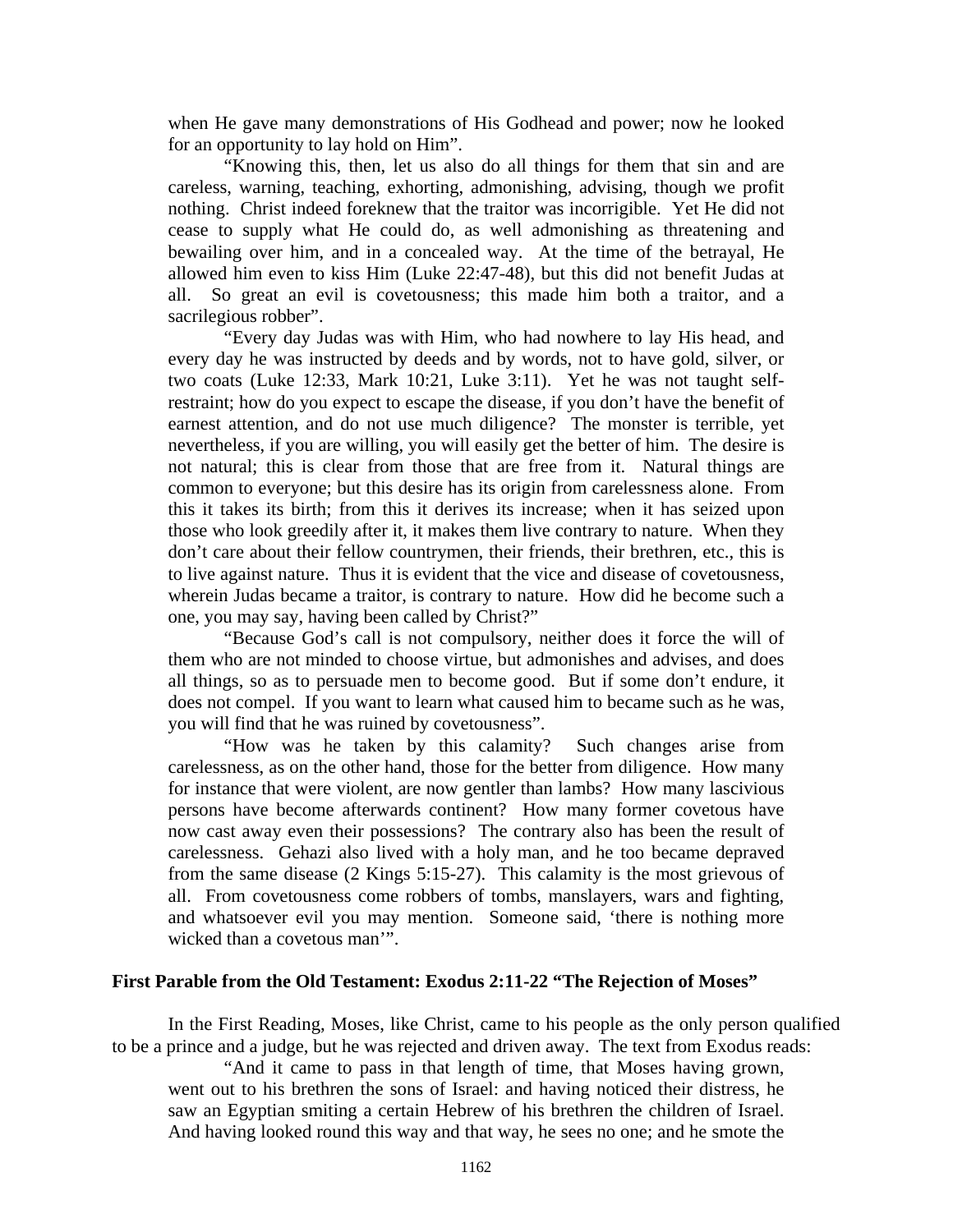<span id="page-31-0"></span>when He gave many demonstrations of His Godhead and power; now he looked for an opportunity to lay hold on Him".

"Knowing this, then, let us also do all things for them that sin and are careless, warning, teaching, exhorting, admonishing, advising, though we profit nothing. Christ indeed foreknew that the traitor was incorrigible. Yet He did not cease to supply what He could do, as well admonishing as threatening and bewailing over him, and in a concealed way. At the time of the betrayal, He allowed him even to kiss Him (Luke 22:47-48), but this did not benefit Judas at all. So great an evil is covetousness; this made him both a traitor, and a sacrilegious robber".

"Every day Judas was with Him, who had nowhere to lay His head, and every day he was instructed by deeds and by words, not to have gold, silver, or two coats (Luke 12:33, Mark 10:21, Luke 3:11). Yet he was not taught selfrestraint; how do you expect to escape the disease, if you don't have the benefit of earnest attention, and do not use much diligence? The monster is terrible, yet nevertheless, if you are willing, you will easily get the better of him. The desire is not natural; this is clear from those that are free from it. Natural things are common to everyone; but this desire has its origin from carelessness alone. From this it takes its birth; from this it derives its increase; when it has seized upon those who look greedily after it, it makes them live contrary to nature. When they don't care about their fellow countrymen, their friends, their brethren, etc., this is to live against nature. Thus it is evident that the vice and disease of covetousness, wherein Judas became a traitor, is contrary to nature. How did he become such a one, you may say, having been called by Christ?"

"Because God's call is not compulsory, neither does it force the will of them who are not minded to choose virtue, but admonishes and advises, and does all things, so as to persuade men to become good. But if some don't endure, it does not compel. If you want to learn what caused him to became such as he was, you will find that he was ruined by covetousness".

"How was he taken by this calamity? Such changes arise from carelessness, as on the other hand, those for the better from diligence. How many for instance that were violent, are now gentler than lambs? How many lascivious persons have become afterwards continent? How many former covetous have now cast away even their possessions? The contrary also has been the result of carelessness. Gehazi also lived with a holy man, and he too became depraved from the same disease (2 Kings 5:15-27). This calamity is the most grievous of all. From covetousness come robbers of tombs, manslayers, wars and fighting, and whatsoever evil you may mention. Someone said, 'there is nothing more wicked than a covetous man'".

### **First Parable from the Old Testament: Exodus 2:11-22 "The Rejection of Moses"**

In the First Reading, Moses, like Christ, came to his people as the only person qualified to be a prince and a judge, but he was rejected and driven away. The text from Exodus reads:

"And it came to pass in that length of time, that Moses having grown, went out to his brethren the sons of Israel: and having noticed their distress, he saw an Egyptian smiting a certain Hebrew of his brethren the children of Israel. And having looked round this way and that way, he sees no one; and he smote the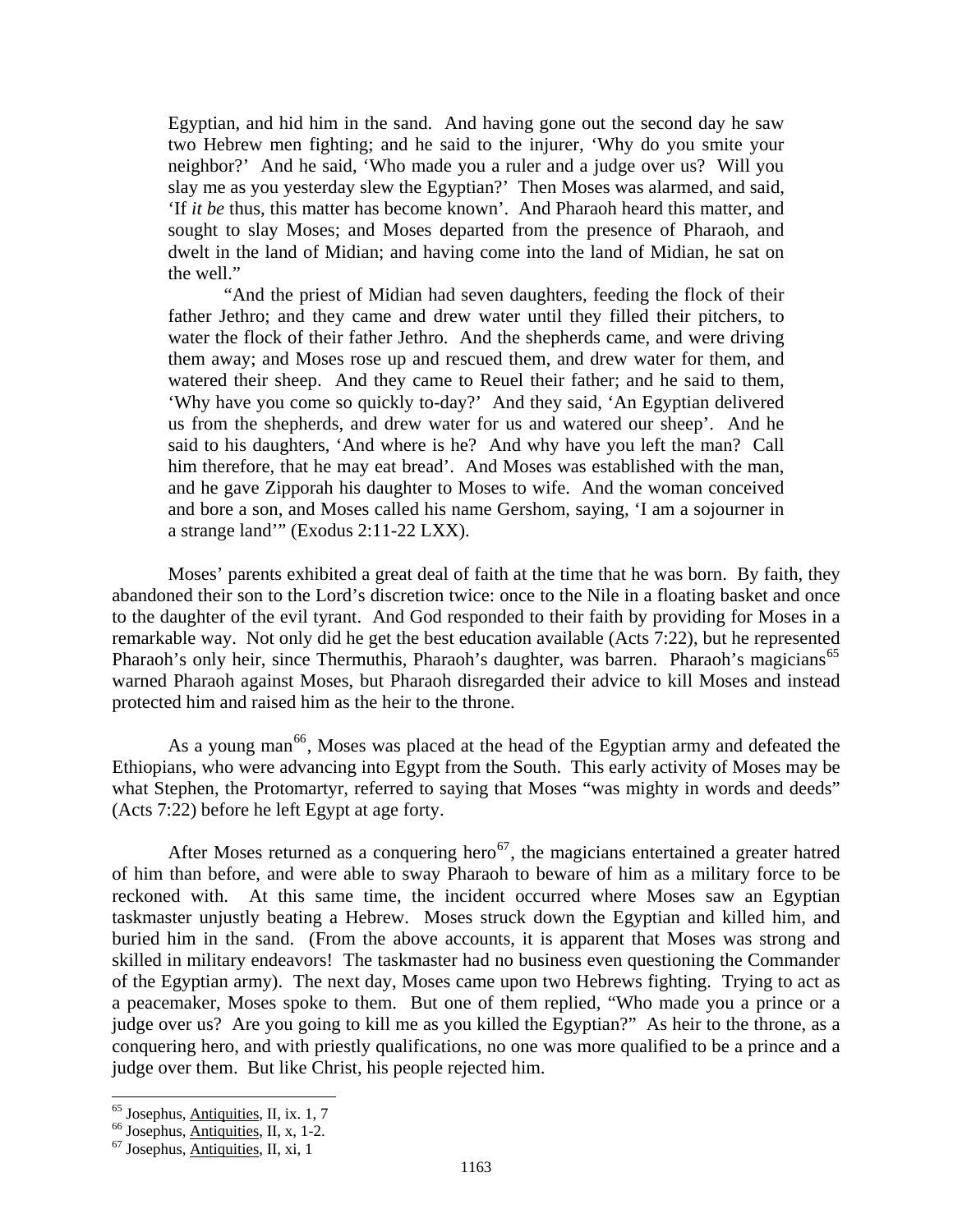Egyptian, and hid him in the sand. And having gone out the second day he saw two Hebrew men fighting; and he said to the injurer, 'Why do you smite your neighbor?' And he said, 'Who made you a ruler and a judge over us? Will you slay me as you yesterday slew the Egyptian?' Then Moses was alarmed, and said, 'If *it be* thus, this matter has become known'. And Pharaoh heard this matter, and sought to slay Moses; and Moses departed from the presence of Pharaoh, and dwelt in the land of Midian; and having come into the land of Midian, he sat on the well."

"And the priest of Midian had seven daughters, feeding the flock of their father Jethro; and they came and drew water until they filled their pitchers, to water the flock of their father Jethro. And the shepherds came, and were driving them away; and Moses rose up and rescued them, and drew water for them, and watered their sheep. And they came to Reuel their father; and he said to them, 'Why have you come so quickly to-day?' And they said, 'An Egyptian delivered us from the shepherds, and drew water for us and watered our sheep'. And he said to his daughters, 'And where is he? And why have you left the man? Call him therefore, that he may eat bread'. And Moses was established with the man, and he gave Zipporah his daughter to Moses to wife. And the woman conceived and bore a son, and Moses called his name Gershom, saying, 'I am a sojourner in a strange land'" (Exodus 2:11-22 LXX).

Moses' parents exhibited a great deal of faith at the time that he was born. By faith, they abandoned their son to the Lord's discretion twice: once to the Nile in a floating basket and once to the daughter of the evil tyrant. And God responded to their faith by providing for Moses in a remarkable way. Not only did he get the best education available (Acts 7:22), but he represented Pharaoh's only heir, since Thermuthis, Pharaoh's daughter, was barren. Pharaoh's magicians<sup>[65](#page-32-0)</sup> warned Pharaoh against Moses, but Pharaoh disregarded their advice to kill Moses and instead protected him and raised him as the heir to the throne.

As a young man<sup>[66](#page-32-1)</sup>, Moses was placed at the head of the Egyptian army and defeated the Ethiopians, who were advancing into Egypt from the South. This early activity of Moses may be what Stephen, the Protomartyr, referred to saying that Moses "was mighty in words and deeds" (Acts 7:22) before he left Egypt at age forty.

After Moses returned as a conquering hero<sup>[67](#page-32-2)</sup>, the magicians entertained a greater hatred of him than before, and were able to sway Pharaoh to beware of him as a military force to be reckoned with. At this same time, the incident occurred where Moses saw an Egyptian taskmaster unjustly beating a Hebrew. Moses struck down the Egyptian and killed him, and buried him in the sand. (From the above accounts, it is apparent that Moses was strong and skilled in military endeavors! The taskmaster had no business even questioning the Commander of the Egyptian army). The next day, Moses came upon two Hebrews fighting. Trying to act as a peacemaker, Moses spoke to them. But one of them replied, "Who made you a prince or a judge over us? Are you going to kill me as you killed the Egyptian?" As heir to the throne, as a conquering hero, and with priestly qualifications, no one was more qualified to be a prince and a judge over them. But like Christ, his people rejected him.

<span id="page-32-1"></span><span id="page-32-0"></span><sup>&</sup>lt;sup>65</sup> Josephus, <u>Antiquities</u>, II, ix. 1, 7<br><sup>66</sup> Josephus, <u>Antiquities</u>, II, x, 1-2.<br><sup>67</sup> Josephus, <u>Antiquities</u>, II, xi, 1

<span id="page-32-2"></span>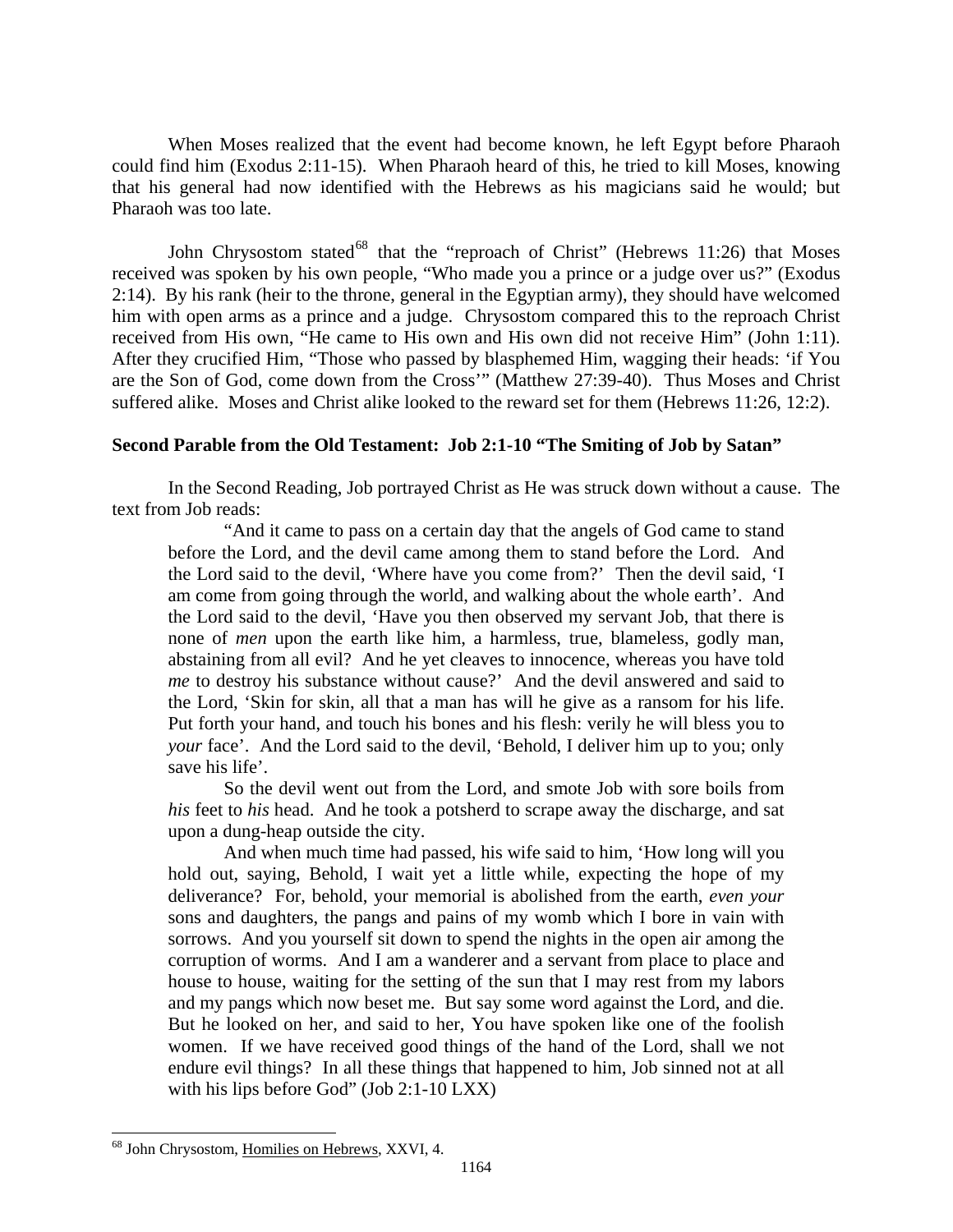<span id="page-33-0"></span>When Moses realized that the event had become known, he left Egypt before Pharaoh could find him (Exodus 2:11-15). When Pharaoh heard of this, he tried to kill Moses, knowing that his general had now identified with the Hebrews as his magicians said he would; but Pharaoh was too late.

John Chrysostom stated<sup>[68](#page-33-1)</sup> that the "reproach of Christ" (Hebrews 11:26) that Moses received was spoken by his own people, "Who made you a prince or a judge over us?" (Exodus 2:14). By his rank (heir to the throne, general in the Egyptian army), they should have welcomed him with open arms as a prince and a judge. Chrysostom compared this to the reproach Christ received from His own, "He came to His own and His own did not receive Him" (John 1:11). After they crucified Him, "Those who passed by blasphemed Him, wagging their heads: 'if You are the Son of God, come down from the Cross'" (Matthew 27:39-40). Thus Moses and Christ suffered alike. Moses and Christ alike looked to the reward set for them (Hebrews 11:26, 12:2).

## **Second Parable from the Old Testament: Job 2:1-10 "The Smiting of Job by Satan"**

In the Second Reading, Job portrayed Christ as He was struck down without a cause. The text from Job reads:

"And it came to pass on a certain day that the angels of God came to stand before the Lord, and the devil came among them to stand before the Lord. And the Lord said to the devil, 'Where have you come from?' Then the devil said, 'I am come from going through the world, and walking about the whole earth'. And the Lord said to the devil, 'Have you then observed my servant Job, that there is none of *men* upon the earth like him, a harmless, true, blameless, godly man, abstaining from all evil? And he yet cleaves to innocence, whereas you have told *me* to destroy his substance without cause?' And the devil answered and said to the Lord, 'Skin for skin, all that a man has will he give as a ransom for his life. Put forth your hand, and touch his bones and his flesh: verily he will bless you to *your* face'. And the Lord said to the devil, 'Behold, I deliver him up to you; only save his life'.

So the devil went out from the Lord, and smote Job with sore boils from *his* feet to *his* head. And he took a potsherd to scrape away the discharge, and sat upon a dung-heap outside the city.

And when much time had passed, his wife said to him, 'How long will you hold out, saying, Behold, I wait yet a little while, expecting the hope of my deliverance? For, behold, your memorial is abolished from the earth, *even your*  sons and daughters, the pangs and pains of my womb which I bore in vain with sorrows. And you yourself sit down to spend the nights in the open air among the corruption of worms. And I am a wanderer and a servant from place to place and house to house, waiting for the setting of the sun that I may rest from my labors and my pangs which now beset me. But say some word against the Lord, and die. But he looked on her, and said to her, You have spoken like one of the foolish women. If we have received good things of the hand of the Lord, shall we not endure evil things? In all these things that happened to him, Job sinned not at all with his lips before God" (Job 2:1-10 LXX)

<span id="page-33-1"></span><sup>68</sup> John Chrysostom, Homilies on Hebrews, XXVI, 4.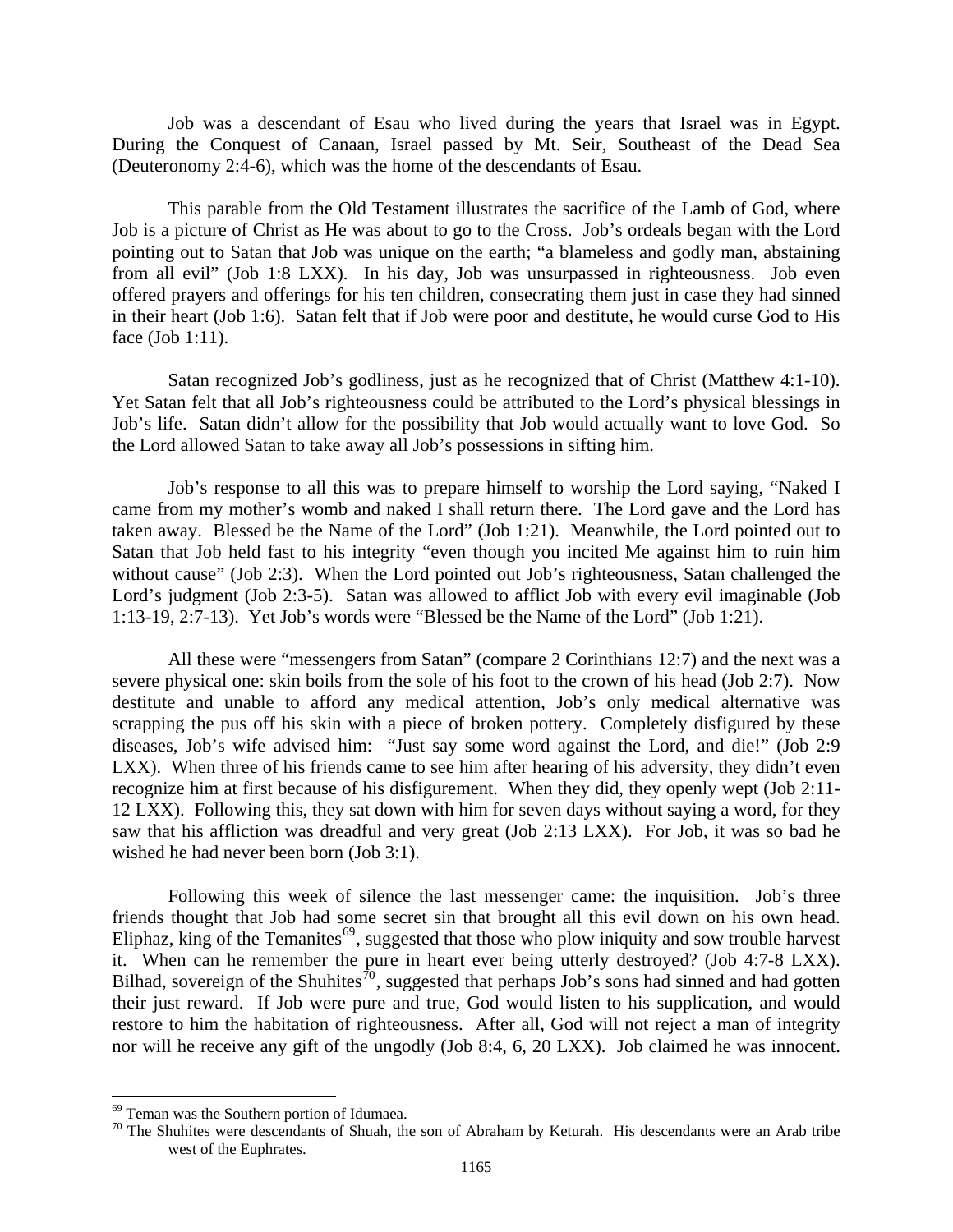Job was a descendant of Esau who lived during the years that Israel was in Egypt. During the Conquest of Canaan, Israel passed by Mt. Seir, Southeast of the Dead Sea (Deuteronomy 2:4-6), which was the home of the descendants of Esau.

This parable from the Old Testament illustrates the sacrifice of the Lamb of God, where Job is a picture of Christ as He was about to go to the Cross. Job's ordeals began with the Lord pointing out to Satan that Job was unique on the earth; "a blameless and godly man, abstaining from all evil" (Job 1:8 LXX). In his day, Job was unsurpassed in righteousness. Job even offered prayers and offerings for his ten children, consecrating them just in case they had sinned in their heart (Job 1:6). Satan felt that if Job were poor and destitute, he would curse God to His face (Job 1:11).

Satan recognized Job's godliness, just as he recognized that of Christ (Matthew 4:1-10). Yet Satan felt that all Job's righteousness could be attributed to the Lord's physical blessings in Job's life. Satan didn't allow for the possibility that Job would actually want to love God. So the Lord allowed Satan to take away all Job's possessions in sifting him.

Job's response to all this was to prepare himself to worship the Lord saying, "Naked I came from my mother's womb and naked I shall return there. The Lord gave and the Lord has taken away. Blessed be the Name of the Lord" (Job 1:21). Meanwhile, the Lord pointed out to Satan that Job held fast to his integrity "even though you incited Me against him to ruin him without cause" (Job 2:3). When the Lord pointed out Job's righteousness, Satan challenged the Lord's judgment (Job 2:3-5). Satan was allowed to afflict Job with every evil imaginable (Job 1:13-19, 2:7-13). Yet Job's words were "Blessed be the Name of the Lord" (Job 1:21).

All these were "messengers from Satan" (compare 2 Corinthians 12:7) and the next was a severe physical one: skin boils from the sole of his foot to the crown of his head (Job 2:7). Now destitute and unable to afford any medical attention, Job's only medical alternative was scrapping the pus off his skin with a piece of broken pottery. Completely disfigured by these diseases, Job's wife advised him: "Just say some word against the Lord, and die!" (Job 2:9 LXX). When three of his friends came to see him after hearing of his adversity, they didn't even recognize him at first because of his disfigurement. When they did, they openly wept (Job 2:11- 12 LXX). Following this, they sat down with him for seven days without saying a word, for they saw that his affliction was dreadful and very great (Job 2:13 LXX). For Job, it was so bad he wished he had never been born (Job 3:1).

 Following this week of silence the last messenger came: the inquisition. Job's three friends thought that Job had some secret sin that brought all this evil down on his own head. Eliphaz, king of the Temanites<sup>[69](#page-34-0)</sup>, suggested that those who plow iniquity and sow trouble harvest it. When can he remember the pure in heart ever being utterly destroyed? (Job 4:7-8 LXX). Bilhad, sovereign of the Shuhites<sup> $\bar{j}0$ </sup>, suggested that perhaps Job's sons had sinned and had gotten their just reward. If Job were pure and true, God would listen to his supplication, and would restore to him the habitation of righteousness. After all, God will not reject a man of integrity nor will he receive any gift of the ungodly (Job 8:4, 6, 20 LXX). Job claimed he was innocent.

<span id="page-34-1"></span>

<span id="page-34-0"></span><sup>&</sup>lt;sup>69</sup> Teman was the Southern portion of Idumaea.<br><sup>70</sup> The Shuhites were descendants of Shuah, the son of Abraham by Keturah. His descendants were an Arab tribe west of the Euphrates.